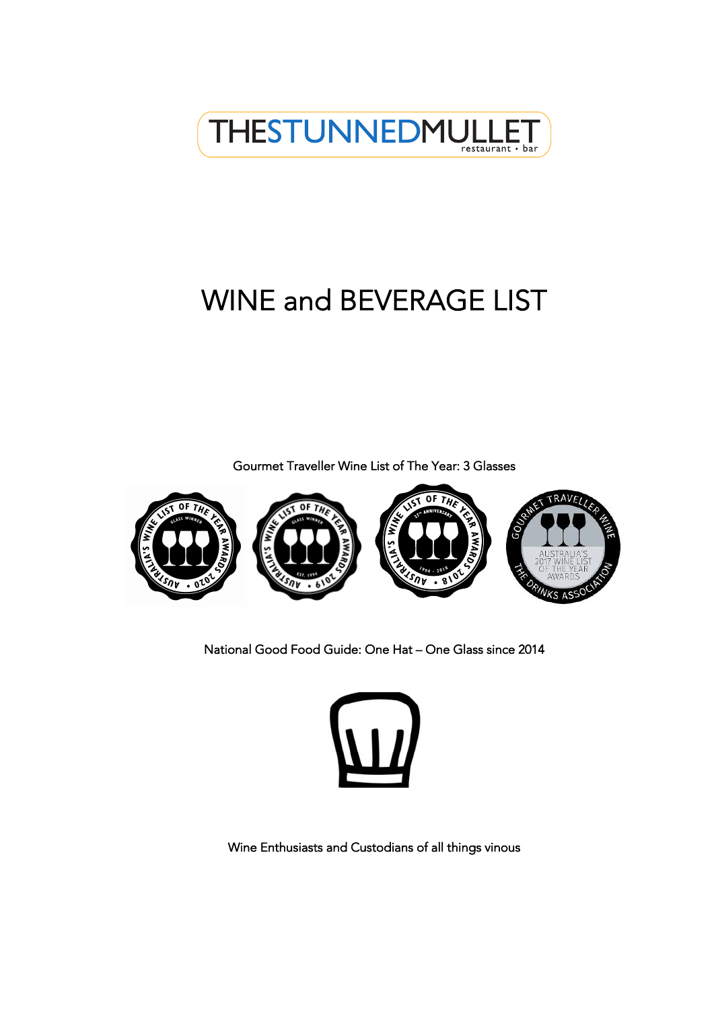

# WINE and BEVERAGE LIST

Gourmet Traveller Wine List of The Year: 3 Glasses



National Good Food Guide: One Hat – One Glass since 2014



Wine Enthusiasts and Custodians of all things vinous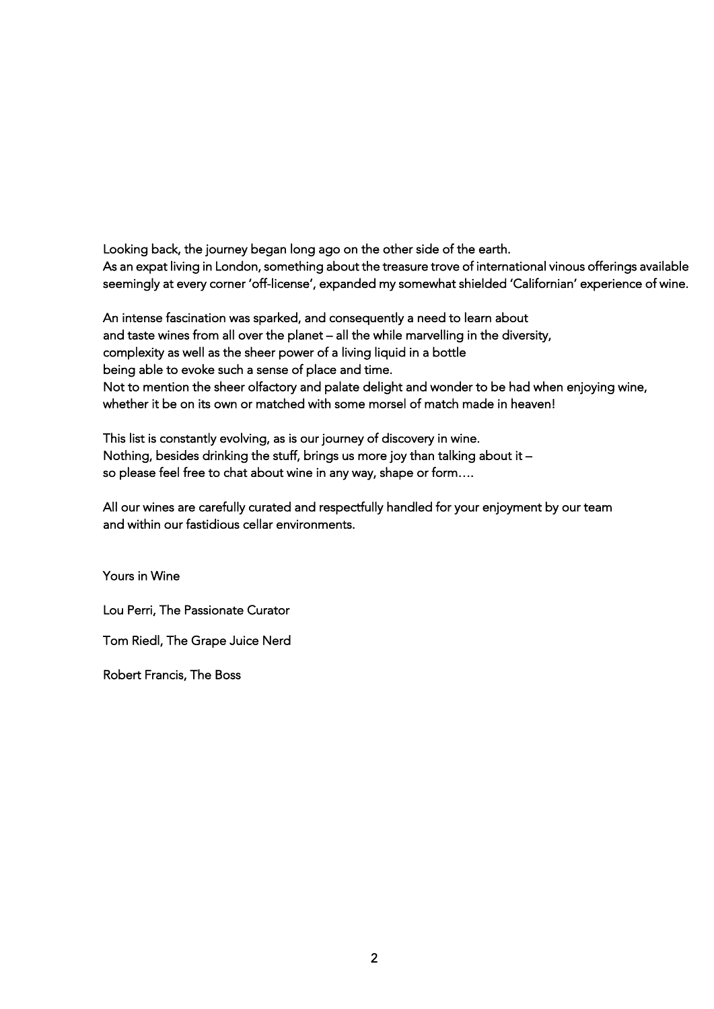Looking back, the journey began long ago on the other side of the earth. As an expat living in London, something about the treasure trove of international vinous offerings available seemingly at every corner 'off-license', expanded my somewhat shielded 'Californian' experience of wine.

An intense fascination was sparked, and consequently a need to learn about and taste wines from all over the planet – all the while marvelling in the diversity, complexity as well as the sheer power of a living liquid in a bottle being able to evoke such a sense of place and time. Not to mention the sheer olfactory and palate delight and wonder to be had when enjoying wine, whether it be on its own or matched with some morsel of match made in heaven!

This list is constantly evolving, as is our journey of discovery in wine. Nothing, besides drinking the stuff, brings us more joy than talking about it – so please feel free to chat about wine in any way, shape or form….

All our wines are carefully curated and respectfully handled for your enjoyment by our team and within our fastidious cellar environments.

Yours in Wine

Lou Perri, The Passionate Curator

Tom Riedl, The Grape Juice Nerd

Robert Francis, The Boss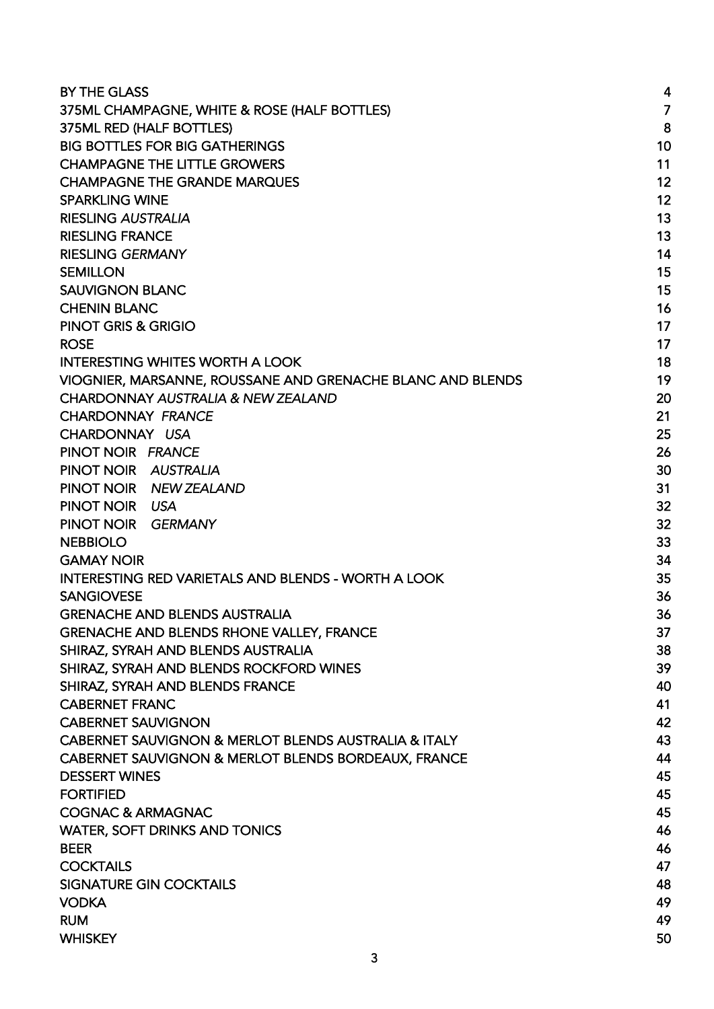| <b>BY THE GLASS</b>                                        | 4  |
|------------------------------------------------------------|----|
| 375ML CHAMPAGNE, WHITE & ROSE (HALF BOTTLES)               | 7  |
| 375ML RED (HALF BOTTLES)                                   | 8  |
| <b>BIG BOTTLES FOR BIG GATHERINGS</b>                      | 10 |
| <b>CHAMPAGNE THE LITTLE GROWERS</b>                        | 11 |
| <b>CHAMPAGNE THE GRANDE MARQUES</b>                        | 12 |
| <b>SPARKLING WINE</b>                                      | 12 |
| <b>RIESLING AUSTRALIA</b>                                  | 13 |
| <b>RIESLING FRANCE</b>                                     | 13 |
| <b>RIESLING GERMANY</b>                                    | 14 |
| <b>SEMILLON</b>                                            | 15 |
| <b>SAUVIGNON BLANC</b>                                     | 15 |
| <b>CHENIN BLANC</b>                                        | 16 |
| PINOT GRIS & GRIGIO                                        | 17 |
| <b>ROSE</b>                                                | 17 |
| <b>INTERESTING WHITES WORTH A LOOK</b>                     | 18 |
| VIOGNIER, MARSANNE, ROUSSANE AND GRENACHE BLANC AND BLENDS | 19 |
| CHARDONNAY AUSTRALIA & NEW ZEALAND                         | 20 |
| <b>CHARDONNAY FRANCE</b>                                   | 21 |
| CHARDONNAY USA                                             | 25 |
| PINOT NOIR FRANCE                                          | 26 |
| PINOT NOIR AUSTRALIA                                       | 30 |
| PINOT NOIR NEW ZEALAND                                     | 31 |
| PINOT NOIR USA                                             | 32 |
| PINOT NOIR<br><b>GERMANY</b>                               | 32 |
| <b>NEBBIOLO</b>                                            | 33 |
| <b>GAMAY NOIR</b>                                          | 34 |
| <b>INTERESTING RED VARIETALS AND BLENDS - WORTH A LOOK</b> | 35 |
| <b>SANGIOVESE</b>                                          | 36 |
| <b>GRENACHE AND BLENDS AUSTRALIA</b>                       | 36 |
| <b>GRENACHE AND BLENDS RHONE VALLEY, FRANCE</b>            | 37 |
| SHIRAZ, SYRAH AND BLENDS AUSTRALIA                         | 38 |
| SHIRAZ, SYRAH AND BLENDS ROCKFORD WINES                    | 39 |
| SHIRAZ, SYRAH AND BLENDS FRANCE                            | 40 |
| <b>CABERNET FRANC</b>                                      | 41 |
| <b>CABERNET SAUVIGNON</b>                                  | 42 |
| CABERNET SAUVIGNON & MERLOT BLENDS AUSTRALIA & ITALY       | 43 |
| CABERNET SAUVIGNON & MERLOT BLENDS BORDEAUX, FRANCE        | 44 |
| <b>DESSERT WINES</b>                                       | 45 |
| <b>FORTIFIED</b>                                           | 45 |
| <b>COGNAC &amp; ARMAGNAC</b>                               | 45 |
| <b>WATER, SOFT DRINKS AND TONICS</b>                       | 46 |
| <b>BEER</b>                                                | 46 |
| <b>COCKTAILS</b>                                           | 47 |
| <b>SIGNATURE GIN COCKTAILS</b>                             | 48 |
| <b>VODKA</b>                                               | 49 |
| <b>RUM</b>                                                 | 49 |
| <b>WHISKEY</b>                                             | 50 |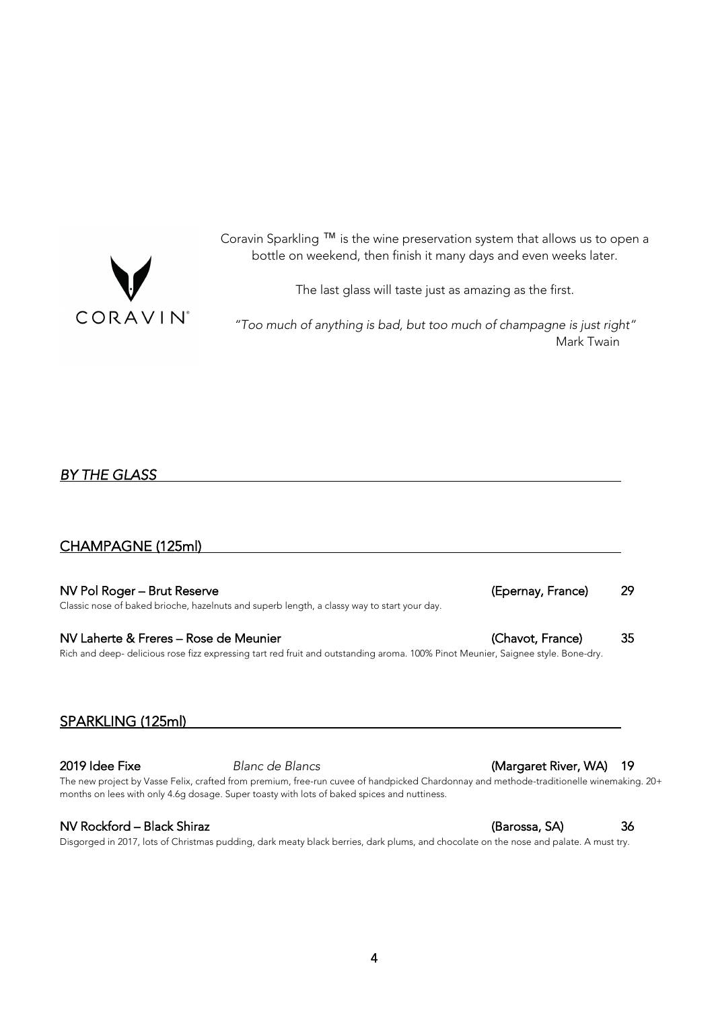<span id="page-3-0"></span>

Coravin Sparkling ™ is the wine preservation system that allows us to open a bottle on weekend, then finish it many days and even weeks later.

The last glass will taste just as amazing as the first.

*"Too much of anything is bad, but too much of champagne is just right"* Mark Twain

### *BY THE GLASS*

### CHAMPAGNE (125ml)

NV Pol Roger – Brut Reserve (Epernay, France) 29 Classic nose of baked brioche, hazelnuts and superb length, a classy way to start your day.

NV Laherte & Freres – Rose de Meunier (Chavot, France) 35 Rich and deep- delicious rose fizz expressing tart red fruit and outstanding aroma. 100% Pinot Meunier, Saignee style. Bone-dry.

### SPARKLING (125ml)

The new project by Vasse Felix, crafted from premium, free-run cuvee of handpicked Chardonnay and methode-traditionelle winemaking. 20+ months on lees with only 4.6g dosage. Super toasty with lots of baked spices and nuttiness.

#### NV Rockford – Black Shiraz (Barossa, SA) 36

Disgorged in 2017, lots of Christmas pudding, dark meaty black berries, dark plums, and chocolate on the nose and palate. A must try.

### 2019 Idee Fixe *Blanc de Blancs* (Margaret River, WA) 19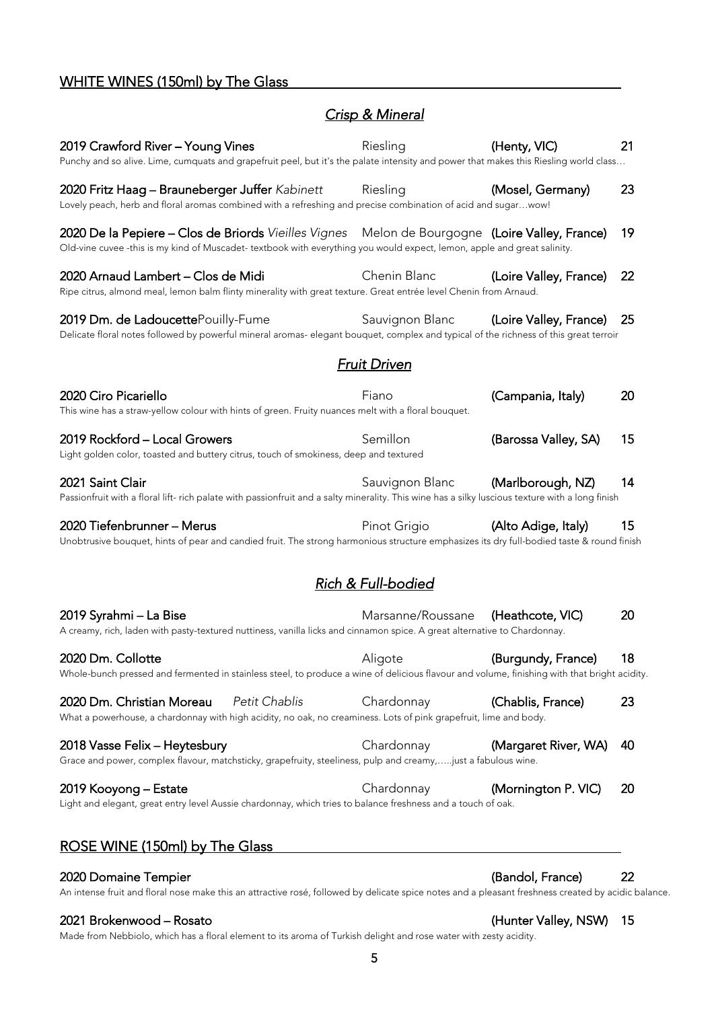# WHITE WINES (150ml) by The Glass

# *Crisp & Mineral*

| 2019 Crawford River - Young Vines<br>Punchy and so alive. Lime, cumquats and grapefruit peel, but it's the palate intensity and power that makes this Riesling world class                                                 | Riesling                      | (Henty, VIC)           | 21 |
|----------------------------------------------------------------------------------------------------------------------------------------------------------------------------------------------------------------------------|-------------------------------|------------------------|----|
| 2020 Fritz Haag - Brauneberger Juffer Kabinett<br>Lovely peach, herb and floral aromas combined with a refreshing and precise combination of acid and sugarwow!                                                            | Riesling                      | (Mosel, Germany)       | 23 |
| 2020 De la Pepiere - Clos de Briords Vieilles Vignes Melon de Bourgogne (Loire Valley, France)<br>Old-vine cuvee -this is my kind of Muscadet- textbook with everything you would expect, lemon, apple and great salinity. |                               |                        | 19 |
| 2020 Arnaud Lambert - Clos de Midi<br>Ripe citrus, almond meal, lemon balm flinty minerality with great texture. Great entrée level Chenin from Arnaud.                                                                    | Chenin Blanc                  | (Loire Valley, France) | 22 |
| 2019 Dm. de LadoucettePouilly-Fume<br>Delicate floral notes followed by powerful mineral aromas- elegant bouquet, complex and typical of the richness of this great terroir                                                | Sauvignon Blanc               | (Loire Valley, France) | 25 |
|                                                                                                                                                                                                                            | <b>Fruit Driven</b>           |                        |    |
| 2020 Ciro Picariello<br>This wine has a straw-yellow colour with hints of green. Fruity nuances melt with a floral bouquet.                                                                                                | Fiano                         | (Campania, Italy)      | 20 |
| 2019 Rockford - Local Growers<br>Light golden color, toasted and buttery citrus, touch of smokiness, deep and textured                                                                                                     | Semillon                      | (Barossa Valley, SA)   | 15 |
| 2021 Saint Clair<br>Passionfruit with a floral lift- rich palate with passionfruit and a salty minerality. This wine has a silky luscious texture with a long finish                                                       | Sauvignon Blanc               | (Marlborough, NZ)      | 14 |
| 2020 Tiefenbrunner - Merus<br>Unobtrusive bouquet, hints of pear and candied fruit. The strong harmonious structure emphasizes its dry full-bodied taste & round finish                                                    | Pinot Grigio                  | (Alto Adige, Italy)    | 15 |
|                                                                                                                                                                                                                            | <b>Rich &amp; Full-bodied</b> |                        |    |
| 2019 Syrahmi – La Bise<br>A creamy, rich, laden with pasty-textured nuttiness, vanilla licks and cinnamon spice. A great alternative to Chardonnay.                                                                        | Marsanne/Roussane             | (Heathcote, VIC)       | 20 |
| 2020 Dm. Collotte<br>Whole-bunch pressed and fermented in stainless steel, to produce a wine of delicious flavour and volume, finishing with that bright acidity                                                           | Aligote                       | (Burgundy, France)     | 18 |
| Petit Chablis<br>2020 Dm. Christian Moreau<br>What a powerhouse, a chardonnay with high acidity, no oak, no creaminess. Lots of pink grapefruit, lime and body.                                                            | Chardonnay                    | (Chablis, France)      | 23 |
| 2018 Vasse Felix - Heytesbury<br>Grace and power, complex flavour, matchsticky, grapefruity, steeliness, pulp and creamy,just a fabulous wine.                                                                             | Chardonnay                    | (Margaret River, WA)   | 40 |
| 2019 Kooyong – Estate<br>Light and elegant, great entry level Aussie chardonnay, which tries to balance freshness and a touch of oak.                                                                                      | Chardonnay                    | (Mornington P. VIC)    | 20 |
| ROSE WINE (150ml) by The Glass                                                                                                                                                                                             |                               |                        |    |
| 2020 Domaine Tempier                                                                                                                                                                                                       |                               | (Bandol, France)       | 22 |

An intense fruit and floral nose make this an attractive rosé, followed by delicate spice notes and a pleasant freshness created by acidic balance.

### 2021 Brokenwood – Rosato (Hunter Valley, NSW) 15

Made from Nebbiolo, which has a floral element to its aroma of Turkish delight and rose water with zesty acidity.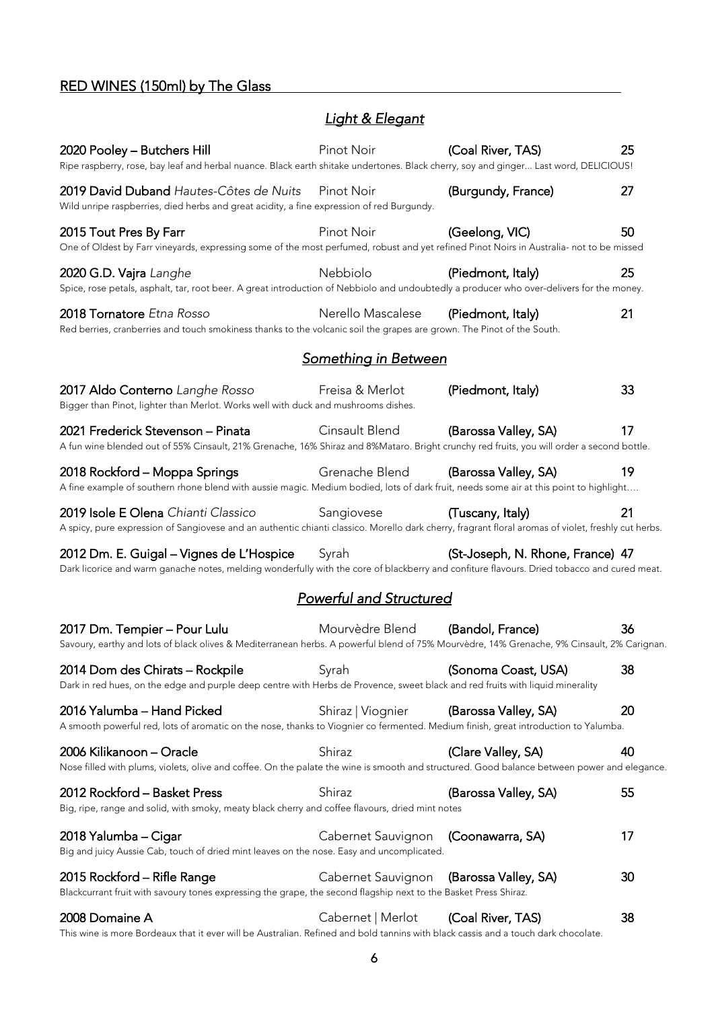# RED WINES (150ml) by The Glass

# *Light & Elegant*

| 2020 Pooley - Butchers Hill<br>Ripe raspberry, rose, bay leaf and herbal nuance. Black earth shitake undertones. Black cherry, soy and ginger Last word, DELICIOUS!                        | Pinot Noir                     | (Coal River, TAS)                | 25 |
|--------------------------------------------------------------------------------------------------------------------------------------------------------------------------------------------|--------------------------------|----------------------------------|----|
| 2019 David Duband Hautes-Côtes de Nuits<br>Wild unripe raspberries, died herbs and great acidity, a fine expression of red Burgundy.                                                       | Pinot Noir                     | (Burgundy, France)               | 27 |
| 2015 Tout Pres By Farr<br>One of Oldest by Farr vineyards, expressing some of the most perfumed, robust and yet refined Pinot Noirs in Australia- not to be missed                         | Pinot Noir                     | (Geelong, VIC)                   | 50 |
| 2020 G.D. Vajra Langhe<br>Spice, rose petals, asphalt, tar, root beer. A great introduction of Nebbiolo and undoubtedly a producer who over-delivers for the money.                        | Nebbiolo                       | (Piedmont, Italy)                | 25 |
| 2018 Tornatore Etna Rosso<br>Red berries, cranberries and touch smokiness thanks to the volcanic soil the grapes are grown. The Pinot of the South.                                        | Nerello Mascalese              | (Piedmont, Italy)                | 21 |
|                                                                                                                                                                                            | <u>Something in Between</u>    |                                  |    |
| 2017 Aldo Conterno Langhe Rosso<br>Bigger than Pinot, lighter than Merlot. Works well with duck and mushrooms dishes.                                                                      | Freisa & Merlot                | (Piedmont, Italy)                | 33 |
| 2021 Frederick Stevenson - Pinata<br>A fun wine blended out of 55% Cinsault, 21% Grenache, 16% Shiraz and 8%Mataro. Bright crunchy red fruits, you will order a second bottle.             | Cinsault Blend                 | (Barossa Valley, SA)             | 17 |
| 2018 Rockford - Moppa Springs<br>A fine example of southern rhone blend with aussie magic. Medium bodied, lots of dark fruit, needs some air at this point to highlight                    | Grenache Blend                 | (Barossa Valley, SA)             | 19 |
| 2019 Isole E Olena Chianti Classico<br>A spicy, pure expression of Sangiovese and an authentic chianti classico. Morello dark cherry, fragrant floral aromas of violet, freshly cut herbs. | Sangiovese                     | (Tuscany, Italy)                 | 21 |
| 2012 Dm. E. Guigal – Vignes de L'Hospice<br>Dark licorice and warm ganache notes, melding wonderfully with the core of blackberry and confiture flavours. Dried tobacco and cured meat.    | Syrah                          | (St-Joseph, N. Rhone, France) 47 |    |
|                                                                                                                                                                                            |                                |                                  |    |
|                                                                                                                                                                                            | <b>Powerful and Structured</b> |                                  |    |
| 2017 Dm. Tempier - Pour Lulu<br>Savoury, earthy and lots of black olives & Mediterranean herbs. A powerful blend of 75% Mourvèdre, 14% Grenache, 9% Cinsault, 2% Carignan.                 | Mourvèdre Blend                | (Bandol, France)                 | 36 |
| 2014 Dom des Chirats – Rockpile<br>Dark in red hues, on the edge and purple deep centre with Herbs de Provence, sweet black and red fruits with liquid minerality                          | Syrah                          | (Sonoma Coast, USA)              | 38 |
| 2016 Yalumba - Hand Picked<br>A smooth powerful red, lots of aromatic on the nose, thanks to Viognier co fermented. Medium finish, great introduction to Yalumba.                          | Shiraz   Viognier              | (Barossa Valley, SA)             | 20 |
| 2006 Kilikanoon - Oracle<br>Nose filled with plums, violets, olive and coffee. On the palate the wine is smooth and structured. Good balance between power and elegance.                   | Shiraz                         | (Clare Valley, SA)               | 40 |
| 2012 Rockford - Basket Press<br>Big, ripe, range and solid, with smoky, meaty black cherry and coffee flavours, dried mint notes                                                           | Shiraz                         | (Barossa Valley, SA)             | 55 |
| 2018 Yalumba – Cigar<br>Big and juicy Aussie Cab, touch of dried mint leaves on the nose. Easy and uncomplicated.                                                                          | Cabernet Sauvignon             | (Coonawarra, SA)                 | 17 |
| 2015 Rockford - Rifle Range<br>Blackcurrant fruit with savoury tones expressing the grape, the second flagship next to the Basket Press Shiraz.                                            | Cabernet Sauvignon             | (Barossa Valley, SA)             | 30 |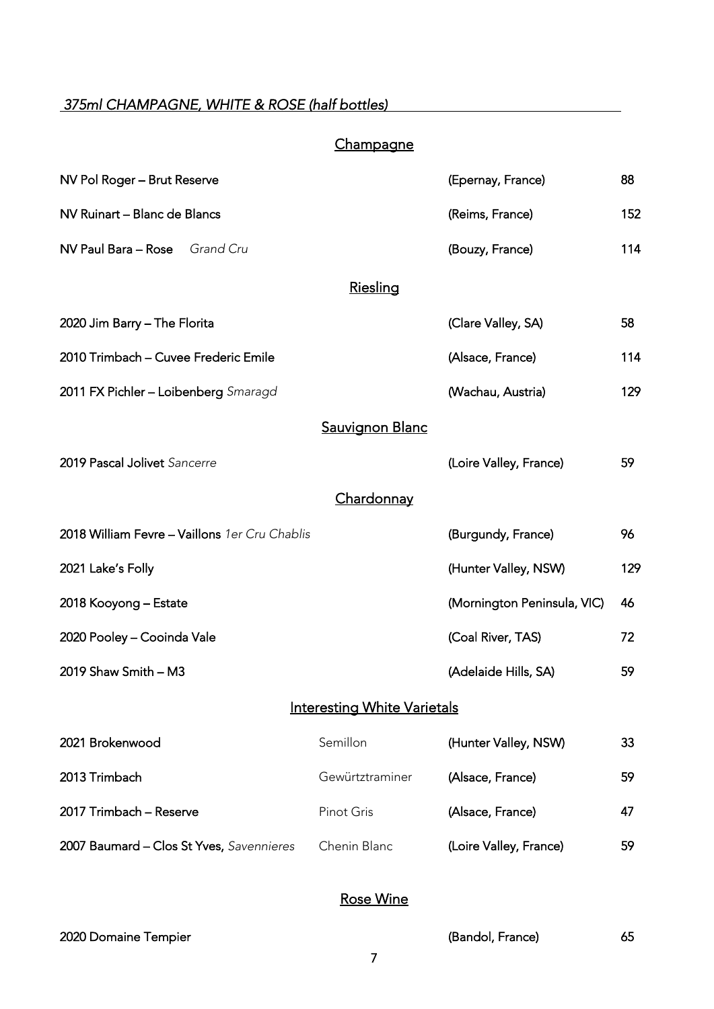# <span id="page-6-0"></span> *375ml CHAMPAGNE, WHITE & ROSE (half bottles)*

# **Champagne**

| NV Pol Roger - Brut Reserve                   |                                    | (Epernay, France)           | 88  |
|-----------------------------------------------|------------------------------------|-----------------------------|-----|
| NV Ruinart - Blanc de Blancs                  |                                    | (Reims, France)             | 152 |
| NV Paul Bara - Rose Grand Cru                 |                                    | (Bouzy, France)             | 114 |
|                                               | Riesling                           |                             |     |
| 2020 Jim Barry - The Florita                  |                                    | (Clare Valley, SA)          | 58  |
| 2010 Trimbach - Cuvee Frederic Emile          |                                    | (Alsace, France)            | 114 |
| 2011 FX Pichler - Loibenberg Smaragd          |                                    | (Wachau, Austria)           | 129 |
|                                               | <b>Sauvignon Blanc</b>             |                             |     |
| 2019 Pascal Jolivet Sancerre                  |                                    | (Loire Valley, France)      | 59  |
|                                               | <u>Chardonnay</u>                  |                             |     |
|                                               |                                    |                             |     |
| 2018 William Fevre - Vaillons 1er Cru Chablis |                                    | (Burgundy, France)          | 96  |
| 2021 Lake's Folly                             |                                    | (Hunter Valley, NSW)        | 129 |
| 2018 Kooyong – Estate                         |                                    | (Mornington Peninsula, VIC) | 46  |
| 2020 Pooley - Cooinda Vale                    |                                    | (Coal River, TAS)           | 72  |
| 2019 Shaw Smith - M3                          |                                    | (Adelaide Hills, SA)        | 59  |
|                                               | <b>Interesting White Varietals</b> |                             |     |
| 2021 Brokenwood                               | Semillon                           | (Hunter Valley, NSW)        | 33  |
| 2013 Trimbach                                 | Gewürtztraminer                    | (Alsace, France)            | 59  |
| 2017 Trimbach - Reserve                       | Pinot Gris                         | (Alsace, France)            | 47  |

# Rose Wine

### 2020 Domaine Tempier (Bandol, France) 65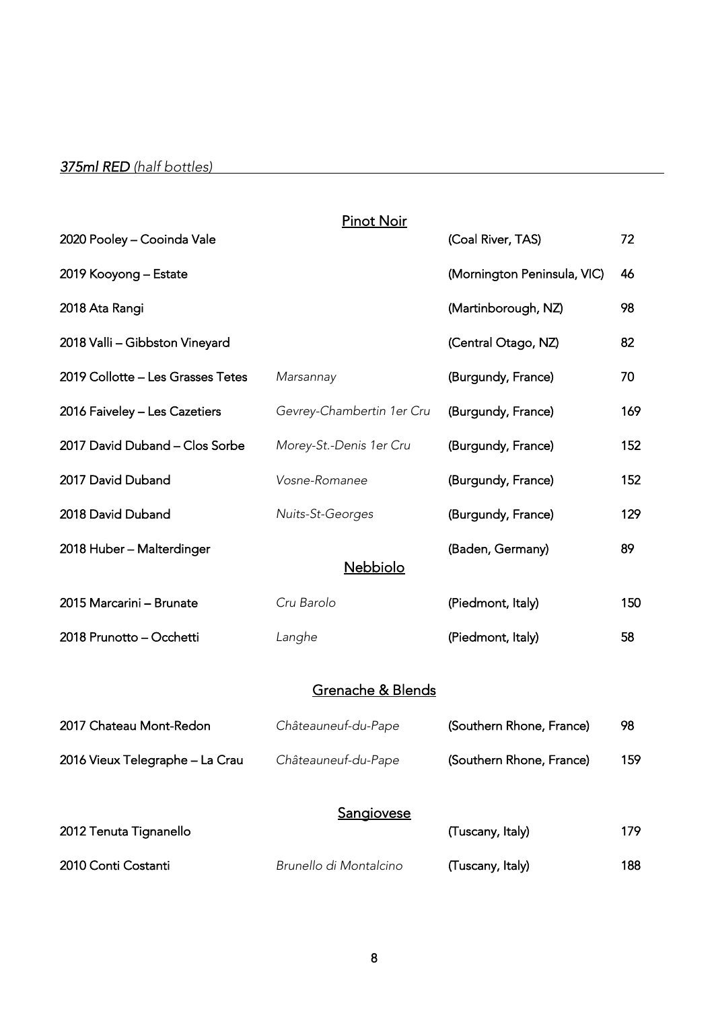<span id="page-7-0"></span>

|                                   | <b>Pinot Noir</b>         |                             |     |
|-----------------------------------|---------------------------|-----------------------------|-----|
| 2020 Pooley - Cooinda Vale        |                           | (Coal River, TAS)           | 72  |
| 2019 Kooyong – Estate             |                           | (Mornington Peninsula, VIC) | 46  |
| 2018 Ata Rangi                    |                           | (Martinborough, NZ)         | 98  |
| 2018 Valli - Gibbston Vineyard    |                           | (Central Otago, NZ)         | 82  |
| 2019 Collotte - Les Grasses Tetes | Marsannay                 | (Burgundy, France)          | 70  |
| 2016 Faiveley - Les Cazetiers     | Gevrey-Chambertin 1er Cru | (Burgundy, France)          | 169 |
| 2017 David Duband - Clos Sorbe    | Morey-St.-Denis 1er Cru   | (Burgundy, France)          | 152 |
| 2017 David Duband                 | Vosne-Romanee             | (Burgundy, France)          | 152 |
| 2018 David Duband                 | Nuits-St-Georges          | (Burgundy, France)          | 129 |
| 2018 Huber - Malterdinger         | Nebbiolo                  | (Baden, Germany)            | 89  |
| 2015 Marcarini - Brunate          | Cru Barolo                | (Piedmont, Italy)           | 150 |
| 2018 Prunotto - Occhetti          | Langhe                    | (Piedmont, Italy)           | 58  |
|                                   | Grenache & Blends         |                             |     |
| 2017 Chateau Mont-Redon           | Châteauneuf-du-Pape       | (Southern Rhone, France)    | 98  |
| 2016 Vieux Telegraphe – La Crau   | Châteauneuf-du-Pape       | (Southern Rhone, France)    | 159 |
| 2012 Tenuta Tignanello            | <b>Sangiovese</b>         | (Tuscany, Italy)            | 179 |
| 2010 Conti Costanti               | Brunello di Montalcino    | (Tuscany, Italy)            | 188 |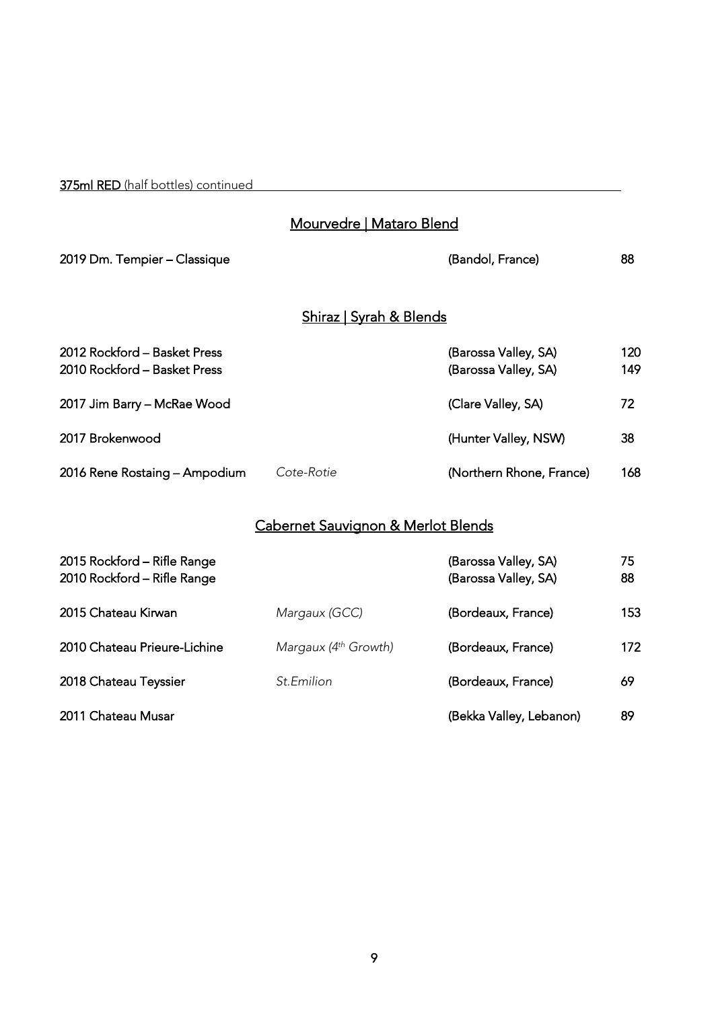375ml RED (half bottles) continued

### <u>Mourvedre | Mataro Blend</u>

| 2019 Dm. Tempier - Classique                                 |                                     | (Bandol, France)                             | 88         |
|--------------------------------------------------------------|-------------------------------------|----------------------------------------------|------------|
|                                                              | <u> Shiraz   Syrah &amp; Blends</u> |                                              |            |
| 2012 Rockford - Basket Press<br>2010 Rockford - Basket Press |                                     | (Barossa Valley, SA)<br>(Barossa Valley, SA) | 120<br>149 |
| 2017 Jim Barry - McRae Wood                                  |                                     | (Clare Valley, SA)                           | 72         |
| 2017 Brokenwood                                              |                                     | (Hunter Valley, NSW)                         | 38         |
| 2016 Rene Rostaing - Ampodium                                | Cote-Rotie                          | (Northern Rhone, France)                     | 168        |

# Cabernet Sauvignon & Merlot Blends

| 2015 Rockford - Rifle Range<br>2010 Rockford - Rifle Range |                           | (Barossa Valley, SA)<br>(Barossa Valley, SA) | 75<br>88 |
|------------------------------------------------------------|---------------------------|----------------------------------------------|----------|
| 2015 Chateau Kirwan                                        | Margaux (GCC)             | (Bordeaux, France)                           | 153      |
| 2010 Chateau Prieure-Lichine                               | Margaux $(4^{th}$ Growth) | (Bordeaux, France)                           | 172      |
| 2018 Chateau Teyssier                                      | St.Emilion                | (Bordeaux, France)                           | 69       |
| 2011 Chateau Musar                                         |                           | (Bekka Valley, Lebanon)                      | 89       |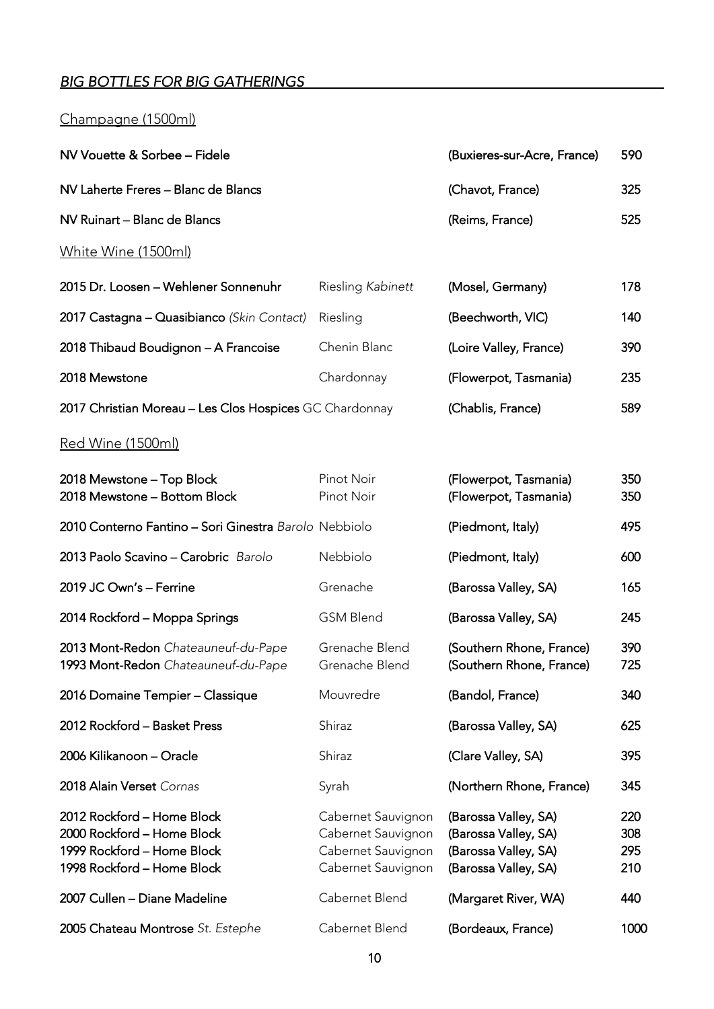# <span id="page-9-0"></span>*BIG BOTTLES FOR BIG GATHERINGS*

# Champagne (1500ml)

| NV Vouette & Sorbee – Fidele                            |                   | (Buxieres-sur-Acre, France) | 590 |
|---------------------------------------------------------|-------------------|-----------------------------|-----|
| NV Laherte Freres – Blanc de Blancs                     |                   | (Chavot, France)            | 325 |
| NV Ruinart – Blanc de Blancs                            |                   | (Reims, France)             | 525 |
| White Wine (1500ml)                                     |                   |                             |     |
| 2015 Dr. Loosen - Wehlener Sonnenuhr                    | Riesling Kabinett | (Mosel, Germany)            | 178 |
| 2017 Castagna - Quasibianco (Skin Contact)              | Riesling          | (Beechworth, VIC)           | 140 |
| 2018 Thibaud Boudignon - A Francoise                    | Chenin Blanc      | (Loire Valley, France)      | 390 |
| 2018 Mewstone                                           | Chardonnay        | (Flowerpot, Tasmania)       | 235 |
| 2017 Christian Moreau - Les Clos Hospices GC Chardonnay |                   | (Chablis, France)           | 589 |
|                                                         |                   |                             |     |

#### <u>Red Wine (1500ml)</u>

| 2018 Mewstone - Top Block<br>2018 Mewstone - Bottom Block                                                            | Pinot Noir<br>Pinot Noir                                                             | (Flowerpot, Tasmania)<br>(Flowerpot, Tasmania)                                               | 350<br>350               |
|----------------------------------------------------------------------------------------------------------------------|--------------------------------------------------------------------------------------|----------------------------------------------------------------------------------------------|--------------------------|
| 2010 Conterno Fantino - Sori Ginestra Barolo Nebbiolo                                                                |                                                                                      | (Piedmont, Italy)                                                                            | 495                      |
| 2013 Paolo Scavino - Carobric Barolo                                                                                 | Nebbiolo                                                                             | (Piedmont, Italy)                                                                            | 600                      |
| 2019 JC Own's - Ferrine                                                                                              | Grenache                                                                             | (Barossa Valley, SA)                                                                         | 165                      |
| 2014 Rockford - Moppa Springs                                                                                        | <b>GSM Blend</b>                                                                     | (Barossa Valley, SA)                                                                         | 245                      |
| 2013 Mont-Redon Chateauneuf-du-Pape<br>1993 Mont-Redon Chateauneuf-du-Pape                                           | Grenache Blend<br>Grenache Blend                                                     | (Southern Rhone, France)<br>(Southern Rhone, France)                                         | 390<br>725               |
| 2016 Domaine Tempier - Classique                                                                                     | Mouvredre                                                                            | (Bandol, France)                                                                             | 340                      |
| 2012 Rockford - Basket Press                                                                                         | Shiraz                                                                               | (Barossa Valley, SA)                                                                         | 625                      |
| 2006 Kilikanoon – Oracle                                                                                             | Shiraz                                                                               | (Clare Valley, SA)                                                                           | 395                      |
| 2018 Alain Verset Cornas                                                                                             | Syrah                                                                                | (Northern Rhone, France)                                                                     | 345                      |
| 2012 Rockford - Home Block<br>2000 Rockford - Home Block<br>1999 Rockford - Home Block<br>1998 Rockford - Home Block | Cabernet Sauvignon<br>Cabernet Sauvignon<br>Cabernet Sauvignon<br>Cabernet Sauvignon | (Barossa Valley, SA)<br>(Barossa Valley, SA)<br>(Barossa Valley, SA)<br>(Barossa Valley, SA) | 220<br>308<br>295<br>210 |
| 2007 Cullen - Diane Madeline                                                                                         | Cabernet Blend                                                                       | (Margaret River, WA)                                                                         | 440                      |
| 2005 Chateau Montrose St. Estephe                                                                                    | Cabernet Blend                                                                       | (Bordeaux, France)                                                                           | 1000                     |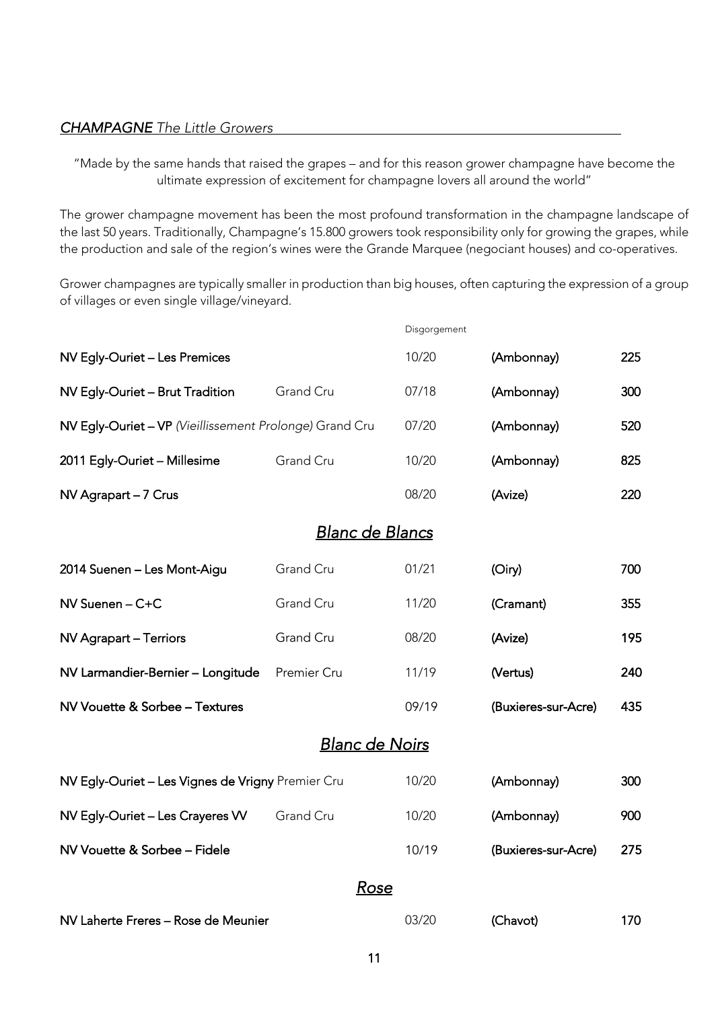#### <span id="page-10-0"></span>*CHAMPAGNE The Little Growers*

"Made by the same hands that raised the grapes – and for this reason grower champagne have become the ultimate expression of excitement for champagne lovers all around the world"

The grower champagne movement has been the most profound transformation in the champagne landscape of the last 50 years. Traditionally, Champagne's 15.800 growers took responsibility only for growing the grapes, while the production and sale of the region's wines were the Grande Marquee (negociant houses) and co-operatives.

Grower champagnes are typically smaller in production than big houses, often capturing the expression of a group of villages or even single village/vineyard.

|                                                         |                        |      | Disgorgement |                     |     |
|---------------------------------------------------------|------------------------|------|--------------|---------------------|-----|
| NV Egly-Ouriet - Les Premices                           |                        |      | 10/20        | (Ambonnay)          | 225 |
| NV Egly-Ouriet - Brut Tradition                         | Grand Cru              |      | 07/18        | (Ambonnay)          | 300 |
| NV Egly-Ouriet - VP (Vieillissement Prolonge) Grand Cru |                        |      | 07/20        | (Ambonnay)          | 520 |
| 2011 Egly-Ouriet - Millesime                            | Grand Cru              |      | 10/20        | (Ambonnay)          | 825 |
| NV Agrapart - 7 Crus                                    |                        |      | 08/20        | (Avize)             | 220 |
|                                                         | <u>Blanc de Blancs</u> |      |              |                     |     |
| 2014 Suenen - Les Mont-Aigu                             | Grand Cru              |      | 01/21        | (Oiry)              | 700 |
| NV Suenen - C+C                                         | Grand Cru              |      | 11/20        | (Cramant)           | 355 |
| NV Agrapart - Terriors                                  | Grand Cru              |      | 08/20        | (Avize)             | 195 |
| NV Larmandier-Bernier - Longitude                       | Premier Cru            |      | 11/19        | (Vertus)            | 240 |
| NV Vouette & Sorbee - Textures                          |                        |      | 09/19        | (Buxieres-sur-Acre) | 435 |
|                                                         | <b>Blanc de Noirs</b>  |      |              |                     |     |
| NV Egly-Ouriet - Les Vignes de Vrigny Premier Cru       |                        |      | 10/20        | (Ambonnay)          | 300 |
| NV Egly-Ouriet - Les Crayeres W                         | Grand Cru              |      | 10/20        | (Ambonnay)          | 900 |
| NV Vouette & Sorbee - Fidele                            |                        |      | 10/19        | (Buxieres-sur-Acre) | 275 |
|                                                         |                        | Rose |              |                     |     |
| NV Laherte Freres - Rose de Meunier                     |                        |      | 03/20        | (Chavot)            | 170 |
|                                                         |                        |      |              |                     |     |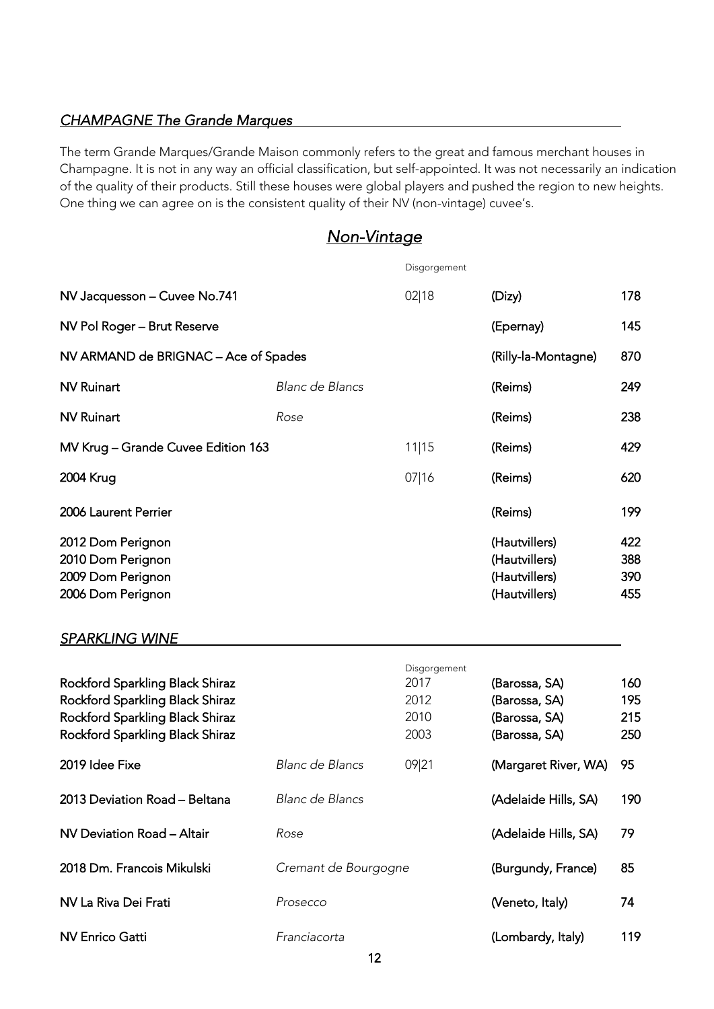### <span id="page-11-0"></span>*CHAMPAGNE The Grande Marques*

The term Grande Marques/Grande Maison commonly refers to the great and famous merchant houses in Champagne. It is not in any way an official classification, but self-appointed. It was not necessarily an indication of the quality of their products. Still these houses were global players and pushed the region to new heights. One thing we can agree on is the consistent quality of their NV (non-vintage) cuvee's.

# *Non-Vintage*

|                                                                                                                                          |                        | Disgorgement                                 |                                                                  |                          |
|------------------------------------------------------------------------------------------------------------------------------------------|------------------------|----------------------------------------------|------------------------------------------------------------------|--------------------------|
| NV Jacquesson - Cuvee No.741                                                                                                             |                        | 02 18                                        | (Dizy)                                                           | 178                      |
| NV Pol Roger - Brut Reserve                                                                                                              |                        |                                              | (Epernay)                                                        | 145                      |
| NV ARMAND de BRIGNAC - Ace of Spades                                                                                                     |                        |                                              | (Rilly-la-Montagne)                                              | 870                      |
| <b>NV Ruinart</b>                                                                                                                        | Blanc de Blancs        |                                              | (Reims)                                                          | 249                      |
| <b>NV Ruinart</b>                                                                                                                        | Rose                   |                                              | (Reims)                                                          | 238                      |
| MV Krug - Grande Cuvee Edition 163                                                                                                       |                        | 11 15                                        | (Reims)                                                          | 429                      |
| 2004 Krug                                                                                                                                |                        | 07 16                                        | (Reims)                                                          | 620                      |
| 2006 Laurent Perrier                                                                                                                     |                        |                                              | (Reims)                                                          | 199                      |
| 2012 Dom Perignon<br>2010 Dom Perignon<br>2009 Dom Perignon<br>2006 Dom Perignon                                                         |                        |                                              | (Hautvillers)<br>(Hautvillers)<br>(Hautvillers)<br>(Hautvillers) | 422<br>388<br>390<br>455 |
| <b>SPARKLING WINE</b>                                                                                                                    |                        |                                              |                                                                  |                          |
| Rockford Sparkling Black Shiraz<br>Rockford Sparkling Black Shiraz<br>Rockford Sparkling Black Shiraz<br>Rockford Sparkling Black Shiraz |                        | Disgorgement<br>2017<br>2012<br>2010<br>2003 | (Barossa, SA)<br>(Barossa, SA)<br>(Barossa, SA)<br>(Barossa, SA) | 160<br>195<br>215<br>250 |
| 2019 Idee Fixe                                                                                                                           | <b>Blanc de Blancs</b> | 09 21                                        | (Margaret River, WA)                                             | 95                       |
| 2013 Deviation Road - Beltana                                                                                                            | Blanc de Blancs        |                                              | (Adelaide Hills, SA)                                             | 190                      |
| NV Deviation Road - Altair                                                                                                               | Rose                   |                                              | (Adelaide Hills, SA)                                             | 79                       |
| 2018 Dm. Francois Mikulski                                                                                                               | Cremant de Bourgogne   |                                              | (Burgundy, France)                                               | 85                       |
| NV La Riva Dei Frati                                                                                                                     | Prosecco               |                                              | (Veneto, Italy)                                                  | 74                       |
| <b>NV Enrico Gatti</b>                                                                                                                   | Franciacorta           |                                              | (Lombardy, Italy)                                                | 119                      |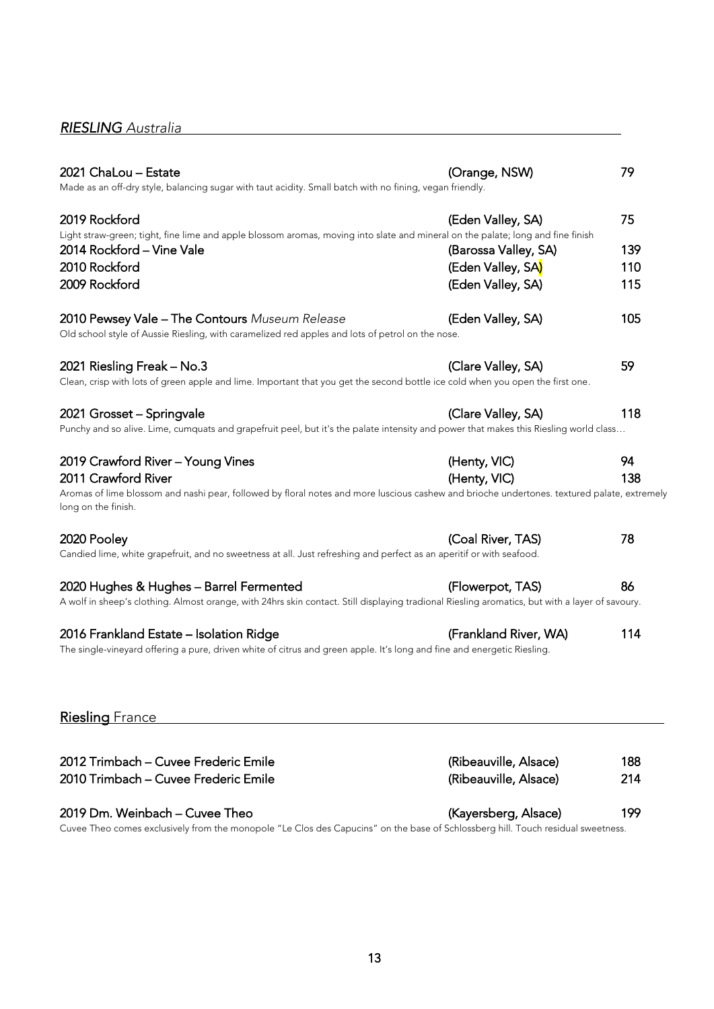# <span id="page-12-0"></span>*RIESLING Australia*

| 2021 ChaLou - Estate<br>Made as an off-dry style, balancing sugar with taut acidity. Small batch with no fining, vegan friendly.                                                           | (Orange, NSW)         | 79  |
|--------------------------------------------------------------------------------------------------------------------------------------------------------------------------------------------|-----------------------|-----|
| 2019 Rockford<br>Light straw-green; tight, fine lime and apple blossom aromas, moving into slate and mineral on the palate; long and fine finish                                           | (Eden Valley, SA)     | 75  |
| 2014 Rockford - Vine Vale                                                                                                                                                                  | (Barossa Valley, SA)  | 139 |
| 2010 Rockford                                                                                                                                                                              | (Eden Valley, SA)     | 110 |
| 2009 Rockford                                                                                                                                                                              | (Eden Valley, SA)     | 115 |
| 2010 Pewsey Vale - The Contours Museum Release<br>Old school style of Aussie Riesling, with caramelized red apples and lots of petrol on the nose.                                         | (Eden Valley, SA)     | 105 |
| 2021 Riesling Freak - No.3                                                                                                                                                                 | (Clare Valley, SA)    | 59  |
| Clean, crisp with lots of green apple and lime. Important that you get the second bottle ice cold when you open the first one.                                                             |                       |     |
| 2021 Grosset - Springvale                                                                                                                                                                  | (Clare Valley, SA)    | 118 |
| Punchy and so alive. Lime, cumquats and grapefruit peel, but it's the palate intensity and power that makes this Riesling world class                                                      |                       |     |
| 2019 Crawford River - Young Vines                                                                                                                                                          | (Henty, VIC)          | 94  |
| 2011 Crawford River                                                                                                                                                                        | (Henty, VIC)          | 138 |
| Aromas of lime blossom and nashi pear, followed by floral notes and more luscious cashew and brioche undertones. textured palate, extremely<br>long on the finish.                         |                       |     |
| 2020 Pooley<br>Candied lime, white grapefruit, and no sweetness at all. Just refreshing and perfect as an aperitif or with seafood.                                                        | (Coal River, TAS)     | 78  |
|                                                                                                                                                                                            |                       |     |
| 2020 Hughes & Hughes - Barrel Fermented<br>A wolf in sheep's clothing. Almost orange, with 24hrs skin contact. Still displaying tradional Riesling aromatics, but with a layer of savoury. | (Flowerpot, TAS)      | 86  |
|                                                                                                                                                                                            |                       |     |
| 2016 Frankland Estate - Isolation Ridge<br>The single-vineyard offering a pure, driven white of citrus and green apple. It's long and fine and energetic Riesling.                         | (Frankland River, WA) | 114 |
| <b>Riesling France</b>                                                                                                                                                                     |                       |     |
|                                                                                                                                                                                            |                       |     |
| 2012 Trimbach - Cuvee Frederic Emile                                                                                                                                                       | (Ribeauville, Alsace) | 188 |
| 2010 Trimbach - Cuvee Frederic Emile                                                                                                                                                       | (Ribeauville, Alsace) | 214 |

### 2019 Dm. Weinbach – Cuvee Theo (Kayersberg, Alsace) 199

Cuvee Theo comes exclusively from the monopole "Le Clos des Capucins" on the base of Schlossberg hill. Touch residual sweetness.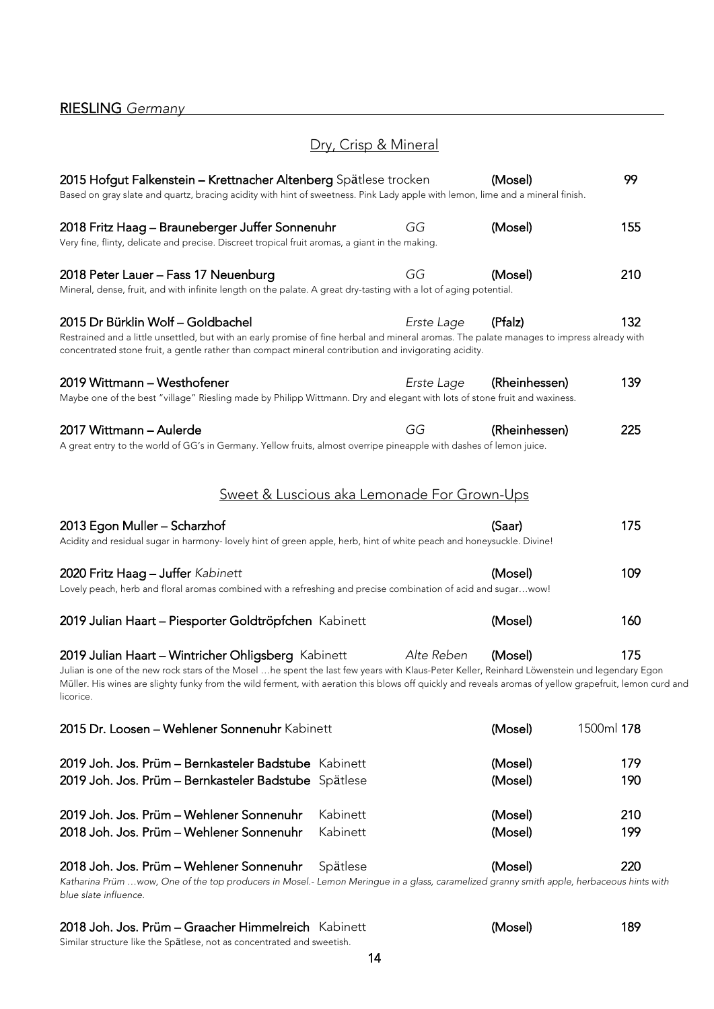# Dry, Crisp & Mineral

<span id="page-13-0"></span>

| 2015 Hofgut Falkenstein – Krettnacher Altenberg Spätlese trocken<br>Based on gray slate and quartz, bracing acidity with hint of sweetness. Pink Lady apple with lemon, lime and a mineral finish.                                                                                                                                                                          |            | (Mosel)            | 99         |
|-----------------------------------------------------------------------------------------------------------------------------------------------------------------------------------------------------------------------------------------------------------------------------------------------------------------------------------------------------------------------------|------------|--------------------|------------|
| 2018 Fritz Haag – Brauneberger Juffer Sonnenuhr                                                                                                                                                                                                                                                                                                                             | GG         | (Mosel)            | 155        |
| Very fine, flinty, delicate and precise. Discreet tropical fruit aromas, a giant in the making.                                                                                                                                                                                                                                                                             |            |                    |            |
| 2018 Peter Lauer - Fass 17 Neuenburg<br>Mineral, dense, fruit, and with infinite length on the palate. A great dry-tasting with a lot of aging potential.                                                                                                                                                                                                                   | GG         | (Mosel)            | 210        |
| 2015 Dr Bürklin Wolf - Goldbachel<br>Restrained and a little unsettled, but with an early promise of fine herbal and mineral aromas. The palate manages to impress already with<br>concentrated stone fruit, a gentle rather than compact mineral contribution and invigorating acidity.                                                                                    | Erste Lage | (Pfalz)            | 132        |
| 2019 Wittmann - Westhofener<br>Maybe one of the best "village" Riesling made by Philipp Wittmann. Dry and elegant with lots of stone fruit and waxiness.                                                                                                                                                                                                                    | Erste Lage | (Rheinhessen)      | 139        |
| 2017 Wittmann - Aulerde<br>A great entry to the world of GG's in Germany. Yellow fruits, almost overripe pineapple with dashes of lemon juice.                                                                                                                                                                                                                              | GG         | (Rheinhessen)      | 225        |
| Sweet & Luscious aka Lemonade For Grown-Ups                                                                                                                                                                                                                                                                                                                                 |            |                    |            |
| 2013 Egon Muller - Scharzhof<br>Acidity and residual sugar in harmony- lovely hint of green apple, herb, hint of white peach and honeysuckle. Divine!                                                                                                                                                                                                                       |            | (Saar)             | 175        |
| 2020 Fritz Haag - Juffer Kabinett<br>Lovely peach, herb and floral aromas combined with a refreshing and precise combination of acid and sugarwow!                                                                                                                                                                                                                          |            | (Mosel)            | 109        |
| 2019 Julian Haart - Piesporter Goldtröpfchen Kabinett                                                                                                                                                                                                                                                                                                                       |            | (Mosel)            | 160        |
| 2019 Julian Haart - Wintricher Ohligsberg Kabinett<br>Julian is one of the new rock stars of the Mosel …he spent the last few years with Klaus-Peter Keller, Reinhard Löwenstein und legendary Egon<br>Müller. His wines are slighty funky from the wild ferment, with aeration this blows off quickly and reveals aromas of yellow grapefruit, lemon curd and<br>licorice. | Alte Reben | (Mosel)            | 175        |
| 2015 Dr. Loosen - Wehlener Sonnenuhr Kabinett                                                                                                                                                                                                                                                                                                                               |            | (Mosel)            | 1500ml 178 |
| 2019 Joh. Jos. Prüm - Bernkasteler Badstube Kabinett<br>2019 Joh. Jos. Prüm - Bernkasteler Badstube Spätlese                                                                                                                                                                                                                                                                |            | (Mosel)<br>(Mosel) | 179<br>190 |
| 2019 Joh. Jos. Prüm - Wehlener Sonnenuhr<br>Kabinett<br>2018 Joh. Jos. Prüm - Wehlener Sonnenuhr<br>Kabinett                                                                                                                                                                                                                                                                |            | (Mosel)<br>(Mosel) | 210<br>199 |
| 2018 Joh. Jos. Prüm - Wehlener Sonnenuhr<br>Spätlese                                                                                                                                                                                                                                                                                                                        |            | (Mosel)            | 220        |

*Katharina Prüm …wow, One of the top producers in Mosel.- Lemon Meringue in a glass, caramelized granny smith apple, herbaceous hints with blue slate influence.* 

#### 2018 Joh. Jos. Prüm – Graacher Himmelreich Kabinett (Mosel) 189 Similar structure like the Spätlese, not as concentrated and sweetish.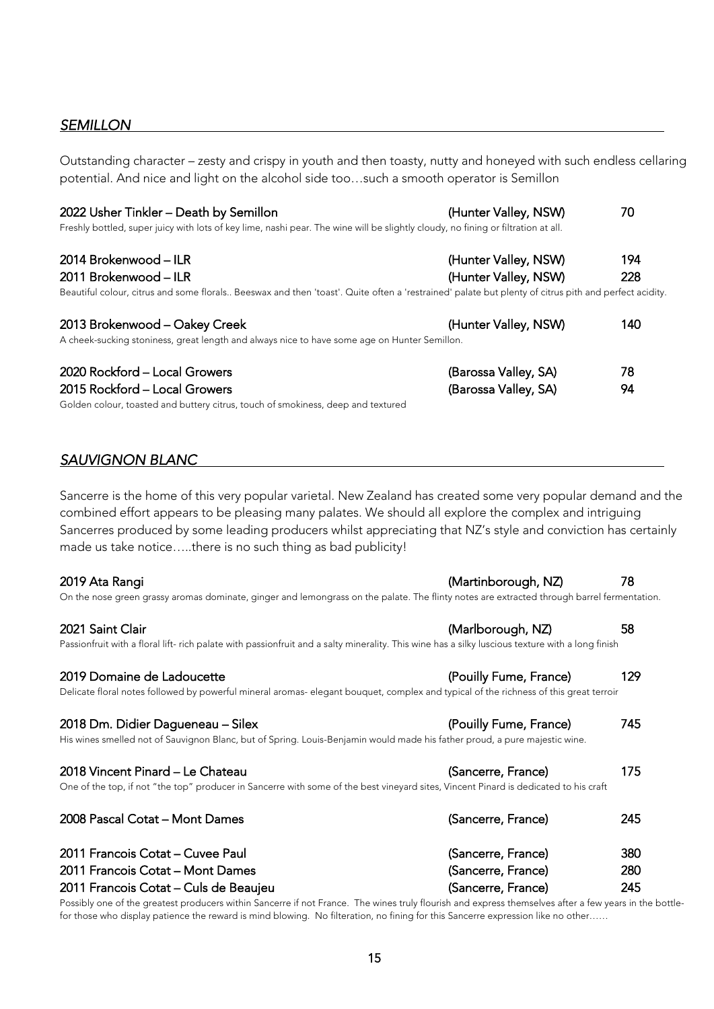#### <span id="page-14-0"></span>*SEMILLON*

Outstanding character – zesty and crispy in youth and then toasty, nutty and honeyed with such endless cellaring potential. And nice and light on the alcohol side too…such a smooth operator is Semillon

| 2022 Usher Tinkler - Death by Semillon                                                                                                               | (Hunter Valley, NSW) | 70  |
|------------------------------------------------------------------------------------------------------------------------------------------------------|----------------------|-----|
| Freshly bottled, super juicy with lots of key lime, nashi pear. The wine will be slightly cloudy, no fining or filtration at all.                    |                      |     |
| 2014 Brokenwood – ILR                                                                                                                                | (Hunter Valley, NSW) | 194 |
| 2011 Brokenwood - ILR                                                                                                                                | (Hunter Valley, NSW) | 228 |
| Beautiful colour, citrus and some florals Beeswax and then 'toast'. Quite often a 'restrained' palate but plenty of citrus pith and perfect acidity. |                      |     |
| 2013 Brokenwood - Oakey Creek                                                                                                                        | (Hunter Valley, NSW) | 140 |
| A cheek-sucking stoniness, great length and always nice to have some age on Hunter Semillon.                                                         |                      |     |
| 2020 Rockford - Local Growers                                                                                                                        | (Barossa Valley, SA) | 78  |
| 2015 Rockford - Local Growers                                                                                                                        | (Barossa Valley, SA) | 94  |
| Golden colour, toasted and buttery citrus, touch of smokiness, deep and textured                                                                     |                      |     |

#### *SAUVIGNON BLANC*

Sancerre is the home of this very popular varietal. New Zealand has created some very popular demand and the combined effort appears to be pleasing many palates. We should all explore the complex and intriguing Sancerres produced by some leading producers whilst appreciating that NZ's style and conviction has certainly made us take notice…..there is no such thing as bad publicity!

#### 2019 Ata Rangi (Martinborough, NZ) 78

On the nose green grassy aromas dominate, ginger and lemongrass on the palate. The flinty notes are extracted through barrel fermentation.

#### 2021 Saint Clair (Marlborough, NZ) 58

Passionfruit with a floral lift- rich palate with passionfruit and a salty minerality. This wine has a silky luscious texture with a long finish

#### 2019 Domaine de Ladoucette (Pouilly Fume, France) 129

#### Delicate floral notes followed by powerful mineral aromas- elegant bouquet, complex and typical of the richness of this great terroir

2018 Dm. Didier Dagueneau – Silex (Pouilly Fume, France) 745 His wines smelled not of Sauvignon Blanc, but of Spring. Louis-Benjamin would made his father proud, a pure majestic wine.

| 2018 Vincent Pinard - Le Chateau | (Sancerre, France) | 175 |
|----------------------------------|--------------------|-----|

One of the top, if not "the top" producer in Sancerre with some of the best vineyard sites, Vincent Pinard is dedicated to his craft

| 2008 Pascal Cotat – Mont Dames        | (Sancerre, France) | 245 |
|---------------------------------------|--------------------|-----|
| 2011 Francois Cotat – Cuvee Paul      | (Sancerre, France) | 380 |
| 2011 Francois Cotat - Mont Dames      | (Sancerre, France) | 280 |
| 2011 Francois Cotat - Culs de Beaujeu | (Sancerre, France) | 245 |

Possibly one of the greatest producers within Sancerre if not France. The wines truly flourish and express themselves after a few years in the bottlefor those who display patience the reward is mind blowing. No filteration, no fining for this Sancerre expression like no other……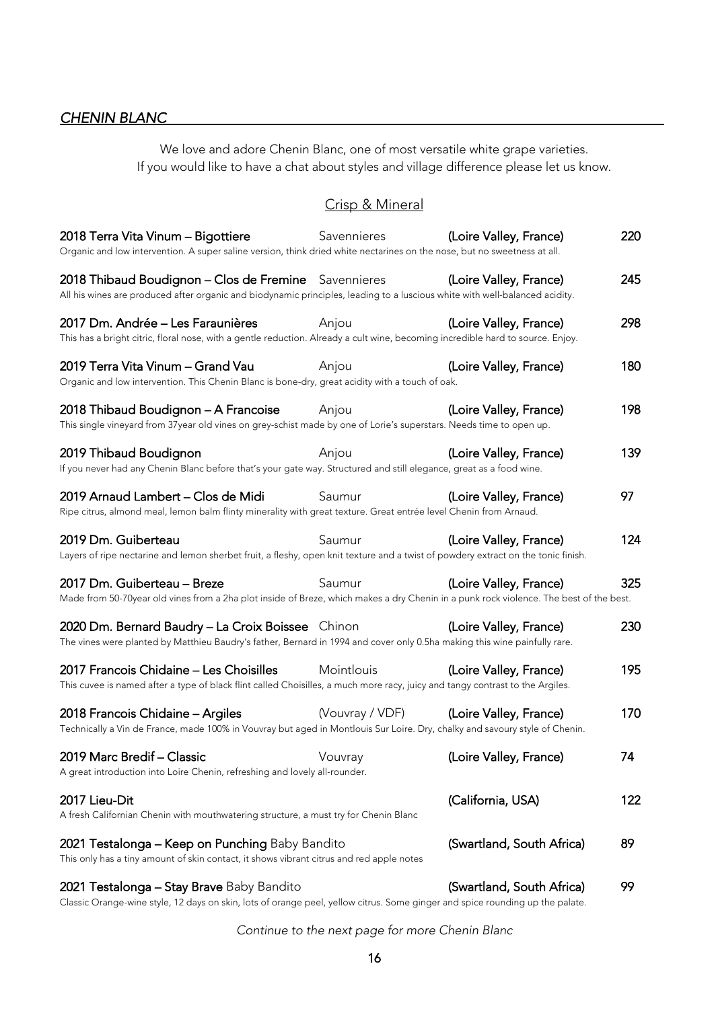# <span id="page-15-0"></span>*CHENIN BLANC*

We love and adore Chenin Blanc, one of most versatile white grape varieties. If you would like to have a chat about styles and village difference please let us know.

### Crisp & Mineral

| 2018 Terra Vita Vinum - Bigottiere<br>Organic and low intervention. A super saline version, think dried white nectarines on the nose, but no sweetness at all.                      | Savennieres     | (Loire Valley, France)    | 220 |
|-------------------------------------------------------------------------------------------------------------------------------------------------------------------------------------|-----------------|---------------------------|-----|
| 2018 Thibaud Boudignon - Clos de Fremine Savennieres<br>All his wines are produced after organic and biodynamic principles, leading to a luscious white with well-balanced acidity. |                 | (Loire Valley, France)    | 245 |
| 2017 Dm. Andrée - Les Faraunières<br>This has a bright citric, floral nose, with a gentle reduction. Already a cult wine, becoming incredible hard to source. Enjoy.                | Anjou           | (Loire Valley, France)    | 298 |
| 2019 Terra Vita Vinum - Grand Vau<br>Organic and low intervention. This Chenin Blanc is bone-dry, great acidity with a touch of oak.                                                | Anjou           | (Loire Valley, France)    | 180 |
| 2018 Thibaud Boudignon - A Francoise<br>This single vineyard from 37year old vines on grey-schist made by one of Lorie's superstars. Needs time to open up.                         | Anjou           | (Loire Valley, France)    | 198 |
| 2019 Thibaud Boudignon<br>If you never had any Chenin Blanc before that's your gate way. Structured and still elegance, great as a food wine.                                       | Anjou           | (Loire Valley, France)    | 139 |
| 2019 Arnaud Lambert - Clos de Midi<br>Ripe citrus, almond meal, lemon balm flinty minerality with great texture. Great entrée level Chenin from Arnaud.                             | Saumur          | (Loire Valley, France)    | 97  |
| 2019 Dm. Guiberteau<br>Layers of ripe nectarine and lemon sherbet fruit, a fleshy, open knit texture and a twist of powdery extract on the tonic finish.                            | Saumur          | (Loire Valley, France)    | 124 |
| 2017 Dm. Guiberteau - Breze<br>Made from 50-70year old vines from a 2ha plot inside of Breze, which makes a dry Chenin in a punk rock violence. The best of the best.               | Saumur          | (Loire Valley, France)    | 325 |
| 2020 Dm. Bernard Baudry - La Croix Boissee Chinon<br>The vines were planted by Matthieu Baudry's father, Bernard in 1994 and cover only 0.5ha making this wine painfully rare.      |                 | (Loire Valley, France)    | 230 |
| 2017 Francois Chidaine - Les Choisilles<br>This cuvee is named after a type of black flint called Choisilles, a much more racy, juicy and tangy contrast to the Argiles.            | Mointlouis      | (Loire Valley, France)    | 195 |
| 2018 Francois Chidaine - Argiles<br>Technically a Vin de France, made 100% in Vouvray but aged in Montlouis Sur Loire. Dry, chalky and savoury style of Chenin.                     | (Vouvray / VDF) | (Loire Valley, France)    | 170 |
| 2019 Marc Bredif - Classic<br>A great introduction into Loire Chenin, refreshing and lovely all-rounder.                                                                            | Vouvray         | (Loire Valley, France)    | 74  |
| 2017 Lieu-Dit<br>A fresh Californian Chenin with mouthwatering structure, a must try for Chenin Blanc                                                                               |                 | (California, USA)         | 122 |
| 2021 Testalonga - Keep on Punching Baby Bandito<br>This only has a tiny amount of skin contact, it shows vibrant citrus and red apple notes                                         |                 | (Swartland, South Africa) | 89  |
| 2021 Testalonga - Stay Brave Baby Bandito                                                                                                                                           |                 | (Swartland, South Africa) | 99  |

Classic Orange-wine style, 12 days on skin, lots of orange peel, yellow citrus. Some ginger and spice rounding up the palate.

*Continue to the next page for more Chenin Blanc*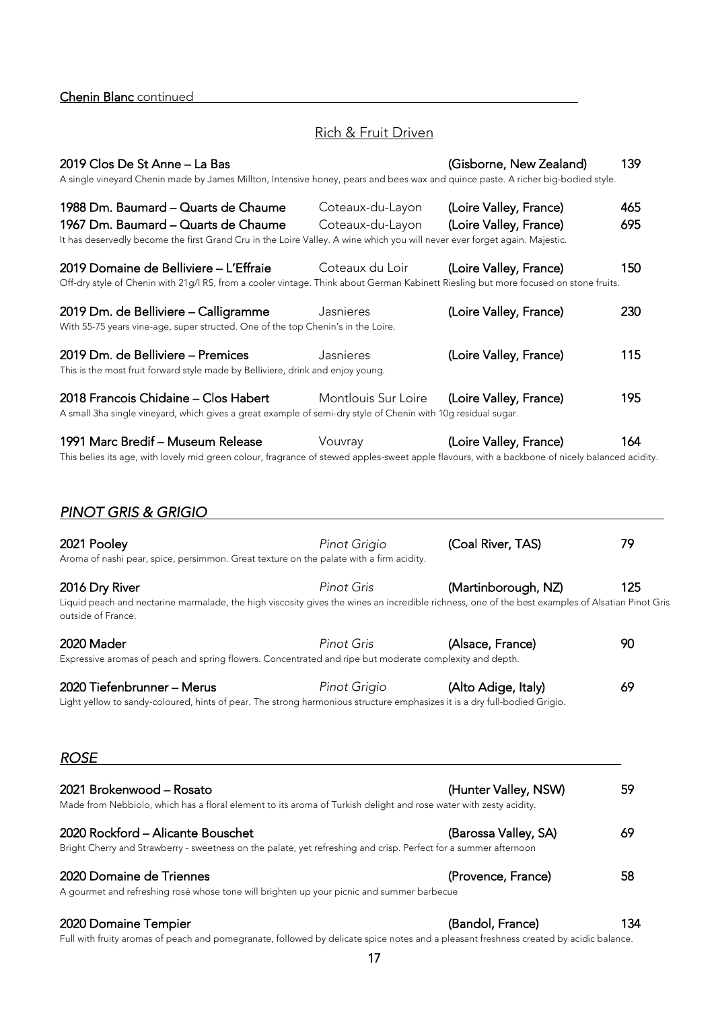### Rich & Fruit Driven

<span id="page-16-0"></span>

| 2019 Clos De St Anne – La Bas<br>A single vineyard Chenin made by James Millton, Intensive honey, pears and bees wax and quince paste. A richer big-bodied style.                    |                     | (Gisborne, New Zealand) | 139 |
|--------------------------------------------------------------------------------------------------------------------------------------------------------------------------------------|---------------------|-------------------------|-----|
| 1988 Dm. Baumard – Quarts de Chaume                                                                                                                                                  | Coteaux-du-Layon    | (Loire Valley, France)  | 465 |
| 1967 Dm. Baumard – Quarts de Chaume                                                                                                                                                  | Coteaux-du-Layon    | (Loire Valley, France)  | 695 |
| It has deservedly become the first Grand Cru in the Loire Valley. A wine which you will never ever forget again. Majestic.                                                           |                     |                         |     |
| 2019 Domaine de Belliviere – L'Effraie<br>Off-dry style of Chenin with 21g/l RS, from a cooler vintage. Think about German Kabinett Riesling but more focused on stone fruits.       | Coteaux du Loir     | (Loire Valley, France)  | 150 |
| 2019 Dm. de Belliviere – Calligramme<br>With 55-75 years vine-age, super structed. One of the top Chenin's in the Loire.                                                             | Jasnieres           | (Loire Valley, France)  | 230 |
| 2019 Dm. de Belliviere – Premices<br>This is the most fruit forward style made by Belliviere, drink and enjoy young.                                                                 | Jasnieres           | (Loire Valley, France)  | 115 |
| 2018 Francois Chidaine – Clos Habert<br>A small 3ha single vineyard, which gives a great example of semi-dry style of Chenin with 10g residual sugar.                                | Montlouis Sur Loire | (Loire Valley, France)  | 195 |
| 1991 Marc Bredif – Museum Release<br>This belies its age, with lovely mid green colour, fragrance of stewed apples-sweet apple flavours, with a backbone of nicely balanced acidity. | Vouvray             | (Loire Valley, France)  | 164 |
| <b>PINOT GRIS &amp; GRIGIO</b><br>2021 Pooley                                                                                                                                        | Pinot Grigio        | (Coal River, TAS)       | 79  |
| Aroma of nashi pear, spice, persimmon. Great texture on the palate with a firm acidity.                                                                                              |                     |                         |     |
| 2016 Dry River                                                                                                                                                                       | <b>Pinot Gris</b>   | (Martinborough, NZ)     | 125 |
| Liquid peach and nectarine marmalade, the high viscosity gives the wines an incredible richness, one of the best examples of Alsatian Pinot Gris<br>outside of France.               |                     |                         |     |
| 2020 Mader                                                                                                                                                                           | <b>Pinot Gris</b>   | (Alsace, France)        | 90  |
| Expressive aromas of peach and spring flowers. Concentrated and ripe but moderate complexity and depth.                                                                              |                     |                         |     |
| 2020 Tiefenbrunner – Merus                                                                                                                                                           | Pinot Grigio        | (Alto Adige, Italy)     | 69  |
| Light yellow to sandy-coloured, hints of pear. The strong harmonious structure emphasizes it is a dry full-bodied Grigio.                                                            |                     |                         |     |
| <b>ROSE</b>                                                                                                                                                                          |                     |                         |     |
| 2021 Brokenwood – Rosato                                                                                                                                                             |                     | (Hunter Valley, NSW)    | 59  |
| Made from Nebbiolo, which has a floral element to its aroma of Turkish delight and rose water with zesty acidity.                                                                    |                     |                         |     |
|                                                                                                                                                                                      |                     |                         |     |

| Bright Cherry and Strawberry - sweetness on the palate, yet refreshing and crisp. Perfect for a summer afternoon |                    |    |
|------------------------------------------------------------------------------------------------------------------|--------------------|----|
| 2020 Domaine de Triennes                                                                                         | (Provence, France) | 58 |
| A gourmet and refreshing rosé whose tone will brighten up your picnic and summer barbecue                        |                    |    |

2020 Rockford – Alicante Bouschet (Barossa Valley, SA) 69

2020 Domaine Tempier (Bandol, France) 134

Full with fruity aromas of peach and pomegranate, followed by delicate spice notes and a pleasant freshness created by acidic balance.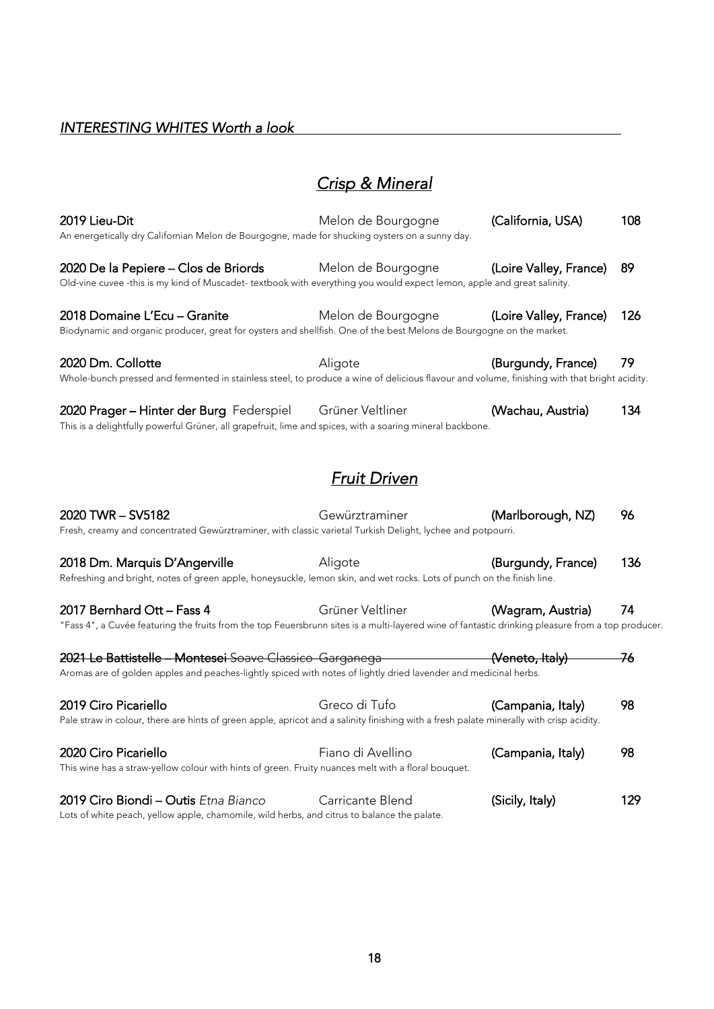### <span id="page-17-0"></span>*INTERESTING WHITES Worth a look*

# *Crisp & Mineral*

| 2019 Lieu-Dit<br>An energetically dry Californian Melon de Bourgogne, made for shucking oysters on a sunny day.                                                                | Melon de Bourgogne  | (California, USA)      | 108 |
|--------------------------------------------------------------------------------------------------------------------------------------------------------------------------------|---------------------|------------------------|-----|
| 2020 De la Pepiere - Clos de Briords<br>Old-vine cuvee -this is my kind of Muscadet- textbook with everything you would expect lemon, apple and great salinity.                | Melon de Bourgogne  | (Loire Valley, France) | 89  |
| 2018 Domaine L'Ecu - Granite<br>Biodynamic and organic producer, great for oysters and shellfish. One of the best Melons de Bourgogne on the market.                           | Melon de Bourgogne  | (Loire Valley, France) | 126 |
| 2020 Dm. Collotte<br>Whole-bunch pressed and fermented in stainless steel, to produce a wine of delicious flavour and volume, finishing with that bright acidity.              | Aligote             | (Burgundy, France)     | 79  |
| 2020 Prager - Hinter der Burg Federspiel<br>This is a delightfully powerful Grüner, all grapefruit, lime and spices, with a soaring mineral backbone.                          | Grüner Veltliner    | (Wachau, Austria)      | 134 |
|                                                                                                                                                                                | <b>Fruit Driven</b> |                        |     |
| 2020 TWR - SV5182<br>Fresh, creamy and concentrated Gewürztraminer, with classic varietal Turkish Delight, lychee and potpourri.                                               | Gewürztraminer      | (Marlborough, NZ)      | 96  |
| 2018 Dm. Marquis D'Angerville<br>Refreshing and bright, notes of green apple, honeysuckle, lemon skin, and wet rocks. Lots of punch on the finish line.                        | Aligote             | (Burgundy, France)     | 136 |
| 2017 Bernhard Ott - Fass 4<br>"Fass 4", a Cuvée featuring the fruits from the top Feuersbrunn sites is a multi-layered wine of fantastic drinking pleasure from a top producer | Grüner Veltliner    | (Wagram, Austria)      | 74  |
| 2021 Le Battistelle - Montesei Soave Classico Garganega<br>Aromas are of golden apples and peaches-lightly spiced with notes of lightly dried lavender and medicinal herbs.    |                     | (Veneto, Italy)        | 76  |
| 2019 Ciro Picariello<br>Pale straw in colour, there are hints of green apple, apricot and a salinity finishing with a fresh palate minerally with crisp acidity.               | Greco di Tufo       | (Campania, Italy)      | 98  |
| 2020 Ciro Picariello<br>This wine has a straw-yellow colour with hints of green. Fruity nuances melt with a floral bouquet.                                                    | Fiano di Avellino   | (Campania, Italy)      | 98  |
| 2019 Ciro Biondi - Outis Etna Bianco<br>Lots of white peach, yellow apple, chamomile, wild herbs, and citrus to balance the palate.                                            | Carricante Blend    | (Sicily, Italy)        | 129 |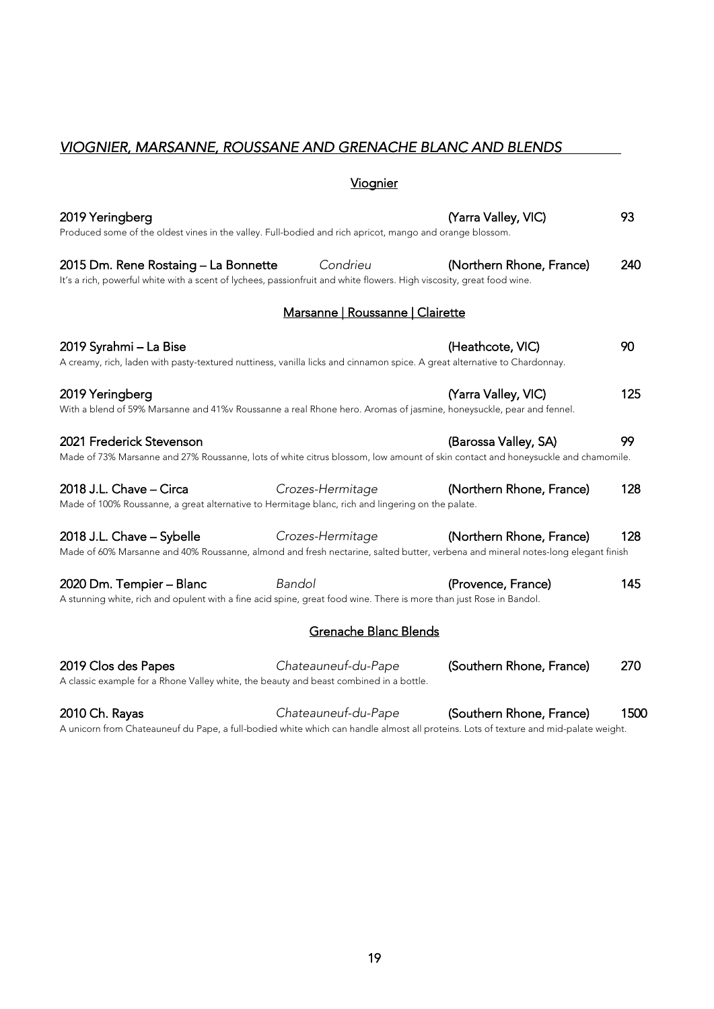# <span id="page-18-0"></span>*VIOGNIER, MARSANNE, ROUSSANE AND GRENACHE BLANC AND BLENDS*

### Viognier

| 2019 Yeringberg<br>Produced some of the oldest vines in the valley. Full-bodied and rich apricot, mango and orange blossom.                                   |                                  | (Yarra Valley, VIC)      | 93   |
|---------------------------------------------------------------------------------------------------------------------------------------------------------------|----------------------------------|--------------------------|------|
| 2015 Dm. Rene Rostaing - La Bonnette<br>It's a rich, powerful white with a scent of lychees, passionfruit and white flowers. High viscosity, great food wine. | Condrieu                         | (Northern Rhone, France) | 240  |
|                                                                                                                                                               | Marsanne   Roussanne   Clairette |                          |      |
| 2019 Syrahmi - La Bise<br>A creamy, rich, laden with pasty-textured nuttiness, vanilla licks and cinnamon spice. A great alternative to Chardonnay.           |                                  | (Heathcote, VIC)         | 90   |
| 2019 Yeringberg<br>With a blend of 59% Marsanne and 41%v Roussanne a real Rhone hero. Aromas of jasmine, honeysuckle, pear and fennel.                        |                                  | (Yarra Valley, VIC)      | 125  |
| 2021 Frederick Stevenson<br>Made of 73% Marsanne and 27% Roussanne, lots of white citrus blossom, low amount of skin contact and honeysuckle and chamomile.   |                                  | (Barossa Valley, SA)     | 99   |
| 2018 J.L. Chave - Circa<br>Made of 100% Roussanne, a great alternative to Hermitage blanc, rich and lingering on the palate.                                  | Crozes-Hermitage                 | (Northern Rhone, France) | 128  |
| 2018 J.L. Chave - Sybelle<br>Made of 60% Marsanne and 40% Roussanne, almond and fresh nectarine, salted butter, verbena and mineral notes-long elegant finish | Crozes-Hermitage                 | (Northern Rhone, France) | 128  |
| 2020 Dm. Tempier - Blanc<br>A stunning white, rich and opulent with a fine acid spine, great food wine. There is more than just Rose in Bandol.               | Bandol                           | (Provence, France)       | 145  |
|                                                                                                                                                               | Grenache Blanc Blends            |                          |      |
| 2019 Clos des Papes<br>A classic example for a Rhone Valley white, the beauty and beast combined in a bottle.                                                 | Chateauneuf-du-Pape              | (Southern Rhone, France) | 270  |
| 2010 Ch. Rayas                                                                                                                                                | Chateauneuf-du-Pape              | (Southern Rhone, France) | 1500 |

A unicorn from Chateauneuf du Pape, a full-bodied white which can handle almost all proteins. Lots of texture and mid-palate weight.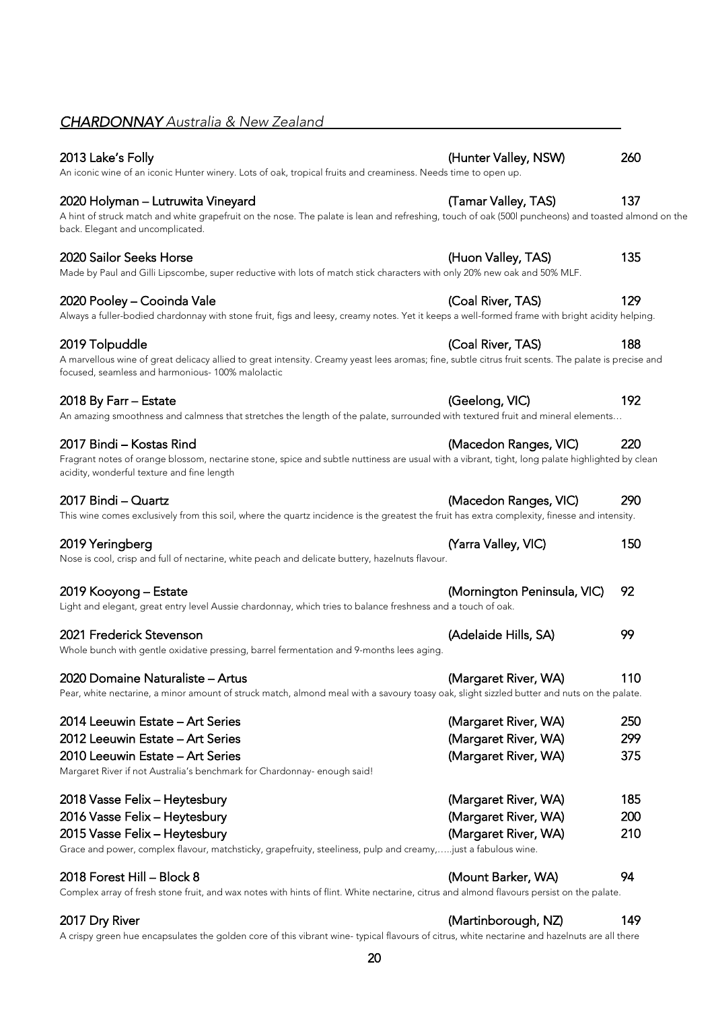# <span id="page-19-0"></span>*CHARDONNAY Australia & New Zealand*

# 2013 Lake's Folly (Hunter Valley, NSW) 260

An iconic wine of an iconic Hunter winery. Lots of oak, tropical fruits and creaminess. Needs time to open up.

### 2020 Holyman – Lutruwita Vineyard (Tamar Valley, TAS) 137

| A hint of struck match and white grapefruit on the nose. The palate is lean and refreshing, touch of oak (500 puncheons) and toasted almond on the |  |  |  |  |
|----------------------------------------------------------------------------------------------------------------------------------------------------|--|--|--|--|
| back. Elegant and uncomplicated.                                                                                                                   |  |  |  |  |

Made by Paul and Gilli Lipscombe, super reductive with lots of match stick characters with only 20% new oak and 50% MLF.

#### 2020 Pooley – Cooinda Vale (Coal River, TAS) 129

Always a fuller-bodied chardonnay with stone fruit, figs and leesy, creamy notes. Yet it keeps a well-formed frame with bright acidity helping.

A marvellous wine of great delicacy allied to great intensity. Creamy yeast lees aromas; fine, subtle citrus fruit scents. The palate is precise and focused, seamless and harmonious- 100% malolactic

#### 2018 By Farr – Estate (Geelong, VIC) 192

An amazing smoothness and calmness that stretches the length of the palate, surrounded with textured fruit and mineral elements…

#### 2017 Bindi – Kostas Rind (Macedon Ranges, VIC) 220

| Fragrant notes of orange blossom, nectarine stone, spice and subtle nuttiness are usual with a vibrant, tight, long palate highlighted by clean |  |
|-------------------------------------------------------------------------------------------------------------------------------------------------|--|
| acidity, wonderful texture and fine length                                                                                                      |  |

This wine comes exclusively from this soil, where the quartz incidence is the greatest the fruit has extra complexity, finesse and intensity.

| 2019 Yeringberg<br>Nose is cool, crisp and full of nectarine, white peach and delicate buttery, hazelnuts flavour.                    | (Yarra Valley, VIC)            | 150 |
|---------------------------------------------------------------------------------------------------------------------------------------|--------------------------------|-----|
| 2019 Kooyong – Estate<br>Light and elegant, great entry level Aussie chardonnay, which tries to balance freshness and a touch of oak. | (Mornington Peninsula, VIC) 92 |     |

# 2021 Frederick Stevenson (Adelaide Hills, SA) 99

Whole bunch with gentle oxidative pressing, barrel fermentation and 9-months lees aging.

# 2020 Domaine Naturaliste – Artus (Margaret River, WA) 110

Pear, white nectarine, a minor amount of struck match, almond meal with a savoury toasy oak, slight sizzled butter and nuts on the palate.

| (Margaret River, WA) | 250        |
|----------------------|------------|
| (Margaret River, WA) | 299        |
| (Margaret River, WA) | 375        |
|                      |            |
| (Margaret River, WA) | 185        |
| (Margaret River, WA) | <b>200</b> |
| (Margaret River, WA) | 210        |
|                      |            |

Grace and power, complex flavour, matchsticky, grapefruity, steeliness, pulp and creamy,…..just a fabulous wine.

# 2018 Forest Hill – Block 8 (Mount Barker, WA) 94

Complex array of fresh stone fruit, and wax notes with hints of flint. White nectarine, citrus and almond flavours persist on the palate.

### 2017 Dry River (Martinborough, NZ) 149

A crispy green hue encapsulates the golden core of this vibrant wine- typical flavours of citrus, white nectarine and hazelnuts are all there

- 2020 Sailor Seeks Horse (Huon Valley, TAS) 135
	-
- 2019 Tolpuddle (Coal River, TAS) 188
	-
	-

- 2017 Bindi Quartz (Macedon Ranges, VIC) 290
	-
	-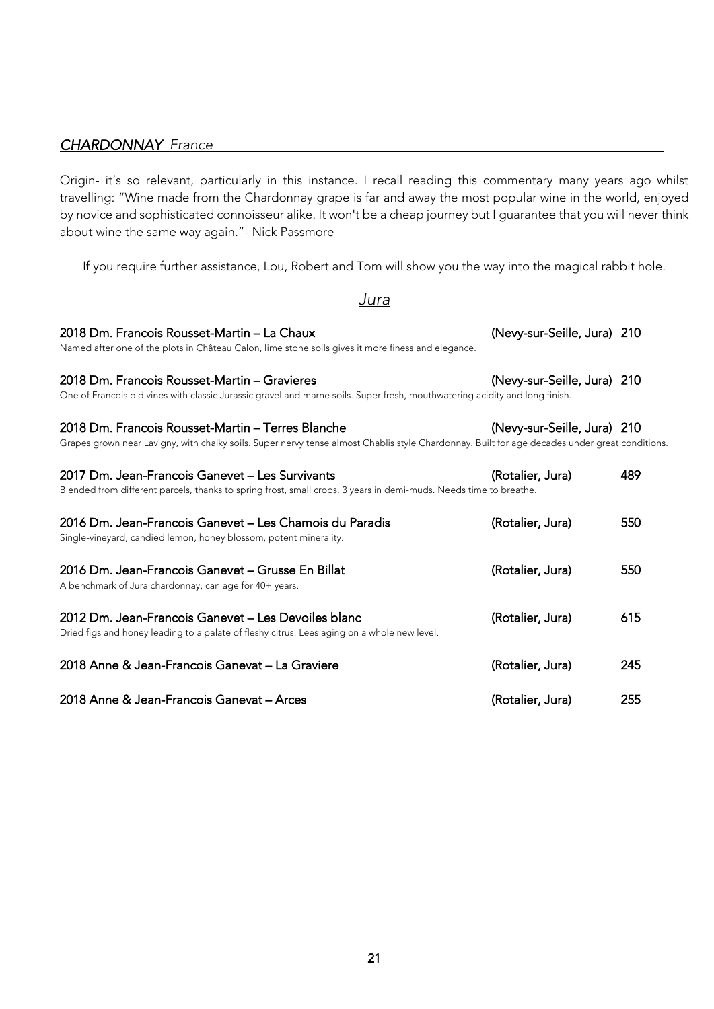<span id="page-20-0"></span>Origin- it's so relevant, particularly in this instance. I recall reading this commentary many years ago whilst travelling: "Wine made from the Chardonnay grape is far and away the most popular wine in the world, enjoyed by novice and sophisticated connoisseur alike. It won't be a cheap journey but I guarantee that you will never think about wine the same way again."- Nick Passmore

If you require further assistance, Lou, Robert and Tom will show you the way into the magical rabbit hole.

### *Jura*

| 2018 Dm. Francois Rousset-Martin - La Chaux<br>Named after one of the plots in Château Calon, lime stone soils gives it more finess and elegance.                                                   | (Nevy-sur-Seille, Jura) 210 |     |
|-----------------------------------------------------------------------------------------------------------------------------------------------------------------------------------------------------|-----------------------------|-----|
| 2018 Dm. Francois Rousset-Martin - Gravieres<br>One of Francois old vines with classic Jurassic gravel and marne soils. Super fresh, mouthwatering acidity and long finish.                         | (Nevy-sur-Seille, Jura) 210 |     |
| 2018 Dm. Francois Rousset-Martin – Terres Blanche<br>Grapes grown near Lavigny, with chalky soils. Super nervy tense almost Chablis style Chardonnay. Built for age decades under great conditions. | (Nevy-sur-Seille, Jura) 210 |     |
| 2017 Dm. Jean-Francois Ganevet - Les Survivants<br>Blended from different parcels, thanks to spring frost, small crops, 3 years in demi-muds. Needs time to breathe.                                | (Rotalier, Jura)            | 489 |
| 2016 Dm. Jean-Francois Ganevet - Les Chamois du Paradis<br>Single-vineyard, candied lemon, honey blossom, potent minerality.                                                                        | (Rotalier, Jura)            | 550 |
| 2016 Dm. Jean-Francois Ganevet – Grusse En Billat<br>A benchmark of Jura chardonnay, can age for 40+ years.                                                                                         | (Rotalier, Jura)            | 550 |
| 2012 Dm. Jean-Francois Ganevet - Les Devoiles blanc<br>Dried figs and honey leading to a palate of fleshy citrus. Lees aging on a whole new level.                                                  | (Rotalier, Jura)            | 615 |
| 2018 Anne & Jean-Francois Ganevat - La Graviere                                                                                                                                                     | (Rotalier, Jura)            | 245 |
| 2018 Anne & Jean-Francois Ganevat - Arces                                                                                                                                                           | (Rotalier, Jura)            | 255 |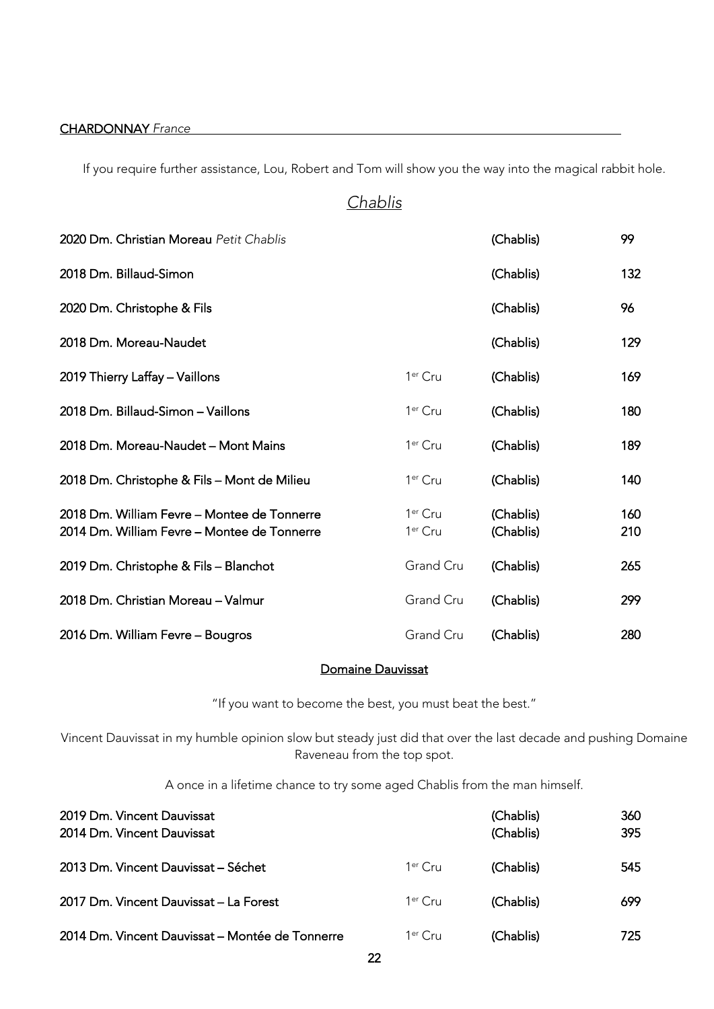If you require further assistance, Lou, Robert and Tom will show you the way into the magical rabbit hole.

# *Chablis*

| 2020 Dm. Christian Moreau Petit Chablis                                                    |                                            | (Chablis)              | 99         |
|--------------------------------------------------------------------------------------------|--------------------------------------------|------------------------|------------|
| 2018 Dm. Billaud-Simon                                                                     |                                            | (Chablis)              | 132        |
| 2020 Dm. Christophe & Fils                                                                 |                                            | (Chablis)              | 96         |
| 2018 Dm. Moreau-Naudet                                                                     |                                            | (Chablis)              | 129        |
| 2019 Thierry Laffay - Vaillons                                                             | 1 <sup>er</sup> Cru                        | (Chablis)              | 169        |
| 2018 Dm. Billaud-Simon - Vaillons                                                          | 1 <sup>er</sup> Cru                        | (Chablis)              | 180        |
| 2018 Dm. Moreau-Naudet - Mont Mains                                                        | 1 <sup>er</sup> Cru                        | (Chablis)              | 189        |
| 2018 Dm. Christophe & Fils - Mont de Milieu                                                | 1 <sup>er</sup> Cru                        | (Chablis)              | 140        |
| 2018 Dm. William Fevre - Montee de Tonnerre<br>2014 Dm. William Fevre - Montee de Tonnerre | 1 <sup>er</sup> Cru<br>1 <sup>er</sup> Cru | (Chablis)<br>(Chablis) | 160<br>210 |
| 2019 Dm. Christophe & Fils - Blanchot                                                      | Grand Cru                                  | (Chablis)              | 265        |
| 2018 Dm. Christian Moreau - Valmur                                                         | Grand Cru                                  | (Chablis)              | 299        |
| 2016 Dm. William Fevre - Bougros                                                           | Grand Cru                                  | (Chablis)              | 280        |

### Domaine Dauvissat

"If you want to become the best, you must beat the best."

Vincent Dauvissat in my humble opinion slow but steady just did that over the last decade and pushing Domaine Raveneau from the top spot.

A once in a lifetime chance to try some aged Chablis from the man himself.

| 2019 Dm. Vincent Dauvissat<br>2014 Dm. Vincent Dauvissat |           | (Chablis)<br>(Chablis) | 360<br>395 |
|----------------------------------------------------------|-----------|------------------------|------------|
| 2013 Dm. Vincent Dauvissat – Séchet                      | $1er$ Cru | (Chablis)              | 545        |
| 2017 Dm. Vincent Dauvissat - La Forest                   | $1er$ Cru | (Chablis)              | 699        |
| 2014 Dm. Vincent Dauvissat - Montée de Tonnerre          | $1er$ Cru | (Chablis)              | 725.       |

<u>22 and 23</u>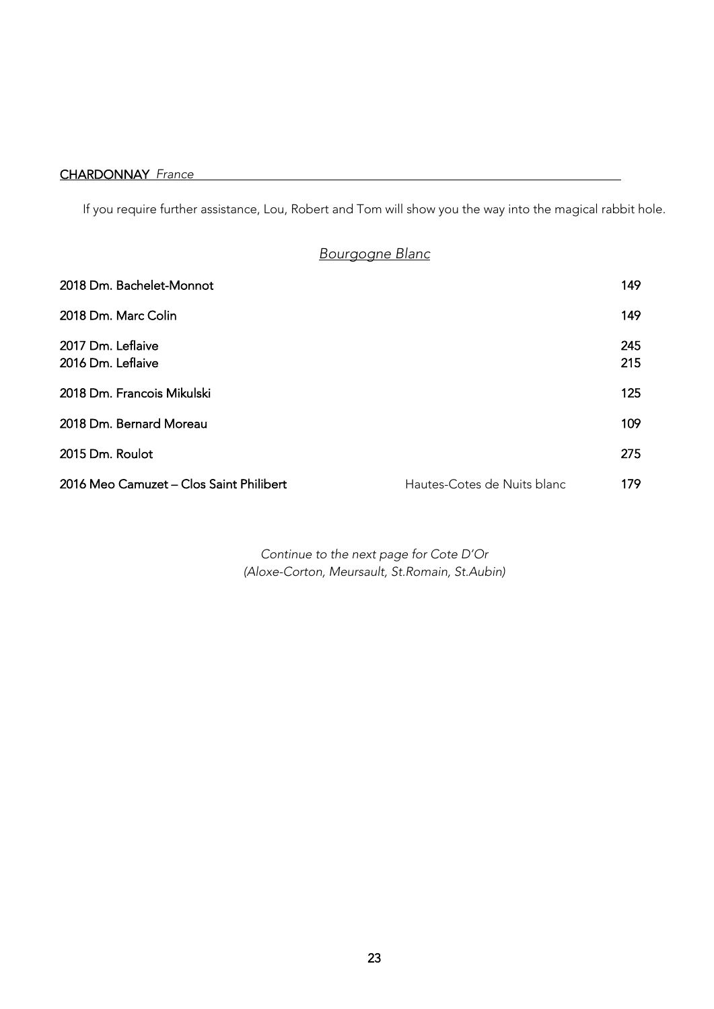If you require further assistance, Lou, Robert and Tom will show you the way into the magical rabbit hole.

# *Bourgogne Blanc*

| 2018 Dm. Bachelet-Monnot                |                             | 149        |
|-----------------------------------------|-----------------------------|------------|
| 2018 Dm. Marc Colin                     |                             | 149        |
| 2017 Dm. Leflaive<br>2016 Dm. Leflaive  |                             | 245<br>215 |
| 2018 Dm. Francois Mikulski              |                             | 125        |
| 2018 Dm. Bernard Moreau                 |                             | 109        |
| 2015 Dm. Roulot                         |                             | 275        |
| 2016 Meo Camuzet - Clos Saint Philibert | Hautes-Cotes de Nuits blanc | 179        |

*Continue to the next page for Cote D'Or (Aloxe-Corton, Meursault, St.Romain, St.Aubin)*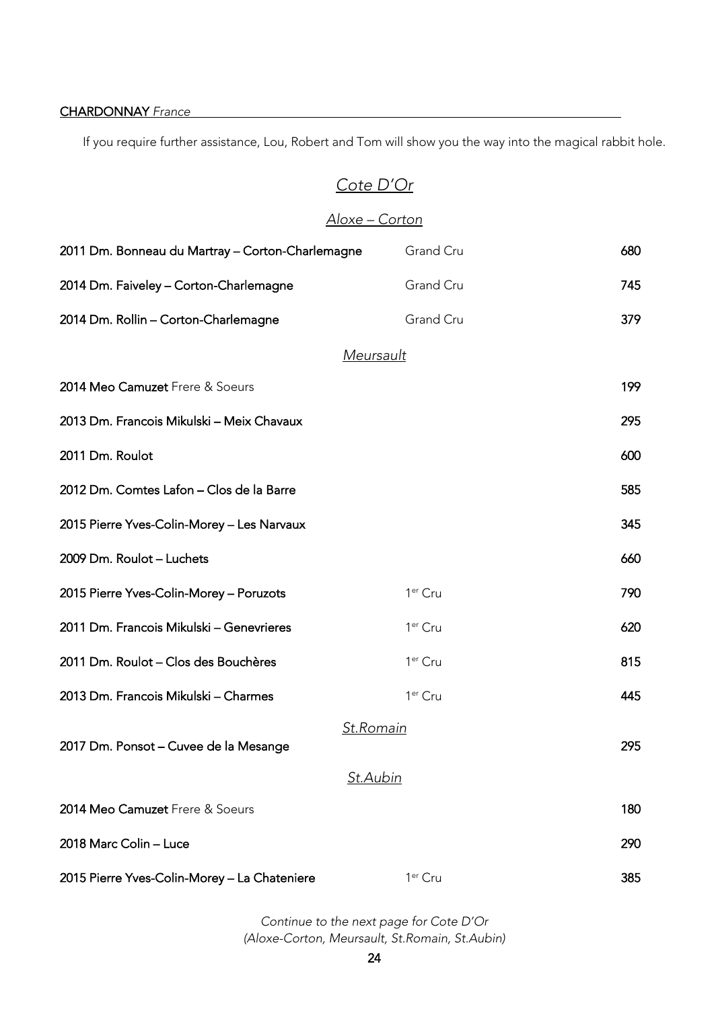If you require further assistance, Lou, Robert and Tom will show you the way into the magical rabbit hole.

# *Cote D'Or*

# *Aloxe – Corton*

| 2011 Dm. Bonneau du Martray - Corton-Charlemagne | Grand Cru           | 680 |
|--------------------------------------------------|---------------------|-----|
| 2014 Dm. Faiveley - Corton-Charlemagne           | Grand Cru           | 745 |
| 2014 Dm. Rollin - Corton-Charlemagne             | Grand Cru           | 379 |
|                                                  | Meursault           |     |
| 2014 Meo Camuzet Frere & Soeurs                  |                     | 199 |
| 2013 Dm. Francois Mikulski - Meix Chavaux        |                     | 295 |
| 2011 Dm. Roulot                                  |                     | 600 |
| 2012 Dm. Comtes Lafon - Clos de la Barre         |                     | 585 |
| 2015 Pierre Yves-Colin-Morey - Les Narvaux       |                     | 345 |
| 2009 Dm. Roulot - Luchets                        |                     | 660 |
| 2015 Pierre Yves-Colin-Morey - Poruzots          | 1 <sup>er</sup> Cru | 790 |
| 2011 Dm. Francois Mikulski - Genevrieres         | 1 <sup>er</sup> Cru | 620 |
| 2011 Dm. Roulot - Clos des Bouchères             | 1 <sup>er</sup> Cru | 815 |
| 2013 Dm. Francois Mikulski - Charmes             | 1 <sup>er</sup> Cru | 445 |
|                                                  | St.Romain           |     |
| 2017 Dm. Ponsot – Cuvee de la Mesange            | <u>St.Aubin</u>     | 295 |
| 2014 Meo Camuzet Frere & Soeurs                  |                     | 180 |
| 2018 Marc Colin - Luce                           |                     | 290 |
|                                                  |                     |     |
| 2015 Pierre Yves-Colin-Morey - La Chateniere     | 1 <sup>er</sup> Cru | 385 |

*Continue to the next page for Cote D'Or (Aloxe-Corton, Meursault, St.Romain, St.Aubin)*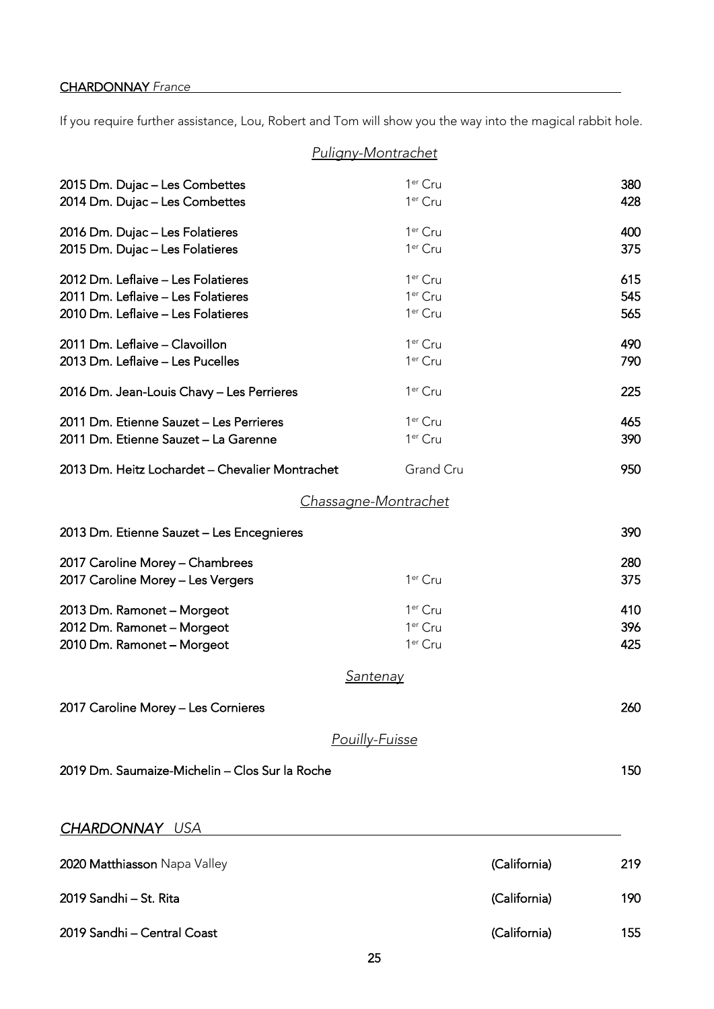<span id="page-24-0"></span>If you require further assistance, Lou, Robert and Tom will show you the way into the magical rabbit hole.

|                                                                                                                | <u>Puligny-Montrachet</u>                                         |                   |
|----------------------------------------------------------------------------------------------------------------|-------------------------------------------------------------------|-------------------|
| 2015 Dm. Dujac - Les Combettes<br>2014 Dm. Dujac - Les Combettes                                               | 1 <sup>er</sup> Cru<br>1 <sup>er</sup> Cru                        | 380<br>428        |
| 2016 Dm. Dujac - Les Folatieres<br>2015 Dm. Dujac - Les Folatieres                                             | 1 <sup>er</sup> Cru<br>1 <sup>er</sup> Cru                        | 400<br>375        |
| 2012 Dm. Leflaive - Les Folatieres<br>2011 Dm. Leflaive - Les Folatieres<br>2010 Dm. Leflaive - Les Folatieres | 1 <sup>er</sup> Cru<br>1 <sup>er</sup> Cru<br>1 <sup>er</sup> Cru | 615<br>545<br>565 |
| 2011 Dm. Leflaive - Clavoillon<br>2013 Dm. Leflaive - Les Pucelles                                             | 1 <sup>er</sup> Cru<br>1 <sup>er</sup> Cru                        | 490<br>790        |
| 2016 Dm. Jean-Louis Chavy - Les Perrieres                                                                      | 1 <sup>er</sup> Cru                                               | 225               |
| 2011 Dm. Etienne Sauzet - Les Perrieres<br>2011 Dm. Etienne Sauzet - La Garenne                                | 1 <sup>er</sup> Cru<br>1 <sup>er</sup> Cru                        | 465<br>390        |
| 2013 Dm. Heitz Lochardet - Chevalier Montrachet                                                                | Grand Cru                                                         | 950               |
|                                                                                                                | <u>Chassagne-Montrachet</u>                                       |                   |
| 2013 Dm. Etienne Sauzet - Les Encegnieres                                                                      |                                                                   | 390               |
| 2017 Caroline Morey - Chambrees<br>2017 Caroline Morey - Les Vergers                                           | 1 <sup>er</sup> Cru                                               | 280<br>375        |
| 2013 Dm. Ramonet - Morgeot                                                                                     | 1 <sup>er</sup> Cru                                               | 410               |
| 2012 Dm. Ramonet - Morgeot<br>2010 Dm. Ramonet - Morgeot                                                       | 1 <sup>er</sup> Cru<br>1 <sup>er</sup> Cru                        | 396<br>425        |
|                                                                                                                | <u>Santenay</u>                                                   |                   |
| 2017 Caroline Morey - Les Cornieres                                                                            |                                                                   | 260               |
|                                                                                                                | Pouilly-Fuisse                                                    |                   |
| 2019 Dm. Saumaize-Michelin - Clos Sur la Roche                                                                 |                                                                   | 150               |
| <b>CHARDONNAY USA</b>                                                                                          |                                                                   |                   |

| 2020 Matthiasson Napa Valley | (California) | 219 |
|------------------------------|--------------|-----|
| 2019 Sandhi – St. Rita       | (California) | 190 |
| 2019 Sandhi - Central Coast  | (California) | 155 |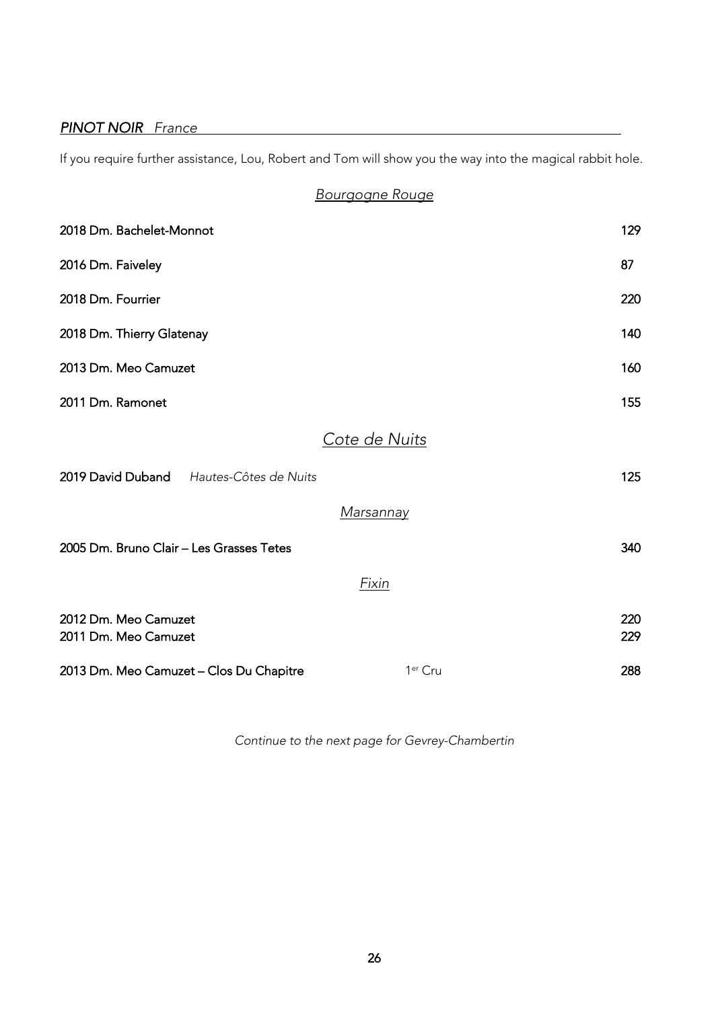### <span id="page-25-0"></span>*PINOT NOIR France*

If you require further assistance, Lou, Robert and Tom will show you the way into the magical rabbit hole.

*Bourgogne Rouge*

| 2018 Dm. Bachelet-Monnot                     |                     | 129        |
|----------------------------------------------|---------------------|------------|
| 2016 Dm. Faiveley                            |                     | 87         |
| 2018 Dm. Fourrier                            |                     | 220        |
| 2018 Dm. Thierry Glatenay                    |                     | 140        |
| 2013 Dm. Meo Camuzet                         |                     | 160        |
| 2011 Dm. Ramonet                             |                     | 155        |
|                                              | Cote de Nuits       |            |
| 2019 David Duband Hautes-Côtes de Nuits      |                     | 125        |
|                                              | <u>Marsannay</u>    |            |
| 2005 Dm. Bruno Clair – Les Grasses Tetes     |                     | 340        |
|                                              | <b>Fixin</b>        |            |
| 2012 Dm. Meo Camuzet<br>2011 Dm. Meo Camuzet |                     | 220<br>229 |
| 2013 Dm. Meo Camuzet – Clos Du Chapitre      | 1 <sup>er</sup> Cru | 288        |

*Continue to the next page for Gevrey-Chambertin*

 $26$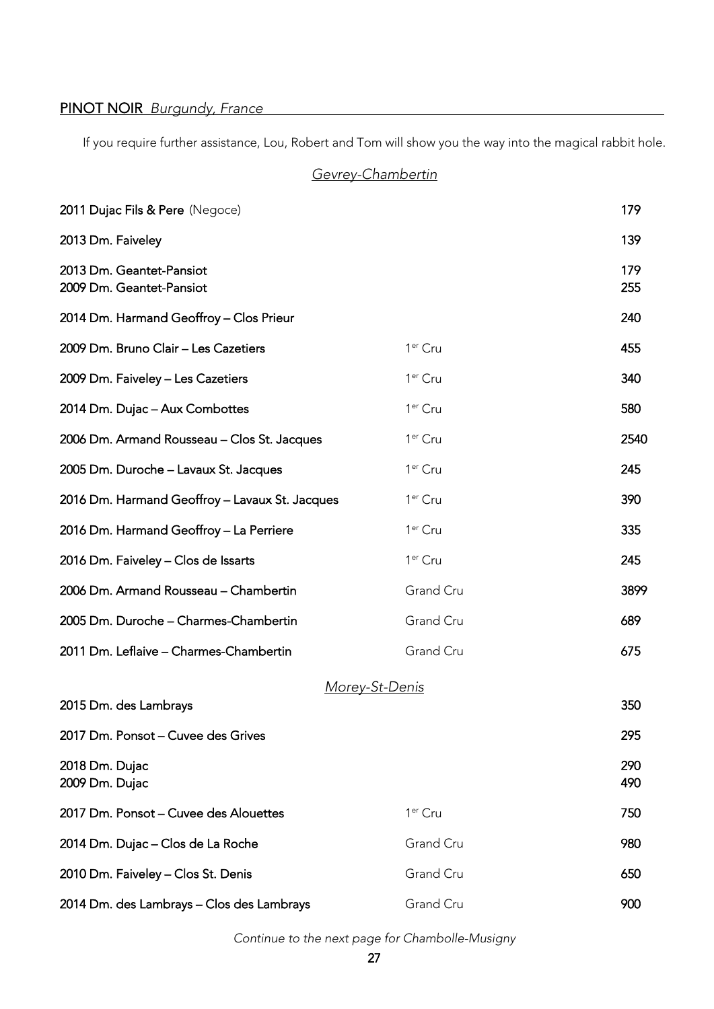### PINOT NOIR *Burgundy, France*

If you require further assistance, Lou, Robert and Tom will show you the way into the magical rabbit hole.

*Gevrey-Chambertin*

| 2011 Dujac Fils & Pere (Negoce)                      |                       | 179        |
|------------------------------------------------------|-----------------------|------------|
| 2013 Dm. Faiveley                                    |                       | 139        |
| 2013 Dm. Geantet-Pansiot<br>2009 Dm. Geantet-Pansiot |                       | 179<br>255 |
| 2014 Dm. Harmand Geoffroy - Clos Prieur              |                       | 240        |
| 2009 Dm. Bruno Clair - Les Cazetiers                 | 1 <sup>er</sup> Cru   | 455        |
| 2009 Dm. Faiveley - Les Cazetiers                    | 1 <sup>er</sup> Cru   | 340        |
| 2014 Dm. Dujac - Aux Combottes                       | 1 <sup>er</sup> Cru   | 580        |
| 2006 Dm. Armand Rousseau - Clos St. Jacques          | 1 <sup>er</sup> Cru   | 2540       |
| 2005 Dm. Duroche - Lavaux St. Jacques                | 1 <sup>er</sup> Cru   | 245        |
| 2016 Dm. Harmand Geoffroy - Lavaux St. Jacques       | 1 <sup>er</sup> Cru   | 390        |
| 2016 Dm. Harmand Geoffroy - La Perriere              | 1 <sup>er</sup> Cru   | 335        |
| 2016 Dm. Faiveley - Clos de Issarts                  | 1 <sup>er</sup> Cru   | 245        |
| 2006 Dm. Armand Rousseau - Chambertin                | Grand Cru             | 3899       |
| 2005 Dm. Duroche - Charmes-Chambertin                | Grand Cru             | 689        |
| 2011 Dm. Leflaive - Charmes-Chambertin               | Grand Cru             | 675        |
|                                                      | <u>Morey-St-Denis</u> |            |
| 2015 Dm. des Lambrays                                |                       | 350        |
| 2017 Dm. Ponsot - Cuvee des Grives                   |                       | 295        |
| 2018 Dm. Dujac<br>2009 Dm. Dujac                     |                       | 290<br>490 |
| 2017 Dm. Ponsot - Cuvee des Alouettes                | 1 <sup>er</sup> Cru   | 750        |
| 2014 Dm. Dujac - Clos de La Roche                    | Grand Cru             | 980        |
| 2010 Dm. Faiveley - Clos St. Denis                   | Grand Cru             | 650        |
| 2014 Dm. des Lambrays - Clos des Lambrays            | Grand Cru             | 900        |

*Continue to the next page for Chambolle-Musigny*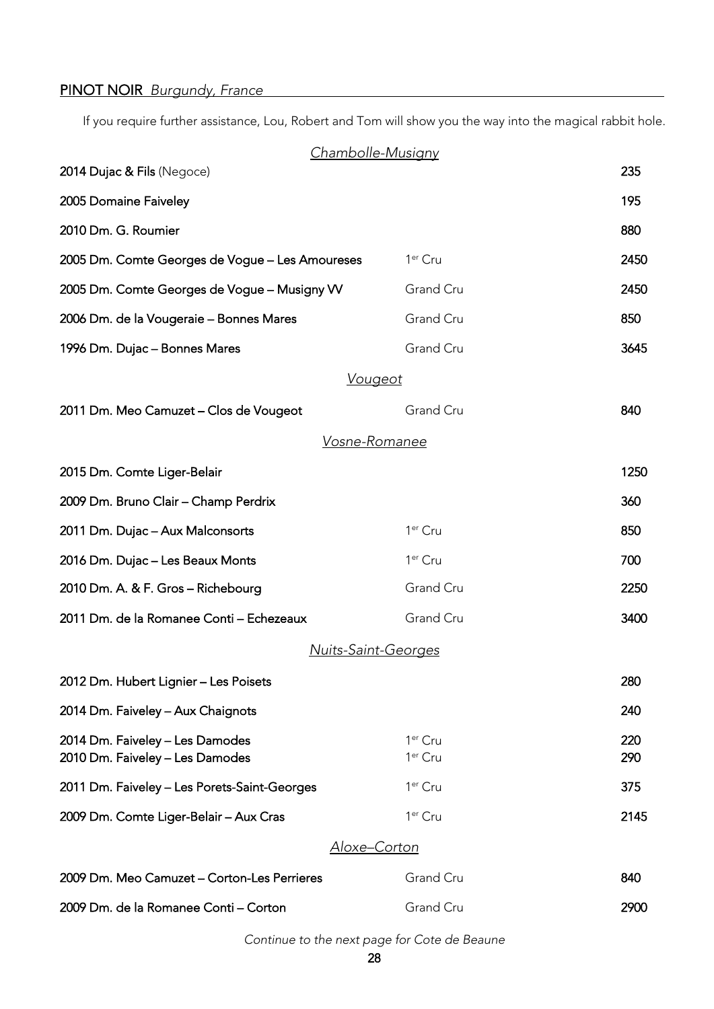# PINOT NOIR *Burgundy, France*

If you require further assistance, Lou, Robert and Tom will show you the way into the magical rabbit hole.

| <b>Chambolle-Musigny</b>                                           |                                            |            |
|--------------------------------------------------------------------|--------------------------------------------|------------|
| 2014 Dujac & Fils (Negoce)                                         |                                            | 235        |
| 2005 Domaine Faiveley                                              |                                            | 195        |
| 2010 Dm. G. Roumier                                                |                                            | 880        |
| 2005 Dm. Comte Georges de Vogue - Les Amoureses                    | 1 <sup>er</sup> Cru                        | 2450       |
| 2005 Dm. Comte Georges de Vogue - Musigny W                        | Grand Cru                                  | 2450       |
| 2006 Dm. de la Vougeraie - Bonnes Mares                            | Grand Cru                                  | 850        |
| 1996 Dm. Dujac - Bonnes Mares                                      | Grand Cru                                  | 3645       |
| <u>Vougeot</u>                                                     |                                            |            |
| 2011 Dm. Meo Camuzet - Clos de Vougeot                             | Grand Cru                                  | 840        |
| <u>Vosne-Romanee</u>                                               |                                            |            |
| 2015 Dm. Comte Liger-Belair                                        |                                            | 1250       |
| 2009 Dm. Bruno Clair - Champ Perdrix                               |                                            | 360        |
| 2011 Dm. Dujac - Aux Malconsorts                                   | 1 <sup>er</sup> Cru                        | 850        |
| 2016 Dm. Dujac - Les Beaux Monts                                   | 1 <sup>er</sup> Cru                        | 700        |
| 2010 Dm. A. & F. Gros - Richebourg                                 | Grand Cru                                  | 2250       |
| 2011 Dm. de la Romanee Conti - Echezeaux                           | Grand Cru                                  | 3400       |
| <b>Nuits-Saint-Georges</b>                                         |                                            |            |
| 2012 Dm. Hubert Lignier - Les Poisets                              |                                            | 280        |
| 2014 Dm. Faiveley - Aux Chaignots                                  |                                            | 240        |
| 2014 Dm. Faiveley - Les Damodes<br>2010 Dm. Faiveley - Les Damodes | 1 <sup>er</sup> Cru<br>1 <sup>er</sup> Cru | 220<br>290 |
| 2011 Dm. Faiveley - Les Porets-Saint-Georges                       | 1 <sup>er</sup> Cru                        | 375        |
| 2009 Dm. Comte Liger-Belair - Aux Cras                             | 1 <sup>er</sup> Cru                        | 2145       |
| Aloxe–Corton                                                       |                                            |            |
| 2009 Dm. Meo Camuzet - Corton-Les Perrieres                        | Grand Cru                                  | 840        |
| 2009 Dm. de la Romanee Conti - Corton                              | Grand Cru                                  | 2900       |

*Continue to the next page for Cote de Beaune*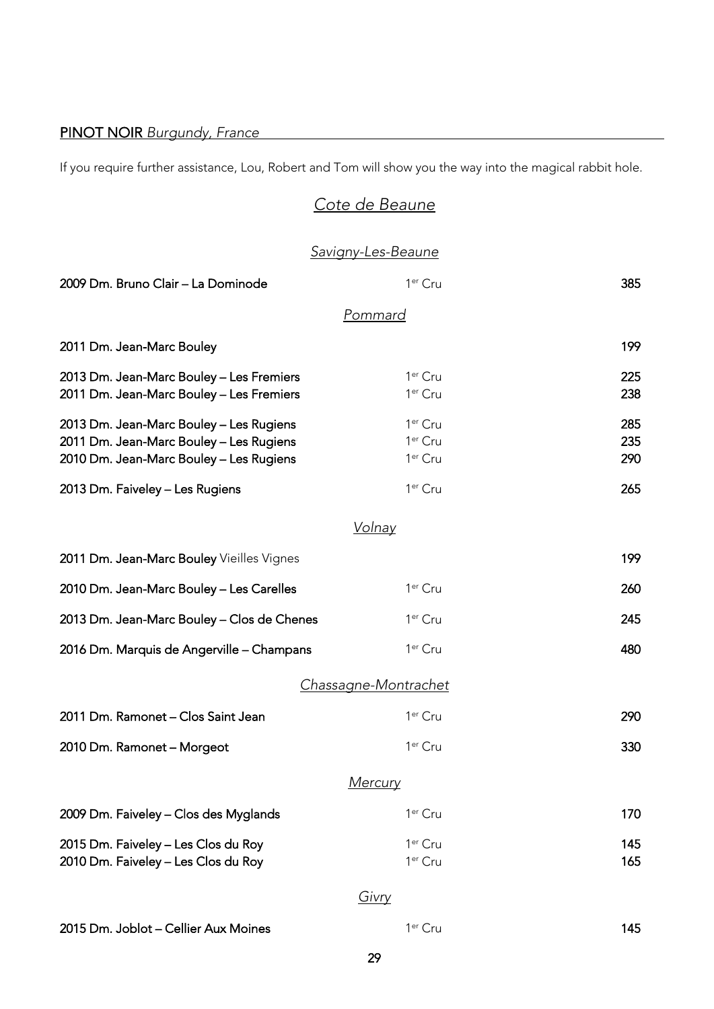# PINOT NOIR *Burgundy, France*

If you require further assistance, Lou, Robert and Tom will show you the way into the magical rabbit hole.

# *Cote de Beaune*

# *Savigny-Les-Beaune*

| 2009 Dm. Bruno Clair - La Dominode                                                                                            | 1 <sup>er</sup> Cru                                               | 385               |
|-------------------------------------------------------------------------------------------------------------------------------|-------------------------------------------------------------------|-------------------|
|                                                                                                                               | <u>Pommard</u>                                                    |                   |
| 2011 Dm. Jean-Marc Bouley                                                                                                     |                                                                   | 199               |
| 2013 Dm. Jean-Marc Bouley - Les Fremiers<br>2011 Dm. Jean-Marc Bouley - Les Fremiers                                          | 1 <sup>er</sup> Cru<br>1 <sup>er</sup> Cru                        | 225<br>238        |
| 2013 Dm. Jean-Marc Bouley - Les Rugiens<br>2011 Dm. Jean-Marc Bouley - Les Rugiens<br>2010 Dm. Jean-Marc Bouley - Les Rugiens | 1 <sup>er</sup> Cru<br>1 <sup>er</sup> Cru<br>1 <sup>er</sup> Cru | 285<br>235<br>290 |
| 2013 Dm. Faiveley - Les Rugiens                                                                                               | 1 <sup>er</sup> Cru                                               | 265               |
|                                                                                                                               | <u>Volnay</u>                                                     |                   |
| 2011 Dm. Jean-Marc Bouley Vieilles Vignes                                                                                     |                                                                   | 199               |
| 2010 Dm. Jean-Marc Bouley - Les Carelles                                                                                      | 1 <sup>er</sup> Cru                                               | 260               |
| 2013 Dm. Jean-Marc Bouley - Clos de Chenes                                                                                    | 1 <sup>er</sup> Cru                                               | 245               |
| 2016 Dm. Marquis de Angerville - Champans                                                                                     | 1 <sup>er</sup> Cru                                               | 480               |
|                                                                                                                               | Chassagne-Montrachet                                              |                   |
| 2011 Dm. Ramonet - Clos Saint Jean                                                                                            | 1 <sup>er</sup> Cru                                               | 290               |
| 2010 Dm. Ramonet - Morgeot                                                                                                    | 1 <sup>er</sup> Cru                                               | 330               |
|                                                                                                                               | <u>Mercury</u>                                                    |                   |
| 2009 Dm. Faiveley - Clos des Myglands                                                                                         | 1 <sup>er</sup> Cru                                               | 170               |
| 2015 Dm. Faiveley - Les Clos du Roy<br>2010 Dm. Faiveley - Les Clos du Roy                                                    | 1 <sup>er</sup> Cru<br>1 <sup>er</sup> Cru                        | 145<br>165        |
|                                                                                                                               | Givry                                                             |                   |
| 2015 Dm. Joblot - Cellier Aux Moines                                                                                          | 1 <sup>er</sup> Cru                                               | 145               |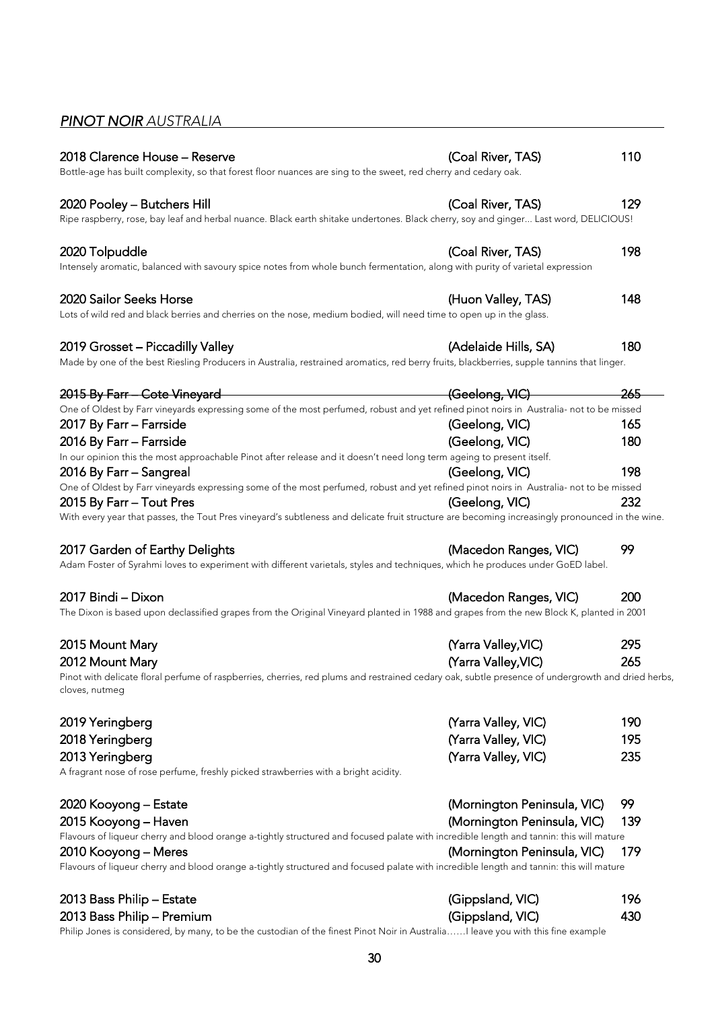# <span id="page-29-0"></span>*PINOT NOIR AUSTRALIA*

| 2018 Clarence House - Reserve                                                                                                                                       | (Coal River, TAS)           | 110 |
|---------------------------------------------------------------------------------------------------------------------------------------------------------------------|-----------------------------|-----|
| Bottle-age has built complexity, so that forest floor nuances are sing to the sweet, red cherry and cedary oak.                                                     |                             |     |
| 2020 Pooley – Butchers Hill                                                                                                                                         | (Coal River, TAS)           | 129 |
| Ripe raspberry, rose, bay leaf and herbal nuance. Black earth shitake undertones. Black cherry, soy and ginger Last word, DELICIOUS!                                |                             |     |
| 2020 Tolpuddle                                                                                                                                                      | (Coal River, TAS)           | 198 |
| Intensely aromatic, balanced with savoury spice notes from whole bunch fermentation, along with purity of varietal expression                                       |                             |     |
| 2020 Sailor Seeks Horse                                                                                                                                             | (Huon Valley, TAS)          | 148 |
| Lots of wild red and black berries and cherries on the nose, medium bodied, will need time to open up in the glass.                                                 |                             |     |
| 2019 Grosset - Piccadilly Valley                                                                                                                                    | (Adelaide Hills, SA)        | 180 |
| Made by one of the best Riesling Producers in Australia, restrained aromatics, red berry fruits, blackberries, supple tannins that linger.                          |                             |     |
| 2015 By Farr - Cote Vineyard                                                                                                                                        |                             | 265 |
| One of Oldest by Farr vineyards expressing some of the most perfumed, robust and yet refined pinot noirs in Australia- not to be missed                             |                             |     |
| 2017 By Farr - Farrside                                                                                                                                             | (Geelong, VIC)              | 165 |
| 2016 By Farr - Farrside                                                                                                                                             | (Geelong, VIC)              | 180 |
| In our opinion this the most approachable Pinot after release and it doesn't need long term ageing to present itself.                                               |                             |     |
| 2016 By Farr - Sangreal                                                                                                                                             | (Geelong, VIC)              | 198 |
| One of Oldest by Farr vineyards expressing some of the most perfumed, robust and yet refined pinot noirs in Australia- not to be missed                             |                             |     |
| 2015 By Farr - Tout Pres                                                                                                                                            | (Geelong, VIC)              | 232 |
| With every year that passes, the Tout Pres vineyard's subtleness and delicate fruit structure are becoming increasingly pronounced in the wine.                     |                             |     |
| 2017 Garden of Earthy Delights                                                                                                                                      | (Macedon Ranges, VIC)       | 99  |
| Adam Foster of Syrahmi loves to experiment with different varietals, styles and techniques, which he produces under GoED label.                                     |                             |     |
| 2017 Bindi - Dixon                                                                                                                                                  | (Macedon Ranges, VIC)       | 200 |
| The Dixon is based upon declassified grapes from the Original Vineyard planted in 1988 and grapes from the new Block K, planted in 2001                             |                             |     |
| 2015 Mount Mary                                                                                                                                                     | (Yarra Valley, VIC)         | 295 |
| 2012 Mount Mary                                                                                                                                                     | (Yarra Valley, VIC)         | 265 |
| Pinot with delicate floral perfume of raspberries, cherries, red plums and restrained cedary oak, subtle presence of undergrowth and dried herbs,<br>cloves, nutmeg |                             |     |
| 2019 Yeringberg                                                                                                                                                     | (Yarra Valley, VIC)         | 190 |
| 2018 Yeringberg                                                                                                                                                     | (Yarra Valley, VIC)         | 195 |
| 2013 Yeringberg                                                                                                                                                     | (Yarra Valley, VIC)         | 235 |
| A fragrant nose of rose perfume, freshly picked strawberries with a bright acidity.                                                                                 |                             |     |
| 2020 Kooyong - Estate                                                                                                                                               | (Mornington Peninsula, VIC) | 99  |
| 2015 Kooyong – Haven                                                                                                                                                | (Mornington Peninsula, VIC) | 139 |
| Flavours of liqueur cherry and blood orange a-tightly structured and focused palate with incredible length and tannin: this will mature                             |                             |     |
| 2010 Kooyong – Meres                                                                                                                                                | (Mornington Peninsula, VIC) | 179 |
| Flavours of liqueur cherry and blood orange a-tightly structured and focused palate with incredible length and tannin: this will mature                             |                             |     |
| 2013 Bass Philip - Estate                                                                                                                                           | (Gippsland, VIC)            | 196 |
| 2013 Bass Philip - Premium                                                                                                                                          | (Gippsland, VIC)            | 430 |
|                                                                                                                                                                     |                             |     |

Philip Jones is considered, by many, to be the custodian of the finest Pinot Noir in Australia……I leave you with this fine example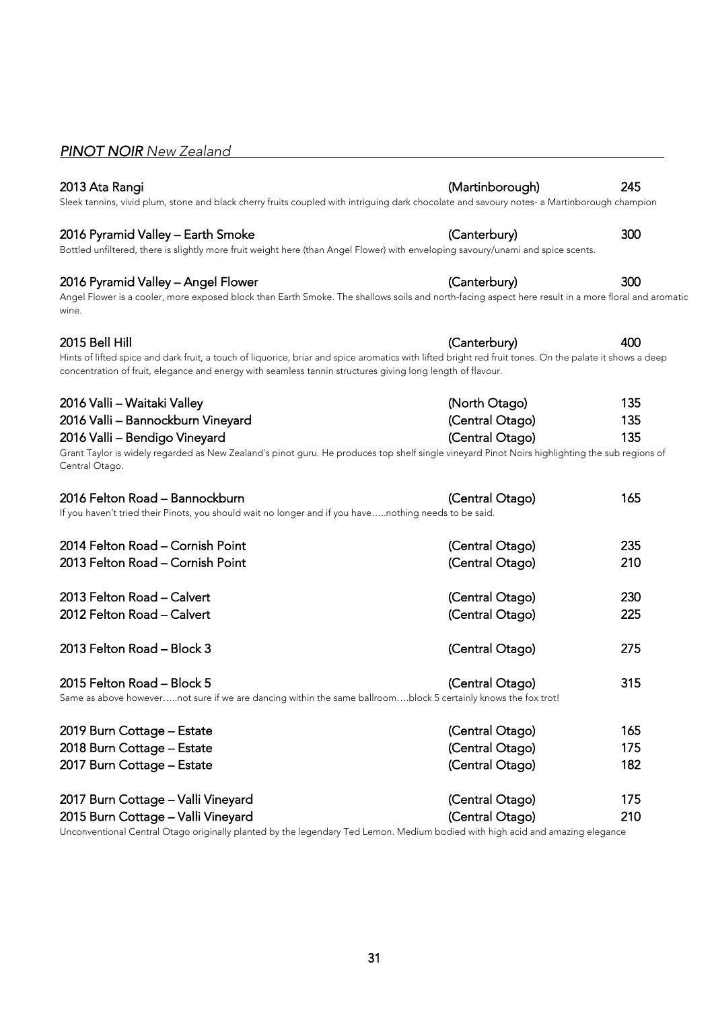### <span id="page-30-0"></span>*PINOT NOIR New Zealand*

### 2013 Ata Rangi (Martinborough) 245

Sleek tannins, vivid plum, stone and black cherry fruits coupled with intriguing dark chocolate and savoury notes- a Martinborough champion

#### 2016 Pyramid Valley – Earth Smoke (Canterbury) 300

Bottled unfiltered, there is slightly more fruit weight here (than Angel Flower) with enveloping savoury/unami and spice scents.

#### 2016 Pyramid Valley – Angel Flower (Canterbury) 300

Angel Flower is a cooler, more exposed block than Earth Smoke. The shallows soils and north-facing aspect here result in a more floral and aromatic wine.

#### 2015 Bell Hill (Canterbury) 400

Hints of lifted spice and dark fruit, a touch of liquorice, briar and spice aromatics with lifted bright red fruit tones. On the palate it shows a deep concentration of fruit, elegance and energy with seamless tannin structures giving long length of flavour.

### 2016 Valli – Waitaki Valley (North Otago) 135

2016 Valli – Bendigo Vineyard (Central Otago) 135 Grant Taylor is widely regarded as New Zealand's pinot guru. He produces top shelf single vineyard Pinot Noirs highlighting the sub regions of Central Otago.

2016 Valli – Bannockburn Vineyard (Central Otago) 135

| 2016 Felton Road - Bannockburn<br>If you haven't tried their Pinots, you should wait no longer and if you havenothing needs to be said.     | (Central Otago) | 165 |
|---------------------------------------------------------------------------------------------------------------------------------------------|-----------------|-----|
| 2014 Felton Road - Cornish Point                                                                                                            | (Central Otago) | 235 |
| 2013 Felton Road - Cornish Point                                                                                                            | (Central Otago) | 210 |
| 2013 Felton Road - Calvert                                                                                                                  | (Central Otago) | 230 |
| 2012 Felton Road - Calvert                                                                                                                  | (Central Otago) | 225 |
| 2013 Felton Road - Block 3                                                                                                                  | (Central Otago) | 275 |
| 2015 Felton Road - Block 5<br>Same as above howevernot sure if we are dancing within the same ballroomblock 5 certainly knows the fox trot! | (Central Otago) | 315 |
|                                                                                                                                             |                 |     |

| 2019 Burn Cottage – Estate                                                                                            | (Central Otago) | 165 |
|-----------------------------------------------------------------------------------------------------------------------|-----------------|-----|
| 2018 Burn Cottage - Estate                                                                                            | (Central Otago) | 175 |
| 2017 Burn Cottage - Estate                                                                                            | (Central Otago) | 182 |
| 2017 Burn Cottage - Valli Vineyard                                                                                    | (Central Otago) | 175 |
| 2015 Burn Cottage - Valli Vineyard                                                                                    | (Central Otago) | 210 |
| $\mathbf{u}$ , $\mathbf{u}$ , $\mathbf{u}$ , $\mathbf{u}$ , $\mathbf{u}$ , $\mathbf{u}$ , $\mathbf{u}$ , $\mathbf{u}$ |                 |     |

Unconventional Central Otago originally planted by the legendary Ted Lemon. Medium bodied with high acid and amazing elegance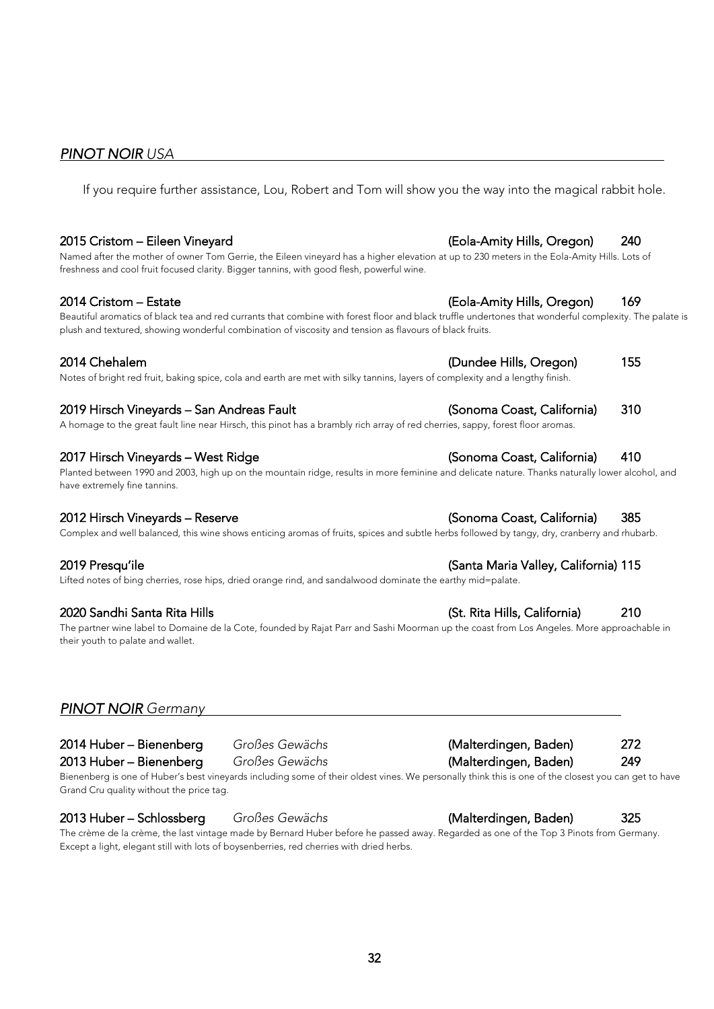## <span id="page-31-0"></span>*PINOT NOIR USA*

If you require further assistance, Lou, Robert and Tom will show you the way into the magical rabbit hole.

#### 2015 Cristom – Eileen Vineyard (Eola-Amity Hills, Oregon) 240

Named after the mother of owner Tom Gerrie, the Eileen vineyard has a higher elevation at up to 230 meters in the Eola-Amity Hills. Lots of freshness and cool fruit focused clarity. Bigger tannins, with good flesh, powerful wine.

Beautiful aromatics of black tea and red currants that combine with forest floor and black truffle undertones that wonderful complexity. The palate is plush and textured, showing wonderful combination of viscosity and tension as flavours of black fruits.

Notes of bright red fruit, baking spice, cola and earth are met with silky tannins, layers of complexity and a lengthy finish.

#### 2019 Hirsch Vineyards – San Andreas Fault (Sonoma Coast, California) 310

A homage to the great fault line near Hirsch, this pinot has a brambly rich array of red cherries, sappy, forest floor aromas.

#### 2017 Hirsch Vineyards – West Ridge (Sonoma Coast, California) 410

Planted between 1990 and 2003, high up on the mountain ridge, results in more feminine and delicate nature. Thanks naturally lower alcohol, and have extremely fine tannins.

Complex and well balanced, this wine shows enticing aromas of fruits, spices and subtle herbs followed by tangy, dry, cranberry and rhubarb.

Lifted notes of bing cherries, rose hips, dried orange rind, and sandalwood dominate the earthy mid=palate.

The partner wine label to Domaine de la Cote, founded by Rajat Parr and Sashi Moorman up the coast from Los Angeles. More approachable in their youth to palate and wallet.

### *PINOT NOIR Germany*

Bienenberg is one of Huber's best vineyards including some of their oldest vines. We personally think this is one of the closest you can get to have Grand Cru quality without the price tag.

#### 2013 Huber – Schlossberg *Großes Gewächs* (Malterdingen, Baden) 325

The crème de la crème, the last vintage made by Bernard Huber before he passed away. Regarded as one of the Top 3 Pinots from Germany. Except a light, elegant still with lots of boysenberries, red cherries with dried herbs.

2014 Cristom – Estate (Eola-Amity Hills, Oregon) 169

2014 Chehalem (Dundee Hills, Oregon) 155

#### 2019 Presqu'ile (Santa Maria Valley, California) 115

#### 2020 Sandhi Santa Rita Hills (St. Rita Hills, California) 210



### 2012 Hirsch Vineyards – Reserve (Sonoma Coast, California) 385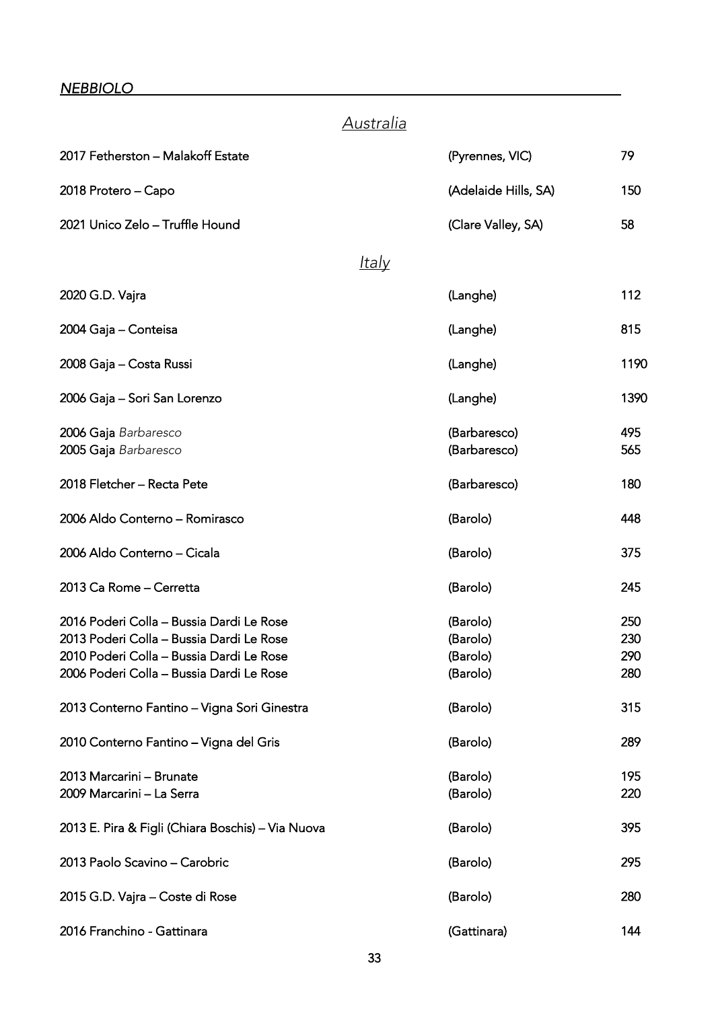#### <span id="page-32-0"></span>*NEBBIOLO*

# *Australia* 2017 Fetherston – Malakoff Estate (Pyrennes, VIC) 79 2018 Protero – Capo (Adelaide Hills, SA) 150 2021 Unico Zelo – Truffle Hound (Clare Valley, SA) 58 *Italy* 2020 G.D. Vajra (Langhe) 112 2004 Gaja – Conteisa (Langhe) 815 2008 Gaja – Costa Russi (Langhe) 1190 2006 Gaja – Sori San Lorenzo (Langhe) 1390 2006 Gaja *Barbaresco* (Barbaresco) 495 2005 Gaja *Barbaresco* (Barbaresco) 565 2018 Fletcher – Recta Pete (Barbaresco) 180 2006 Aldo Conterno – Romirasco (Barolo) 448 2006 Aldo Conterno – Cicala (Barolo) 375 2013 Ca Rome – Cerretta (Barolo) 245 2016 Poderi Colla – Bussia Dardi Le Rose (Barolo) 250 2013 Poderi Colla – Bussia Dardi Le Rose (Barolo) 230 2010 Poderi Colla – Bussia Dardi Le Rose (Barolo) 290 2006 Poderi Colla – Bussia Dardi Le Rose (Barolo) 280 2013 Conterno Fantino – Vigna Sori Ginestra (Barolo) 315 2010 Conterno Fantino – Vigna del Gris (Barolo) 289 2013 Marcarini – Brunate (Barolo) 195 2009 Marcarini – La Serra (Barolo) 220 2013 E. Pira & Figli (Chiara Boschis) – Via Nuova (Barolo) 395 2013 Paolo Scavino – Carobric (Barolo) 295 2015 G.D. Vajra – Coste di Rose (Barolo) 280 2016 Franchino - Gattinara (Gattinara) 144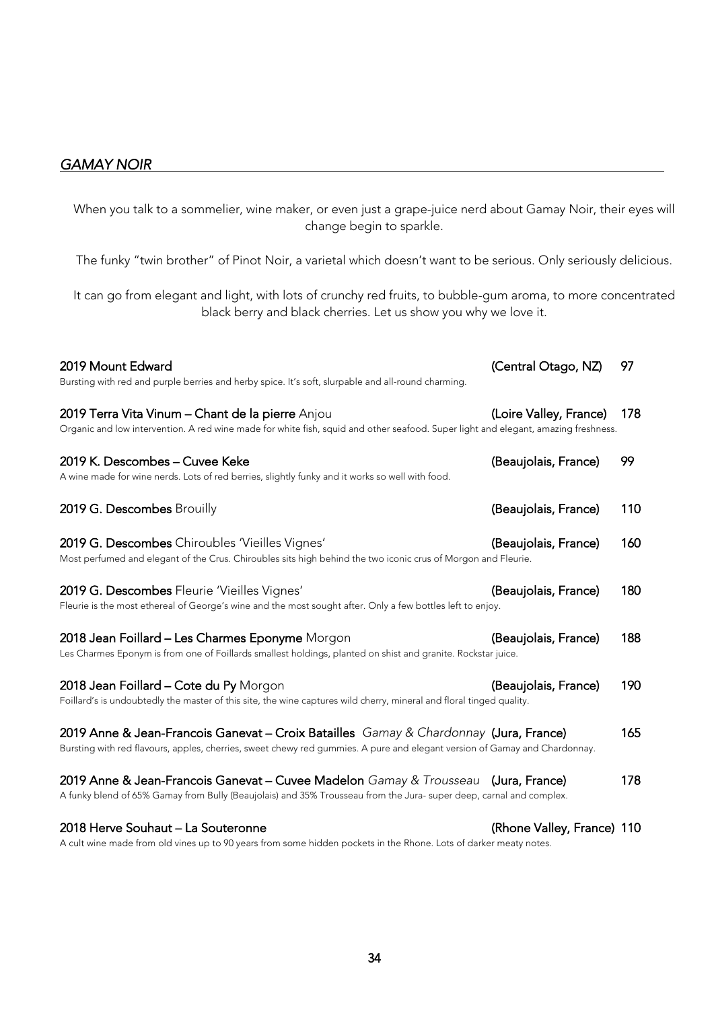### <span id="page-33-0"></span>*GAMAY NOIR*

When you talk to a sommelier, wine maker, or even just a grape-juice nerd about Gamay Noir, their eyes will change begin to sparkle.

The funky "twin brother" of Pinot Noir, a varietal which doesn't want to be serious. Only seriously delicious.

It can go from elegant and light, with lots of crunchy red fruits, to bubble-gum aroma, to more concentrated black berry and black cherries. Let us show you why we love it.

| 2019 Mount Edward<br>Bursting with red and purple berries and herby spice. It's soft, slurpable and all-round charming.                                                                                             | (Central Otago, NZ)        | 97  |
|---------------------------------------------------------------------------------------------------------------------------------------------------------------------------------------------------------------------|----------------------------|-----|
| 2019 Terra Vita Vinum - Chant de la pierre Anjou<br>Organic and low intervention. A red wine made for white fish, squid and other seafood. Super light and elegant, amazing freshness.                              | (Loire Valley, France)     | 178 |
| 2019 K. Descombes - Cuvee Keke<br>A wine made for wine nerds. Lots of red berries, slightly funky and it works so well with food.                                                                                   | (Beaujolais, France)       | 99  |
| 2019 G. Descombes Brouilly                                                                                                                                                                                          | (Beaujolais, France)       | 110 |
| 2019 G. Descombes Chiroubles 'Vieilles Vignes'<br>Most perfumed and elegant of the Crus. Chiroubles sits high behind the two iconic crus of Morgon and Fleurie.                                                     | (Beaujolais, France)       | 160 |
| 2019 G. Descombes Fleurie 'Vieilles Vignes'<br>Fleurie is the most ethereal of George's wine and the most sought after. Only a few bottles left to enjoy.                                                           | (Beaujolais, France)       | 180 |
| 2018 Jean Foillard - Les Charmes Eponyme Morgon<br>Les Charmes Eponym is from one of Foillards smallest holdings, planted on shist and granite. Rockstar juice.                                                     | (Beaujolais, France)       | 188 |
| 2018 Jean Foillard - Cote du Py Morgon<br>Foillard's is undoubtedly the master of this site, the wine captures wild cherry, mineral and floral tinged quality.                                                      | (Beaujolais, France)       | 190 |
| 2019 Anne & Jean-Francois Ganevat – Croix Batailles Gamay & Chardonnay (Jura, France)<br>Bursting with red flavours, apples, cherries, sweet chewy red gummies. A pure and elegant version of Gamay and Chardonnay. |                            | 165 |
| 2019 Anne & Jean-Francois Ganevat – Cuvee Madelon Gamay & Trousseau (Jura, France)<br>A funky blend of 65% Gamay from Bully (Beaujolais) and 35% Trousseau from the Jura- super deep, carnal and complex.           |                            | 178 |
| 2018 Herve Souhaut - La Souteronne                                                                                                                                                                                  | (Rhone Valley, France) 110 |     |

A cult wine made from old vines up to 90 years from some hidden pockets in the Rhone. Lots of darker meaty notes.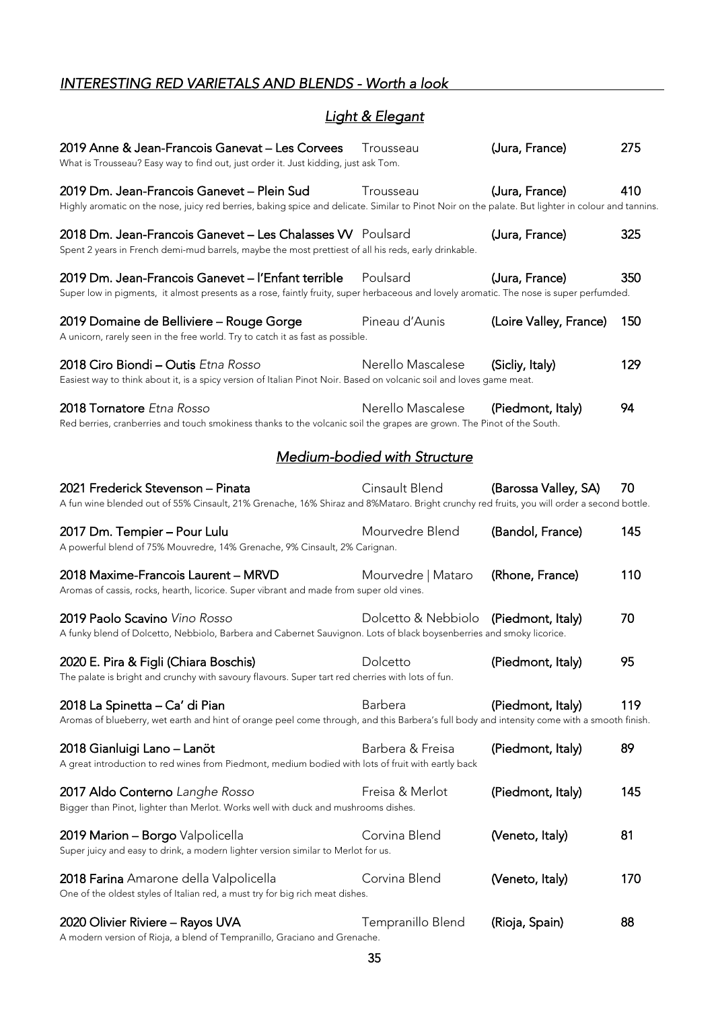# <span id="page-34-0"></span>*INTERESTING RED VARIETALS AND BLENDS - Worth a look*

# *Light & Elegant*

| 2019 Anne & Jean-Francois Ganevat – Les Corvees<br>What is Trousseau? Easy way to find out, just order it. Just kidding, just ask Tom.                                                           | Trousseau                             | (Jura, France)         | 275 |
|--------------------------------------------------------------------------------------------------------------------------------------------------------------------------------------------------|---------------------------------------|------------------------|-----|
| 2019 Dm. Jean-Francois Ganevet - Plein Sud<br>Highly aromatic on the nose, juicy red berries, baking spice and delicate. Similar to Pinot Noir on the palate. But lighter in colour and tannins. | Trousseau                             | (Jura, France)         | 410 |
| 2018 Dm. Jean-Francois Ganevet - Les Chalasses W Poulsard<br>Spent 2 years in French demi-mud barrels, maybe the most prettiest of all his reds, early drinkable.                                |                                       | (Jura, France)         | 325 |
| 2019 Dm. Jean-Francois Ganevet – l'Enfant terrible<br>Super low in pigments, it almost presents as a rose, faintly fruity, super herbaceous and lovely aromatic. The nose is super perfumded.    | Poulsard                              | (Jura, France)         | 350 |
| 2019 Domaine de Belliviere - Rouge Gorge<br>A unicorn, rarely seen in the free world. Try to catch it as fast as possible.                                                                       | Pineau d'Aunis                        | (Loire Valley, France) | 150 |
| 2018 Ciro Biondi - Outis Etna Rosso<br>Easiest way to think about it, is a spicy version of Italian Pinot Noir. Based on volcanic soil and loves game meat.                                      | Nerello Mascalese                     | (Sicliy, Italy)        | 129 |
| 2018 Tornatore Etna Rosso<br>Red berries, cranberries and touch smokiness thanks to the volcanic soil the grapes are grown. The Pinot of the South.                                              | Nerello Mascalese                     | (Piedmont, Italy)      | 94  |
|                                                                                                                                                                                                  | Medium-bodied with Structure          |                        |     |
| 2021 Frederick Stevenson - Pinata<br>A fun wine blended out of 55% Cinsault, 21% Grenache, 16% Shiraz and 8%Mataro. Bright crunchy red fruits, you will order a second bottle.                   | Cinsault Blend                        | (Barossa Valley, SA)   | 70  |
| 2017 Dm. Tempier – Pour Lulu<br>A powerful blend of 75% Mouvredre, 14% Grenache, 9% Cinsault, 2% Carignan.                                                                                       | Mourvedre Blend                       | (Bandol, France)       | 145 |
| 2018 Maxime-Francois Laurent – MRVD<br>Aromas of cassis, rocks, hearth, licorice. Super vibrant and made from super old vines.                                                                   | Mourvedre   Mataro                    | (Rhone, France)        | 110 |
| 2019 Paolo Scavino Vino Rosso<br>A funky blend of Dolcetto, Nebbiolo, Barbera and Cabernet Sauvignon. Lots of black boysenberries and smoky licorice.                                            | Dolcetto & Nebbiolo (Piedmont, Italy) |                        | 70  |
| 2020 E. Pira & Figli (Chiara Boschis)<br>The palate is bright and crunchy with savoury flavours. Super tart red cherries with lots of fun.                                                       | Dolcetto                              | (Piedmont, Italy)      | 95  |
| 2018 La Spinetta - Ca' di Pian<br>Aromas of blueberry, wet earth and hint of orange peel come through, and this Barbera's full body and intensity come with a smooth finish.                     | <b>Barbera</b>                        | (Piedmont, Italy)      | 119 |
| 2018 Gianluigi Lano – Lanöt<br>A great introduction to red wines from Piedmont, medium bodied with lots of fruit with eartly back                                                                | Barbera & Freisa                      | (Piedmont, Italy)      | 89  |
| 2017 Aldo Conterno Langhe Rosso<br>Bigger than Pinot, lighter than Merlot. Works well with duck and mushrooms dishes.                                                                            | Freisa & Merlot                       | (Piedmont, Italy)      | 145 |
| 2019 Marion - Borgo Valpolicella<br>Super juicy and easy to drink, a modern lighter version similar to Merlot for us.                                                                            | Corvina Blend                         | (Veneto, Italy)        | 81  |
| 2018 Farina Amarone della Valpolicella<br>One of the oldest styles of Italian red, a must try for big rich meat dishes.                                                                          | Corvina Blend                         | (Veneto, Italy)        | 170 |
| 2020 Olivier Riviere - Rayos UVA<br>A modern version of Rioja, a blend of Tempranillo, Graciano and Grenache.                                                                                    | Tempranillo Blend                     | (Rioja, Spain)         | 88  |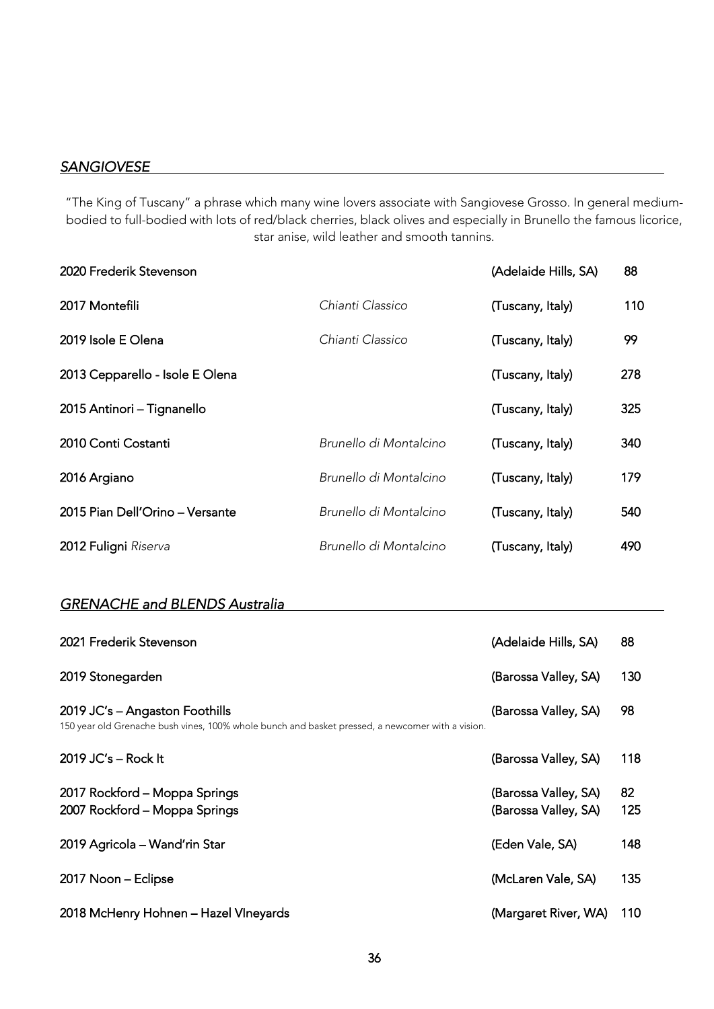### <span id="page-35-0"></span>*SANGIOVESE*

"The King of Tuscany" a phrase which many wine lovers associate with Sangiovese Grosso. In general mediumbodied to full-bodied with lots of red/black cherries, black olives and especially in Brunello the famous licorice, star anise, wild leather and smooth tannins.

| 2020 Frederik Stevenson         |                        | (Adelaide Hills, SA) | 88  |
|---------------------------------|------------------------|----------------------|-----|
| 2017 Montefili                  | Chianti Classico       | (Tuscany, Italy)     | 110 |
| 2019 Isole E Olena              | Chianti Classico       | (Tuscany, Italy)     | 99  |
| 2013 Cepparello - Isole E Olena |                        | (Tuscany, Italy)     | 278 |
| 2015 Antinori - Tignanello      |                        | (Tuscany, Italy)     | 325 |
| 2010 Conti Costanti             | Brunello di Montalcino | (Tuscany, Italy)     | 340 |
| 2016 Argiano                    | Brunello di Montalcino | (Tuscany, Italy)     | 179 |
| 2015 Pian Dell'Orino - Versante | Brunello di Montalcino | (Tuscany, Italy)     | 540 |
| 2012 Fuligni Riserva            | Brunello di Montalcino | (Tuscany, Italy)     | 490 |

### *GRENACHE and BLENDS Australia*

| 2021 Frederik Stevenson                                                                                                            | (Adelaide Hills, SA)                         | 88        |
|------------------------------------------------------------------------------------------------------------------------------------|----------------------------------------------|-----------|
| 2019 Stonegarden                                                                                                                   | (Barossa Valley, SA)                         | 130       |
| 2019 JC's - Angaston Foothills<br>150 year old Grenache bush vines, 100% whole bunch and basket pressed, a newcomer with a vision. | (Barossa Valley, SA)                         | 98        |
| 2019 JC's $-$ Rock It                                                                                                              | (Barossa Valley, SA)                         | 118       |
| 2017 Rockford - Moppa Springs<br>2007 Rockford - Moppa Springs                                                                     | (Barossa Valley, SA)<br>(Barossa Valley, SA) | 82<br>125 |
| 2019 Agricola - Wand'rin Star                                                                                                      | (Eden Vale, SA)                              | 148       |
| 2017 Noon - Eclipse                                                                                                                | (McLaren Vale, SA)                           | 135       |
| 2018 McHenry Hohnen - Hazel VIneyards                                                                                              | (Margaret River, WA)                         | 110       |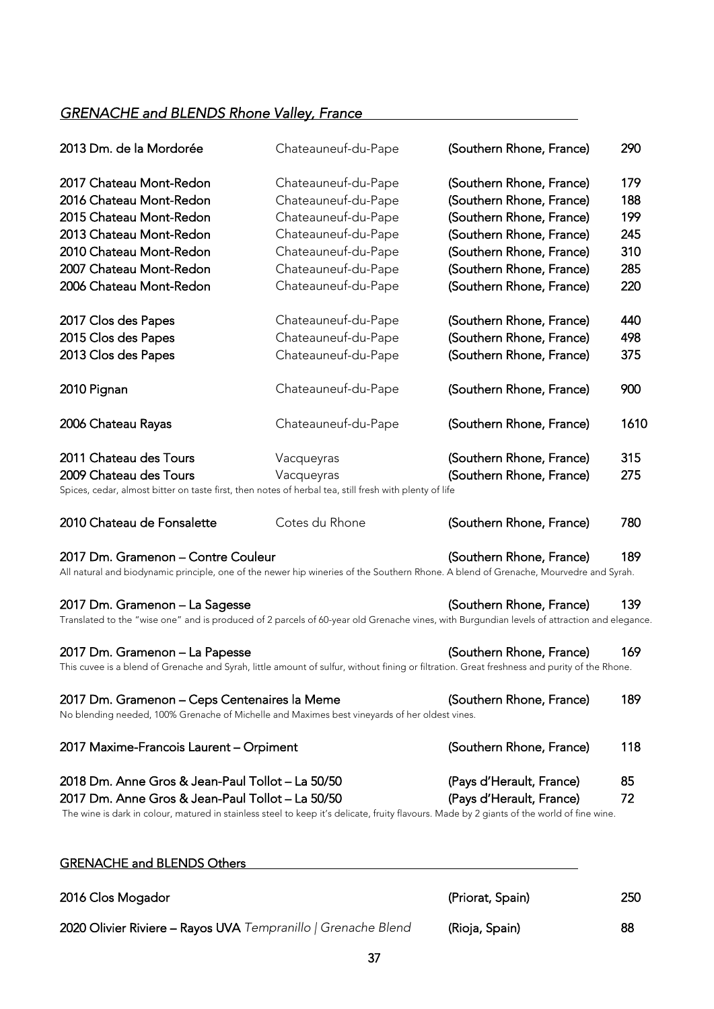# *GRENACHE and BLENDS Rhone Valley, France*

| 2013 Dm. de la Mordorée                                                                                                                                                    | Chateauneuf-du-Pape | (Southern Rhone, France) | 290  |
|----------------------------------------------------------------------------------------------------------------------------------------------------------------------------|---------------------|--------------------------|------|
| 2017 Chateau Mont-Redon                                                                                                                                                    | Chateauneuf-du-Pape | (Southern Rhone, France) | 179  |
| 2016 Chateau Mont-Redon                                                                                                                                                    | Chateauneuf-du-Pape | (Southern Rhone, France) | 188  |
| 2015 Chateau Mont-Redon                                                                                                                                                    | Chateauneuf-du-Pape | (Southern Rhone, France) | 199  |
| 2013 Chateau Mont-Redon                                                                                                                                                    | Chateauneuf-du-Pape | (Southern Rhone, France) | 245  |
| 2010 Chateau Mont-Redon                                                                                                                                                    | Chateauneuf-du-Pape | (Southern Rhone, France) | 310  |
| 2007 Chateau Mont-Redon                                                                                                                                                    | Chateauneuf-du-Pape | (Southern Rhone, France) | 285  |
| 2006 Chateau Mont-Redon                                                                                                                                                    |                     |                          |      |
|                                                                                                                                                                            | Chateauneuf-du-Pape | (Southern Rhone, France) | 220  |
| 2017 Clos des Papes                                                                                                                                                        | Chateauneuf-du-Pape | (Southern Rhone, France) | 440  |
| 2015 Clos des Papes                                                                                                                                                        | Chateauneuf-du-Pape | (Southern Rhone, France) | 498  |
| 2013 Clos des Papes                                                                                                                                                        | Chateauneuf-du-Pape | (Southern Rhone, France) | 375  |
| 2010 Pignan                                                                                                                                                                | Chateauneuf-du-Pape | (Southern Rhone, France) | 900  |
| 2006 Chateau Rayas                                                                                                                                                         | Chateauneuf-du-Pape | (Southern Rhone, France) | 1610 |
| 2011 Chateau des Tours                                                                                                                                                     | Vacqueyras          | (Southern Rhone, France) | 315  |
| 2009 Chateau des Tours                                                                                                                                                     | Vacqueyras          | (Southern Rhone, France) | 275  |
| Spices, cedar, almost bitter on taste first, then notes of herbal tea, still fresh with plenty of life                                                                     |                     |                          |      |
| 2010 Chateau de Fonsalette                                                                                                                                                 | Cotes du Rhone      | (Southern Rhone, France) | 780  |
| 2017 Dm. Gramenon - Contre Couleur<br>All natural and biodynamic principle, one of the newer hip wineries of the Southern Rhone. A blend of Grenache, Mourvedre and Syrah. |                     | (Southern Rhone, France) | 189  |
|                                                                                                                                                                            |                     |                          |      |
| 2017 Dm. Gramenon - La Sagesse                                                                                                                                             |                     | (Southern Rhone, France) | 139  |
| Translated to the "wise one" and is produced of 2 parcels of 60-year old Grenache vines, with Burgundian levels of attraction and elegance.                                |                     |                          |      |
| 2017 Dm. Gramenon - La Papesse                                                                                                                                             |                     | (Southern Rhone, France) | 169  |
| This cuvee is a blend of Grenache and Syrah, little amount of sulfur, without fining or filtration. Great freshness and purity of the Rhone.                               |                     |                          |      |
| 2017 Dm. Gramenon – Ceps Centenaires la Meme<br>No blending needed, 100% Grenache of Michelle and Maximes best vineyards of her oldest vines.                              |                     | (Southern Rhone, France) | 189  |
| 2017 Maxime-Francois Laurent - Orpiment                                                                                                                                    |                     | (Southern Rhone, France) | 118  |
| 2018 Dm. Anne Gros & Jean-Paul Tollot - La 50/50                                                                                                                           |                     | (Pays d'Herault, France) | 85   |
| 2017 Dm. Anne Gros & Jean-Paul Tollot - La 50/50                                                                                                                           |                     | (Pays d'Herault, France) | 72   |
| The wine is dark in colour, matured in stainless steel to keep it's delicate, fruity flavours. Made by 2 giants of the world of fine wine.                                 |                     |                          |      |
|                                                                                                                                                                            |                     |                          |      |
| <b>GRENACHE and BLENDS Others</b>                                                                                                                                          |                     |                          |      |

| 2016 Clos Mogador                                             | (Priorat, Spain) | 250 |
|---------------------------------------------------------------|------------------|-----|
| 2020 Olivier Riviere - Rayos UVA Tempranillo   Grenache Blend | (Rioja, Spain)   | 88  |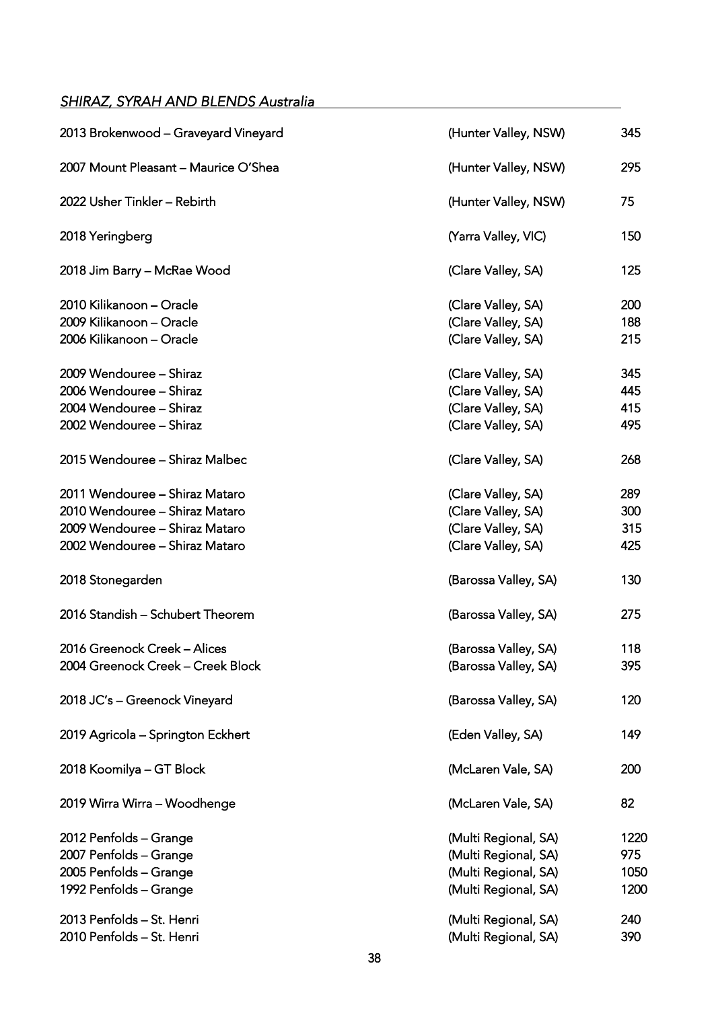### <span id="page-37-0"></span>*SHIRAZ, SYRAH AND BLENDS Australia*

| 2013 Brokenwood - Graveyard Vineyard | (Hunter Valley, NSW) | 345  |
|--------------------------------------|----------------------|------|
| 2007 Mount Pleasant - Maurice O'Shea | (Hunter Valley, NSW) | 295  |
| 2022 Usher Tinkler - Rebirth         | (Hunter Valley, NSW) | 75   |
| 2018 Yeringberg                      | (Yarra Valley, VIC)  | 150  |
| 2018 Jim Barry - McRae Wood          | (Clare Valley, SA)   | 125  |
| 2010 Kilikanoon - Oracle             | (Clare Valley, SA)   | 200  |
| 2009 Kilikanoon - Oracle             | (Clare Valley, SA)   | 188  |
| 2006 Kilikanoon - Oracle             | (Clare Valley, SA)   | 215  |
| 2009 Wendouree - Shiraz              | (Clare Valley, SA)   | 345  |
| 2006 Wendouree - Shiraz              | (Clare Valley, SA)   | 445  |
| 2004 Wendouree - Shiraz              | (Clare Valley, SA)   | 415  |
| 2002 Wendouree - Shiraz              | (Clare Valley, SA)   | 495  |
| 2015 Wendouree - Shiraz Malbec       | (Clare Valley, SA)   | 268  |
| 2011 Wendouree - Shiraz Mataro       | (Clare Valley, SA)   | 289  |
| 2010 Wendouree - Shiraz Mataro       | (Clare Valley, SA)   | 300  |
| 2009 Wendouree - Shiraz Mataro       | (Clare Valley, SA)   | 315  |
| 2002 Wendouree - Shiraz Mataro       | (Clare Valley, SA)   | 425  |
| 2018 Stonegarden                     | (Barossa Valley, SA) | 130  |
| 2016 Standish - Schubert Theorem     | (Barossa Valley, SA) | 275  |
| 2016 Greenock Creek - Alices         | (Barossa Valley, SA) | 118  |
| 2004 Greenock Creek – Creek Block    | (Barossa Valley, SA) | 395  |
| 2018 JC's - Greenock Vineyard        | (Barossa Valley, SA) | 120  |
| 2019 Agricola - Springton Eckhert    | (Eden Valley, SA)    | 149  |
| 2018 Koomilya - GT Block             | (McLaren Vale, SA)   | 200  |
| 2019 Wirra Wirra - Woodhenge         | (McLaren Vale, SA)   | 82   |
| 2012 Penfolds - Grange               | (Multi Regional, SA) | 1220 |
| 2007 Penfolds - Grange               | (Multi Regional, SA) | 975  |
| 2005 Penfolds - Grange               | (Multi Regional, SA) | 1050 |
| 1992 Penfolds - Grange               | (Multi Regional, SA) | 1200 |
| 2013 Penfolds - St. Henri            | (Multi Regional, SA) | 240  |
| 2010 Penfolds - St. Henri            | (Multi Regional, SA) | 390  |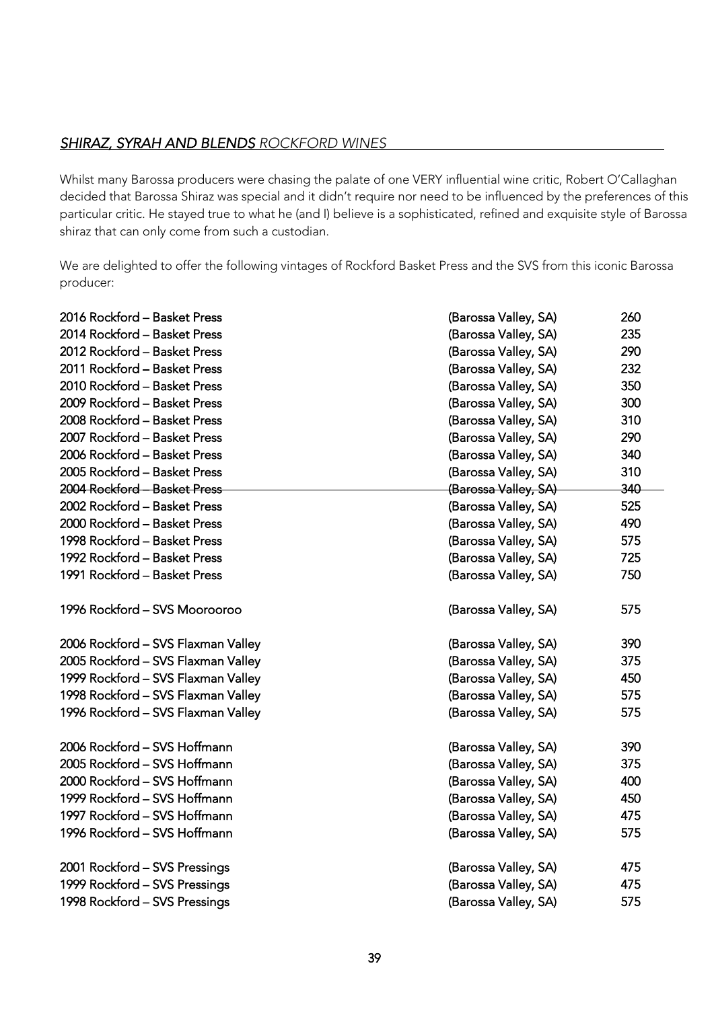### <span id="page-38-0"></span>*SHIRAZ, SYRAH AND BLENDS ROCKFORD WINES*

Whilst many Barossa producers were chasing the palate of one VERY influential wine critic, Robert O'Callaghan decided that Barossa Shiraz was special and it didn't require nor need to be influenced by the preferences of this particular critic. He stayed true to what he (and I) believe is a sophisticated, refined and exquisite style of Barossa shiraz that can only come from such a custodian.

We are delighted to offer the following vintages of Rockford Basket Press and the SVS from this iconic Barossa producer:

| 2016 Rockford – Basket Press       | (Barossa Valley, SA) | 260 |
|------------------------------------|----------------------|-----|
| 2014 Rockford - Basket Press       | (Barossa Valley, SA) | 235 |
| 2012 Rockford - Basket Press       | (Barossa Valley, SA) | 290 |
| 2011 Rockford - Basket Press       | (Barossa Valley, SA) | 232 |
| 2010 Rockford - Basket Press       | (Barossa Valley, SA) | 350 |
| 2009 Rockford - Basket Press       | (Barossa Valley, SA) | 300 |
| 2008 Rockford - Basket Press       | (Barossa Valley, SA) | 310 |
| 2007 Rockford - Basket Press       | (Barossa Valley, SA) | 290 |
| 2006 Rockford - Basket Press       | (Barossa Valley, SA) | 340 |
| 2005 Rockford - Basket Press       | (Barossa Valley, SA) | 310 |
| 2004 Rockford - Basket Press       | (Barossa Valley, SA) | 340 |
| 2002 Rockford - Basket Press       | (Barossa Valley, SA) | 525 |
| 2000 Rockford - Basket Press       | (Barossa Valley, SA) | 490 |
| 1998 Rockford - Basket Press       | (Barossa Valley, SA) | 575 |
| 1992 Rockford - Basket Press       | (Barossa Valley, SA) | 725 |
| 1991 Rockford - Basket Press       | (Barossa Valley, SA) | 750 |
| 1996 Rockford - SVS Moorooroo      | (Barossa Valley, SA) | 575 |
| 2006 Rockford - SVS Flaxman Valley | (Barossa Valley, SA) | 390 |
| 2005 Rockford - SVS Flaxman Valley | (Barossa Valley, SA) | 375 |
| 1999 Rockford - SVS Flaxman Valley | (Barossa Valley, SA) | 450 |
| 1998 Rockford - SVS Flaxman Valley | (Barossa Valley, SA) | 575 |
| 1996 Rockford - SVS Flaxman Valley | (Barossa Valley, SA) | 575 |
| 2006 Rockford - SVS Hoffmann       | (Barossa Valley, SA) | 390 |
| 2005 Rockford - SVS Hoffmann       | (Barossa Valley, SA) | 375 |
| 2000 Rockford - SVS Hoffmann       | (Barossa Valley, SA) | 400 |
| 1999 Rockford - SVS Hoffmann       | (Barossa Valley, SA) | 450 |
| 1997 Rockford - SVS Hoffmann       | (Barossa Valley, SA) | 475 |
| 1996 Rockford - SVS Hoffmann       | (Barossa Valley, SA) | 575 |
| 2001 Rockford - SVS Pressings      | (Barossa Valley, SA) | 475 |
| 1999 Rockford - SVS Pressings      | (Barossa Valley, SA) | 475 |
| 1998 Rockford - SVS Pressings      | (Barossa Valley, SA) | 575 |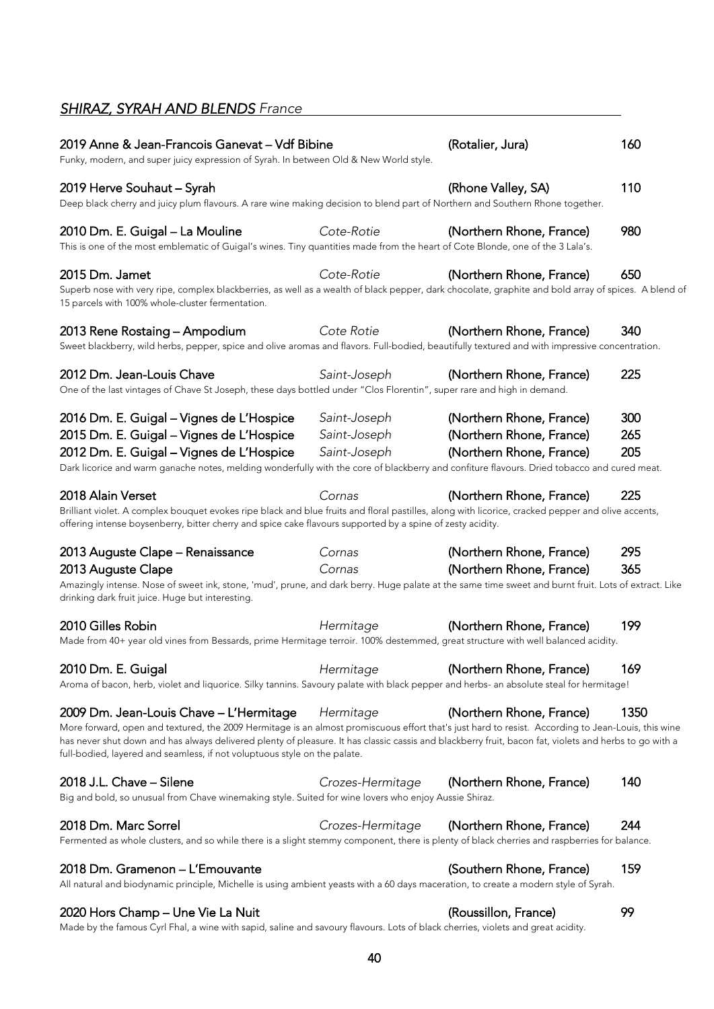# <span id="page-39-0"></span>*SHIRAZ, SYRAH AND BLENDS France*

| 2019 Anne & Jean-Francois Ganevat – Vdf Bibine<br>Funky, modern, and super juicy expression of Syrah. In between Old & New World style.                                                                                                                                                                                                                                                                                              |                                              | (Rotalier, Jura)                                                                 | 160               |
|--------------------------------------------------------------------------------------------------------------------------------------------------------------------------------------------------------------------------------------------------------------------------------------------------------------------------------------------------------------------------------------------------------------------------------------|----------------------------------------------|----------------------------------------------------------------------------------|-------------------|
| 2019 Herve Souhaut - Syrah<br>Deep black cherry and juicy plum flavours. A rare wine making decision to blend part of Northern and Southern Rhone together.                                                                                                                                                                                                                                                                          |                                              | (Rhone Valley, SA)                                                               | 110               |
| 2010 Dm. E. Guigal - La Mouline<br>This is one of the most emblematic of Guigal's wines. Tiny quantities made from the heart of Cote Blonde, one of the 3 Lala's.                                                                                                                                                                                                                                                                    | Cote-Rotie                                   | (Northern Rhone, France)                                                         | 980               |
| 2015 Dm. Jamet<br>Superb nose with very ripe, complex blackberries, as well as a wealth of black pepper, dark chocolate, graphite and bold array of spices. A blend of<br>15 parcels with 100% whole-cluster fermentation.                                                                                                                                                                                                           | Cote-Rotie                                   | (Northern Rhone, France)                                                         | 650               |
| 2013 Rene Rostaing - Ampodium<br>Sweet blackberry, wild herbs, pepper, spice and olive aromas and flavors. Full-bodied, beautifully textured and with impressive concentration.                                                                                                                                                                                                                                                      | Cote Rotie                                   | (Northern Rhone, France)                                                         | 340               |
| 2012 Dm. Jean-Louis Chave<br>One of the last vintages of Chave St Joseph, these days bottled under "Clos Florentin", super rare and high in demand.                                                                                                                                                                                                                                                                                  | Saint-Joseph                                 | (Northern Rhone, France)                                                         | 225               |
| 2016 Dm. E. Guigal - Vignes de L'Hospice<br>2015 Dm. E. Guigal - Vignes de L'Hospice<br>2012 Dm. E. Guigal - Vignes de L'Hospice<br>Dark licorice and warm ganache notes, melding wonderfully with the core of blackberry and confiture flavours. Dried tobacco and cured meat.                                                                                                                                                      | Saint-Joseph<br>Saint-Joseph<br>Saint-Joseph | (Northern Rhone, France)<br>(Northern Rhone, France)<br>(Northern Rhone, France) | 300<br>265<br>205 |
| 2018 Alain Verset<br>Brilliant violet. A complex bouquet evokes ripe black and blue fruits and floral pastilles, along with licorice, cracked pepper and olive accents,<br>offering intense boysenberry, bitter cherry and spice cake flavours supported by a spine of zesty acidity.                                                                                                                                                | Cornas                                       | (Northern Rhone, France)                                                         | 225               |
| 2013 Auguste Clape – Renaissance<br>2013 Auguste Clape<br>Amazingly intense. Nose of sweet ink, stone, 'mud', prune, and dark berry. Huge palate at the same time sweet and burnt fruit. Lots of extract. Like<br>drinking dark fruit juice. Huge but interesting.                                                                                                                                                                   | Cornas<br>Cornas                             | (Northern Rhone, France)<br>(Northern Rhone, France)                             | 295<br>365        |
| 2010 Gilles Robin<br>Made from 40+ year old vines from Bessards, prime Hermitage terroir. 100% destemmed, great structure with well balanced acidity.                                                                                                                                                                                                                                                                                | Hermitage                                    | (Northern Rhone, France)                                                         | 199               |
| 2010 Dm. E. Guigal<br>Aroma of bacon, herb, violet and liquorice. Silky tannins. Savoury palate with black pepper and herbs- an absolute steal for hermitage!                                                                                                                                                                                                                                                                        | Hermitage                                    | (Northern Rhone, France)                                                         | 169               |
| 2009 Dm. Jean-Louis Chave - L'Hermitage<br>More forward, open and textured, the 2009 Hermitage is an almost promiscuous effort that's just hard to resist. According to Jean-Louis, this wine<br>has never shut down and has always delivered plenty of pleasure. It has classic cassis and blackberry fruit, bacon fat, violets and herbs to go with a<br>full-bodied, layered and seamless, if not voluptuous style on the palate. | Hermitage                                    | (Northern Rhone, France)                                                         | 1350              |
| 2018 J.L. Chave - Silene<br>Big and bold, so unusual from Chave winemaking style. Suited for wine lovers who enjoy Aussie Shiraz.                                                                                                                                                                                                                                                                                                    | Crozes-Hermitage                             | (Northern Rhone, France)                                                         | 140               |
| 2018 Dm. Marc Sorrel<br>Fermented as whole clusters, and so while there is a slight stemmy component, there is plenty of black cherries and raspberries for balance.                                                                                                                                                                                                                                                                 | Crozes-Hermitage                             | (Northern Rhone, France)                                                         | 244               |
| 2018 Dm. Gramenon – L'Emouvante<br>All natural and biodynamic principle, Michelle is using ambient yeasts with a 60 days maceration, to create a modern style of Syrah.                                                                                                                                                                                                                                                              |                                              | (Southern Rhone, France)                                                         | 159               |
| 2020 Hors Champ – Une Vie La Nuit                                                                                                                                                                                                                                                                                                                                                                                                    |                                              | (Roussillon, France)                                                             | 99                |

Made by the famous Cyrl Fhal, a wine with sapid, saline and savoury flavours. Lots of black cherries, violets and great acidity.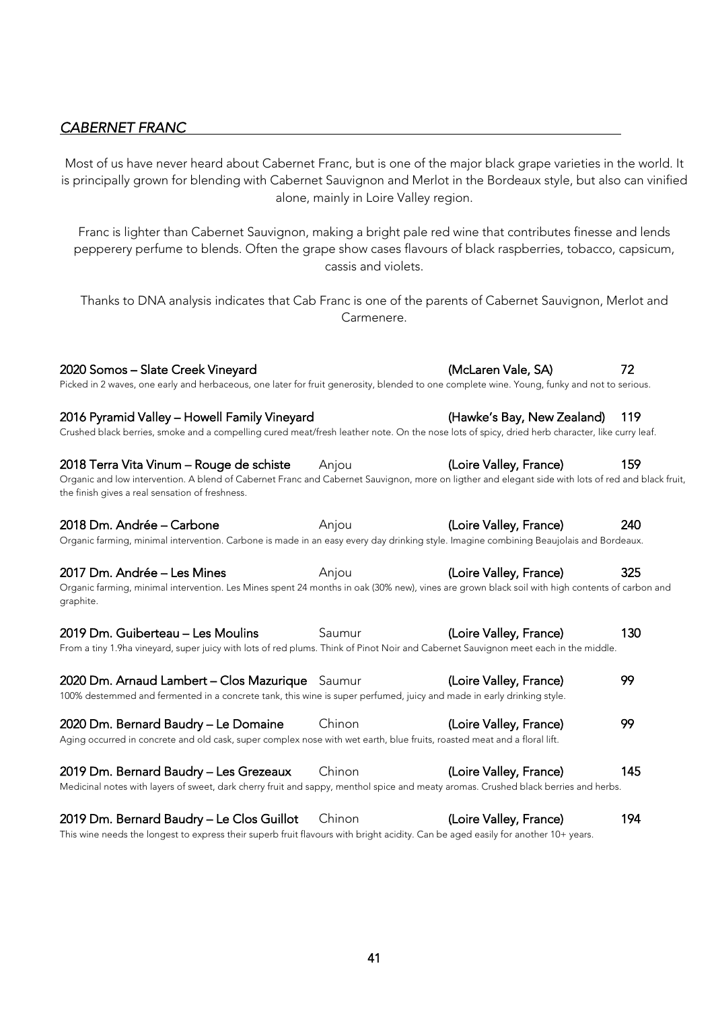### <span id="page-40-0"></span>*CABERNET FRANC*

Most of us have never heard about Cabernet Franc, but is one of the major black grape varieties in the world. It is principally grown for blending with Cabernet Sauvignon and Merlot in the Bordeaux style, but also can vinified alone, mainly in Loire Valley region.

Franc is lighter than Cabernet Sauvignon, making a bright pale red wine that contributes finesse and lends pepperery perfume to blends. Often the grape show cases flavours of black raspberries, tobacco, capsicum, cassis and violets.

Thanks to DNA analysis indicates that Cab Franc is one of the parents of Cabernet Sauvignon, Merlot and Carmenere.

2020 Somos – Slate Creek Vineyard (McLaren Vale, SA) 72 Picked in 2 waves, one early and herbaceous, one later for fruit generosity, blended to one complete wine. Young, funky and not to serious.

2016 Pyramid Valley – Howell Family Vineyard (Hawke's Bay, New Zealand) 119 Crushed black berries, smoke and a compelling cured meat/fresh leather note. On the nose lots of spicy, dried herb character, like curry leaf.

2018 Terra Vita Vinum – Rouge de schiste Anjou (Loire Valley, France) 159 Organic and low intervention. A blend of Cabernet Franc and Cabernet Sauvignon, more on ligther and elegant side with lots of red and black fruit, the finish gives a real sensation of freshness.

2018 Dm. Andrée – Carbone **Anjou** Anjou (Loire Valley, France) 240 Organic farming, minimal intervention. Carbone is made in an easy every day drinking style. Imagine combining Beaujolais and Bordeaux.

2017 Dm. Andrée – Les Mines **Anjou** Anjou (Loire Valley, France) 325 Organic farming, minimal intervention. Les Mines spent 24 months in oak (30% new), vines are grown black soil with high contents of carbon and graphite.

2019 Dm. Guiberteau – Les Moulins Saumur (Loire Valley, France) 130 From a tiny 1.9ha vineyard, super juicy with lots of red plums. Think of Pinot Noir and Cabernet Sauvignon meet each in the middle.

2020 Dm. Arnaud Lambert – Clos Mazurique Saumur (Loire Valley, France) 99 100% destemmed and fermented in a concrete tank, this wine is super perfumed, juicy and made in early drinking style.

2020 Dm. Bernard Baudry – Le Domaine Chinon (Loire Valley, France) 99 Aging occurred in concrete and old cask, super complex nose with wet earth, blue fruits, roasted meat and a floral lift. 2019 Dm. Bernard Baudry – Les Grezeaux Chinon (Loire Valley, France) 145 Medicinal notes with layers of sweet, dark cherry fruit and sappy, menthol spice and meaty aromas. Crushed black berries and herbs.

2019 Dm. Bernard Baudry – Le Clos Guillot Chinon (Loire Valley, France) 194 This wine needs the longest to express their superb fruit flavours with bright acidity. Can be aged easily for another 10+ years.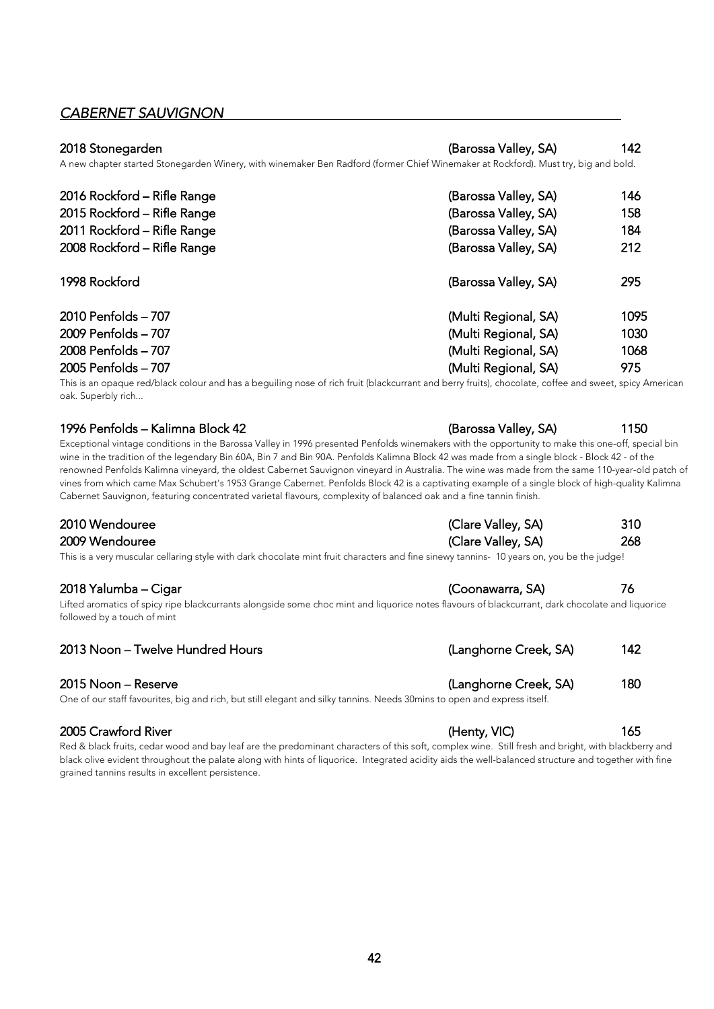### <span id="page-41-0"></span>*CABERNET SAUVIGNON*

#### 2018 Stonegarden (Barossa Valley, SA) 142

| A new chapter started Stonegarden Winery, with winemaker Ben Radford (former Chief Winemaker at Rockford). Must try, big and bold. |                      |      |
|------------------------------------------------------------------------------------------------------------------------------------|----------------------|------|
| 2016 Rockford - Rifle Range                                                                                                        | (Barossa Valley, SA) | 146  |
| 2015 Rockford - Rifle Range                                                                                                        | (Barossa Valley, SA) | 158  |
| 2011 Rockford - Rifle Range                                                                                                        | (Barossa Valley, SA) | 184  |
| 2008 Rockford - Rifle Range                                                                                                        | (Barossa Valley, SA) | 212  |
| 1998 Rockford                                                                                                                      | (Barossa Valley, SA) | 295  |
| 2010 Penfolds - 707                                                                                                                | (Multi Regional, SA) | 1095 |
| 2009 Penfolds - 707                                                                                                                | (Multi Regional, SA) | 1030 |
| 2008 Penfolds - 707                                                                                                                | (Multi Regional, SA) | 1068 |
| 2005 Penfolds - 707                                                                                                                | (Multi Regional, SA) | 975  |

This is an opaque red/black colour and has a beguiling nose of rich fruit (blackcurrant and berry fruits), chocolate, coffee and sweet, spicy American oak. Superbly rich...

#### 1996 Penfolds – Kalimna Block 42 (Barossa Valley, SA) 1150

Exceptional vintage conditions in the Barossa Valley in 1996 presented Penfolds winemakers with the opportunity to make this one-off, special bin wine in the tradition of the legendary Bin 60A, Bin 7 and Bin 90A. Penfolds Kalimna Block 42 was made from a single block - Block 42 - of the renowned Penfolds Kalimna vineyard, the oldest Cabernet Sauvignon vineyard in Australia. The wine was made from the same 110-year-old patch of vines from which came Max Schubert's 1953 Grange Cabernet. Penfolds Block 42 is a captivating example of a single block of high-quality Kalimna Cabernet Sauvignon, featuring concentrated varietal flavours, complexity of balanced oak and a fine tannin finish.

| 2010 Wendouree | (Clare Valley, SA) | 310 |
|----------------|--------------------|-----|
| 2009 Wendouree | (Clare Valley, SA) | 268 |

This is a very muscular cellaring style with dark chocolate mint fruit characters and fine sinewy tannins- 10 years on, you be the judge!

#### 2018 Yalumba – Cigar (Coonawarra, SA) 76

Lifted aromatics of spicy ripe blackcurrants alongside some choc mint and liquorice notes flavours of blackcurrant, dark chocolate and liquorice followed by a touch of mint

#### 2013 Noon – Twelve Hundred Hours (Langhorne Creek, SA) 142

#### 2015 Noon – Reserve (Langhorne Creek, SA) 180

One of our staff favourites, big and rich, but still elegant and silky tannins. Needs 30mins to open and express itself.

#### 2005 Crawford River **165** (Henty, VIC) **165**

Red & black fruits, cedar wood and bay leaf are the predominant characters of this soft, complex wine. Still fresh and bright, with blackberry and black olive evident throughout the palate along with hints of liquorice. Integrated acidity aids the well-balanced structure and together with fine grained tannins results in excellent persistence.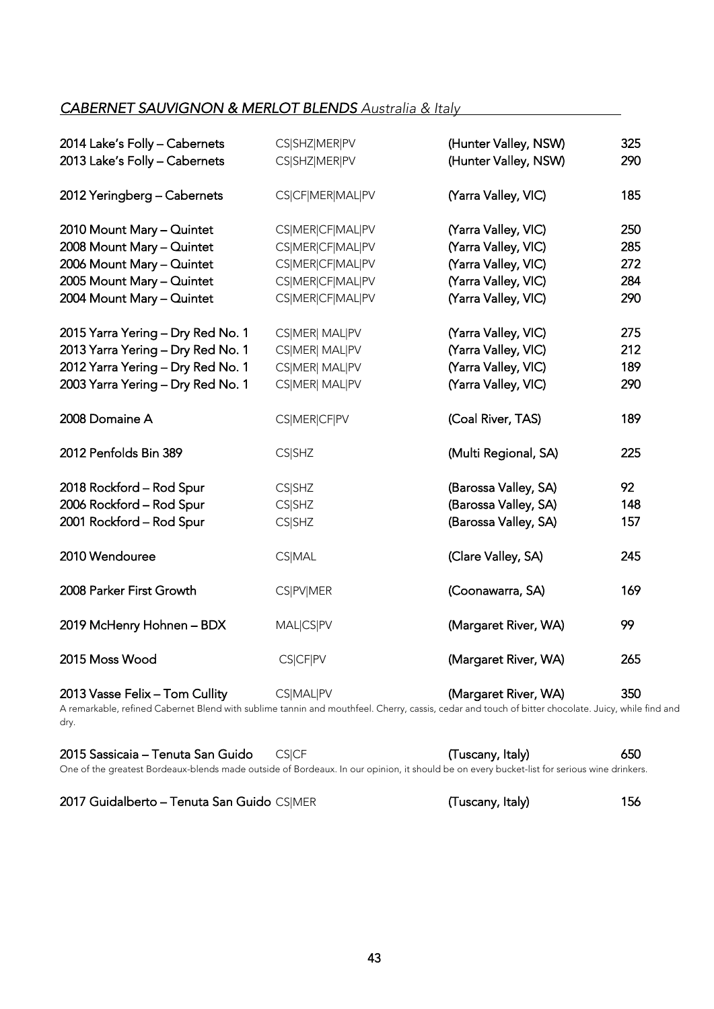# <span id="page-42-0"></span>*CABERNET SAUVIGNON & MERLOT BLENDS Australia & Italy*

| 2014 Lake's Folly - Cabernets<br>2013 Lake's Folly - Cabernets                                                                                                                   | CS SHZ MER PV<br>CS SHZ MER PV                                                                   | (Hunter Valley, NSW)<br>(Hunter Valley, NSW)                                                                    | 325<br>290                      |
|----------------------------------------------------------------------------------------------------------------------------------------------------------------------------------|--------------------------------------------------------------------------------------------------|-----------------------------------------------------------------------------------------------------------------|---------------------------------|
| 2012 Yeringberg - Cabernets                                                                                                                                                      | CS CF MER MAL PV                                                                                 | (Yarra Valley, VIC)                                                                                             | 185                             |
| 2010 Mount Mary - Quintet<br>2008 Mount Mary - Quintet<br>2006 Mount Mary - Quintet<br>2005 Mount Mary - Quintet<br>2004 Mount Mary - Quintet                                    | CS MER CF MAL PV<br>CS MER CF MAL PV<br>CS MER CF MAL PV<br>CS MER CF MAL PV<br>CS MER CF MAL PV | (Yarra Valley, VIC)<br>(Yarra Valley, VIC)<br>(Yarra Valley, VIC)<br>(Yarra Valley, VIC)<br>(Yarra Valley, VIC) | 250<br>285<br>272<br>284<br>290 |
| 2015 Yarra Yering - Dry Red No. 1<br>2013 Yarra Yering - Dry Red No. 1<br>2012 Yarra Yering - Dry Red No. 1<br>2003 Yarra Yering - Dry Red No. 1                                 | CS MER  MAL PV<br>CS MER  MAL PV<br>CS MER  MAL PV<br>CS MER  MAL PV                             | (Yarra Valley, VIC)<br>(Yarra Valley, VIC)<br>(Yarra Valley, VIC)<br>(Yarra Valley, VIC)                        | 275<br>212<br>189<br>290        |
| 2008 Domaine A                                                                                                                                                                   | CS MER CF PV                                                                                     | (Coal River, TAS)                                                                                               | 189                             |
| 2012 Penfolds Bin 389                                                                                                                                                            | <b>CS SHZ</b>                                                                                    | (Multi Regional, SA)                                                                                            | 225                             |
| 2018 Rockford - Rod Spur<br>2006 Rockford - Rod Spur<br>2001 Rockford - Rod Spur                                                                                                 | <b>CS SHZ</b><br><b>CS SHZ</b><br><b>CS SHZ</b>                                                  | (Barossa Valley, SA)<br>(Barossa Valley, SA)<br>(Barossa Valley, SA)                                            | 92<br>148<br>157                |
| 2010 Wendouree                                                                                                                                                                   | <b>CS MAL</b>                                                                                    | (Clare Valley, SA)                                                                                              | 245                             |
| 2008 Parker First Growth                                                                                                                                                         | <b>CS PV MER</b>                                                                                 | (Coonawarra, SA)                                                                                                | 169                             |
| 2019 McHenry Hohnen - BDX                                                                                                                                                        | MAL CS PV                                                                                        | (Margaret River, WA)                                                                                            | 99                              |
| 2015 Moss Wood                                                                                                                                                                   | CS CF PV                                                                                         | (Margaret River, WA)                                                                                            | 265                             |
| 2013 Vasse Felix - Tom Cullity<br>A remarkable, refined Cabernet Blend with sublime tannin and mouthfeel. Cherry, cassis, cedar and touch of bitter chocolate. Juicy, while find | CS MAL PV                                                                                        | (Margaret River, WA)                                                                                            | 350                             |

harkable, refined Cabernet Blend with sublime tannin and mouthfeel. Cherry, cassis, cedar and touch of bitter chocolate. Juicy, while find and<br> dry.

| 2015 Sassicaia - Tenuta San Guido CSICF |  |  |  |  |  |  | (Tuscany, Italy)                                                                                                                                                                                                                  |  | 650 |  |
|-----------------------------------------|--|--|--|--|--|--|-----------------------------------------------------------------------------------------------------------------------------------------------------------------------------------------------------------------------------------|--|-----|--|
|                                         |  |  |  |  |  |  | $\bigcirc$ for a specific that the first contract of the contract of the contract of the contract of the contract of the contract of the contract of the contract of the contract of the contract of the contract of the contract |  |     |  |

One of the greatest Bordeaux-blends made outside of Bordeaux. In our opinion, it should be on every bucket-list for serious wine drinkers.

|  |  | 2017 Guidalberto - Tenuta San Guido CS MER |  |  |  |  |
|--|--|--------------------------------------------|--|--|--|--|
|--|--|--------------------------------------------|--|--|--|--|

SIMER **CONTEX CONTEXY, Italy** Guidalberto et al., 156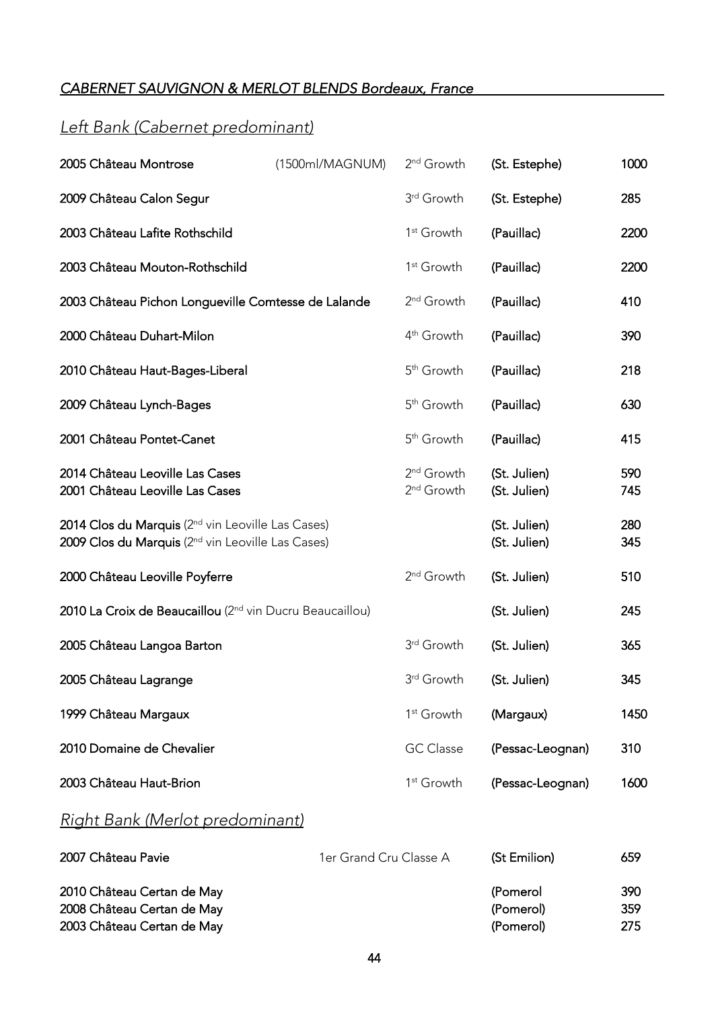# <span id="page-43-0"></span>*CABERNET SAUVIGNON & MERLOT BLENDS Bordeaux, France*

# *Left Bank (Cabernet predominant)*

| 2005 Château Montrose                                                                                                          | (1500ml/MAGNUM) | 2 <sup>nd</sup> Growth                           | (St. Estephe)                | 1000       |
|--------------------------------------------------------------------------------------------------------------------------------|-----------------|--------------------------------------------------|------------------------------|------------|
| 2009 Château Calon Segur                                                                                                       |                 | 3rd Growth                                       | (St. Estephe)                | 285        |
| 2003 Château Lafite Rothschild                                                                                                 |                 | 1 <sup>st</sup> Growth                           | (Pauillac)                   | 2200       |
| 2003 Château Mouton-Rothschild                                                                                                 |                 | 1 <sup>st</sup> Growth                           | (Pauillac)                   | 2200       |
| 2003 Château Pichon Longueville Comtesse de Lalande                                                                            |                 | 2 <sup>nd</sup> Growth                           | (Pauillac)                   | 410        |
| 2000 Château Duhart-Milon                                                                                                      |                 | 4 <sup>th</sup> Growth                           | (Pauillac)                   | 390        |
| 2010 Château Haut-Bages-Liberal                                                                                                |                 | 5 <sup>th</sup> Growth                           | (Pauillac)                   | 218        |
| 2009 Château Lynch-Bages                                                                                                       |                 | 5 <sup>th</sup> Growth                           | (Pauillac)                   | 630        |
| 2001 Château Pontet-Canet                                                                                                      |                 | 5 <sup>th</sup> Growth                           | (Pauillac)                   | 415        |
| 2014 Château Leoville Las Cases<br>2001 Château Leoville Las Cases                                                             |                 | 2 <sup>nd</sup> Growth<br>2 <sup>nd</sup> Growth | (St. Julien)<br>(St. Julien) | 590<br>745 |
| 2014 Clos du Marquis (2 <sup>nd</sup> vin Leoville Las Cases)<br>2009 Clos du Marquis (2 <sup>nd</sup> vin Leoville Las Cases) |                 |                                                  | (St. Julien)<br>(St. Julien) | 280<br>345 |
| 2000 Château Leoville Poyferre                                                                                                 |                 | 2 <sup>nd</sup> Growth                           | (St. Julien)                 | 510        |
| 2010 La Croix de Beaucaillou (2 <sup>nd</sup> vin Ducru Beaucaillou)                                                           |                 |                                                  | (St. Julien)                 | 245        |
| 2005 Château Langoa Barton                                                                                                     |                 | 3rd Growth                                       | (St. Julien)                 | 365        |
| 2005 Château Lagrange                                                                                                          |                 | 3rd Growth                                       | (St. Julien)                 | 345        |
| 1999 Château Margaux                                                                                                           |                 | 1 <sup>st</sup> Growth                           | (Margaux)                    | 1450       |
| 2010 Domaine de Chevalier                                                                                                      |                 | <b>GC</b> Classe                                 | (Pessac-Leognan)             | 310        |
| 2003 Château Haut-Brion                                                                                                        |                 | 1 <sup>st</sup> Growth                           | (Pessac-Leognan)             | 1600       |
|                                                                                                                                |                 |                                                  |                              |            |

# *Right Bank (Merlot predominant)*

| 2007 Château Pavie         | 1er Grand Cru Classe A | (St Emilion) | 659 |
|----------------------------|------------------------|--------------|-----|
| 2010 Château Certan de May |                        | (Pomerol     | 390 |
| 2008 Château Certan de May |                        | (Pomerol)    | 359 |
| 2003 Château Certan de May |                        | (Pomerol)    | 275 |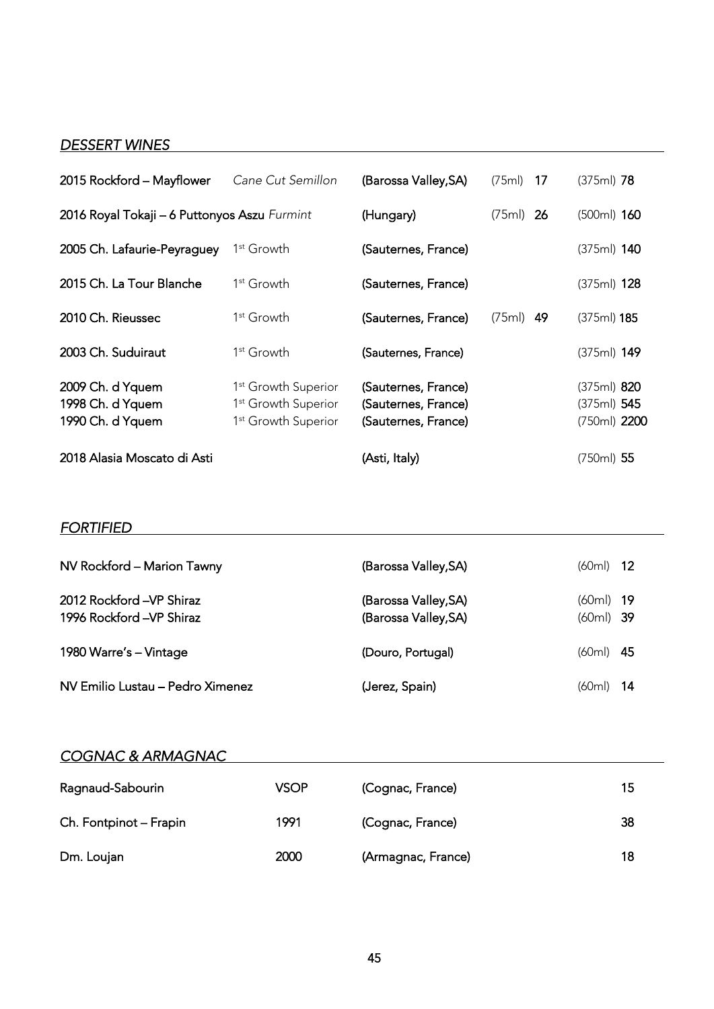### <span id="page-44-0"></span>*DESSERT WINES*

| 2015 Rockford - Mayflower                                | Cane Cut Semillon                                                                                     | (Barossa Valley, SA)                                              | $(75ml)$ 17 | $(375ml)$ 78                                   |  |
|----------------------------------------------------------|-------------------------------------------------------------------------------------------------------|-------------------------------------------------------------------|-------------|------------------------------------------------|--|
| 2016 Royal Tokaji - 6 Puttonyos Aszu Furmint             |                                                                                                       | (Hungary)                                                         | $(75ml)$ 26 | $(500ml)$ 160                                  |  |
| 2005 Ch. Lafaurie-Peyraguey                              | 1 <sup>st</sup> Growth                                                                                | (Sauternes, France)                                               |             | $(375ml)$ 140                                  |  |
| 2015 Ch. La Tour Blanche                                 | 1 <sup>st</sup> Growth                                                                                | (Sauternes, France)                                               |             | (375ml) <b>128</b>                             |  |
| 2010 Ch. Rieussec                                        | 1 <sup>st</sup> Growth                                                                                | (Sauternes, France)                                               | $(75ml)$ 49 | $(375ml)$ 185                                  |  |
| 2003 Ch. Suduiraut                                       | 1 <sup>st</sup> Growth                                                                                | (Sauternes, France)                                               |             | (375ml) 149                                    |  |
| 2009 Ch. d Yquem<br>1998 Ch. d Yquem<br>1990 Ch. d Yquem | 1 <sup>st</sup> Growth Superior<br>1 <sup>st</sup> Growth Superior<br>1 <sup>st</sup> Growth Superior | (Sauternes, France)<br>(Sauternes, France)<br>(Sauternes, France) |             | $(375ml)$ 820<br>$(375ml)$ 545<br>(750ml) 2200 |  |
| 2018 Alasia Moscato di Asti                              |                                                                                                       | (Asti, Italy)                                                     |             | $(750ml)$ 55                                   |  |

### *FORTIFIED*

| NV Rockford - Marion Tawny                           | (Barossa Valley,SA)                         | $(60ml)$ 12                |  |
|------------------------------------------------------|---------------------------------------------|----------------------------|--|
| 2012 Rockford -VP Shiraz<br>1996 Rockford -VP Shiraz | (Barossa Valley,SA)<br>(Barossa Valley, SA) | $(60ml)$ 19<br>$(60ml)$ 39 |  |
| 1980 Warre's - Vintage                               | (Douro, Portugal)                           | $(60ml)$ 45                |  |
| NV Emilio Lustau - Pedro Ximenez                     | (Jerez, Spain)                              | $(60ml)$ 14                |  |

### *COGNAC & ARMAGNAC*

| Ragnaud-Sabourin       | <b>VSOP</b> | (Cognac, France)   | 15 |
|------------------------|-------------|--------------------|----|
| Ch. Fontpinot - Frapin | 1991        | (Cognac, France)   | 38 |
| Dm. Loujan             | 2000        | (Armagnac, France) | 18 |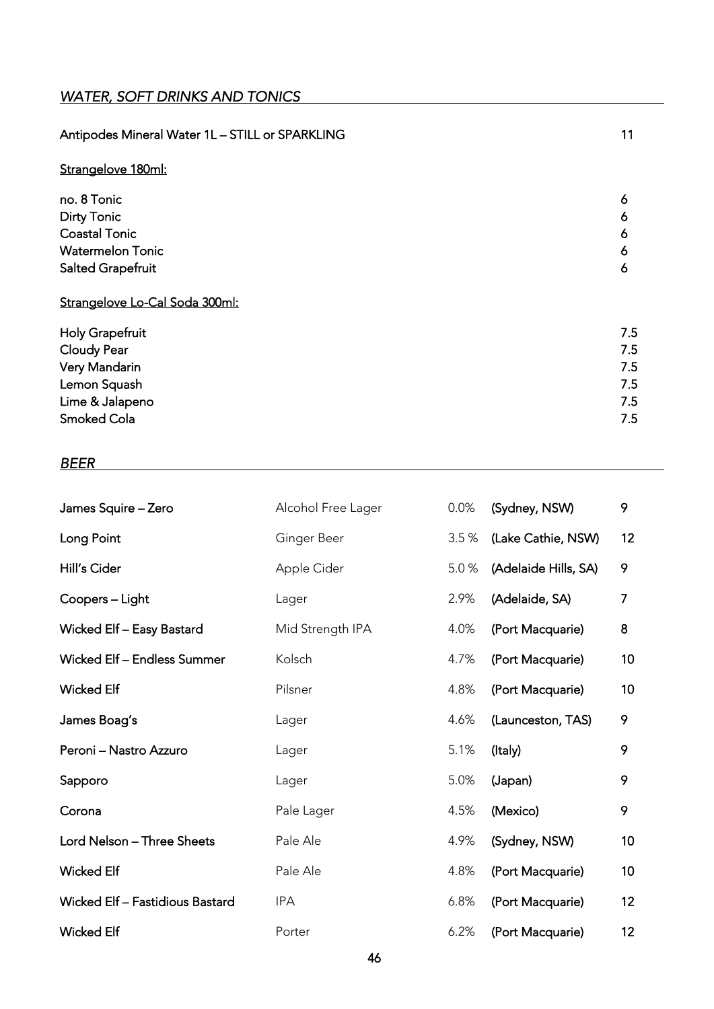<span id="page-45-0"></span>

| Antipodes Mineral Water 1L - STILL or SPARKLING | 11  |
|-------------------------------------------------|-----|
| Strangelove 180ml:                              |     |
| no. 8 Tonic                                     | 6   |
| <b>Dirty Tonic</b>                              | 6   |
| <b>Coastal Tonic</b>                            | 6   |
| <b>Watermelon Tonic</b>                         | 6   |
| Salted Grapefruit                               | 6   |
| Strangelove Lo-Cal Soda 300ml:                  |     |
| Holy Grapefruit                                 | 7.5 |
| Cloudy Pear                                     | 7.5 |
| Very Mandarin                                   | 7.5 |
| Lemon Squash                                    | 7.5 |
| Lime & Jalapeno                                 | 7.5 |
| <b>Smoked Cola</b>                              | 7.5 |

#### *BEER*

| James Squire - Zero             | Alcohol Free Lager | 0.0% | (Sydney, NSW)        | 9  |
|---------------------------------|--------------------|------|----------------------|----|
| Long Point                      | Ginger Beer        | 3.5% | (Lake Cathie, NSW)   | 12 |
| Hill's Cider                    | Apple Cider        | 5.0% | (Adelaide Hills, SA) | 9  |
| Coopers - Light                 | Lager              | 2.9% | (Adelaide, SA)       | 7  |
| Wicked Elf - Easy Bastard       | Mid Strength IPA   | 4.0% | (Port Macquarie)     | 8  |
| Wicked Elf - Endless Summer     | Kolsch             | 4.7% | (Port Macquarie)     | 10 |
| <b>Wicked Elf</b>               | Pilsner            | 4.8% | (Port Macquarie)     | 10 |
| James Boag's                    | Lager              | 4.6% | (Launceston, TAS)    | 9  |
| Peroni - Nastro Azzuro          | Lager              | 5.1% | (Italy)              | 9  |
| Sapporo                         | Lager              | 5.0% | (Japan)              | 9  |
| Corona                          | Pale Lager         | 4.5% | (Mexico)             | 9  |
| Lord Nelson - Three Sheets      | Pale Ale           | 4.9% | (Sydney, NSW)        | 10 |
| <b>Wicked Elf</b>               | Pale Ale           | 4.8% | (Port Macquarie)     | 10 |
| Wicked Elf - Fastidious Bastard | <b>IPA</b>         | 6.8% | (Port Macquarie)     | 12 |
| <b>Wicked Elf</b>               | Porter             | 6.2% | (Port Macquarie)     | 12 |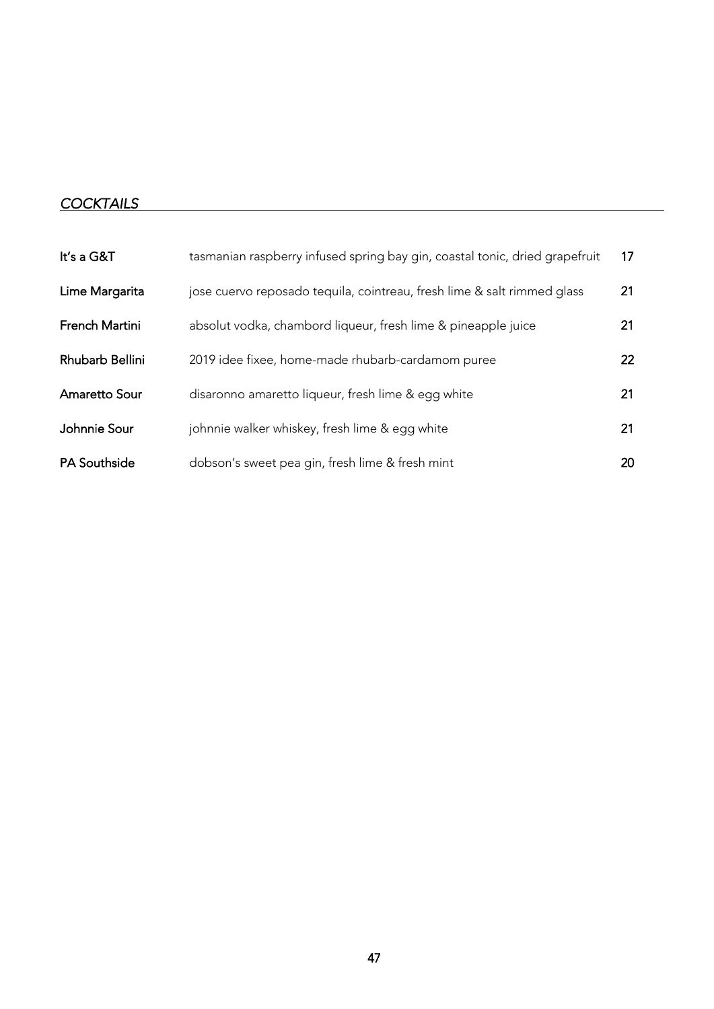# <span id="page-46-0"></span>*COCKTAILS*

| It's a G&T           | tasmanian raspberry infused spring bay gin, coastal tonic, dried grapefruit | 17 |
|----------------------|-----------------------------------------------------------------------------|----|
| Lime Margarita       | jose cuervo reposado tequila, cointreau, fresh lime & salt rimmed glass     | 21 |
| French Martini       | absolut vodka, chambord liqueur, fresh lime & pineapple juice               | 21 |
| Rhubarb Bellini      | 2019 idee fixee, home-made rhubarb-cardamom puree                           | 22 |
| <b>Amaretto Sour</b> | disaronno amaretto liqueur, fresh lime & egg white                          | 21 |
| Johnnie Sour         | johnnie walker whiskey, fresh lime & egg white                              | 21 |
| <b>PA Southside</b>  | dobson's sweet pea gin, fresh lime & fresh mint                             | 20 |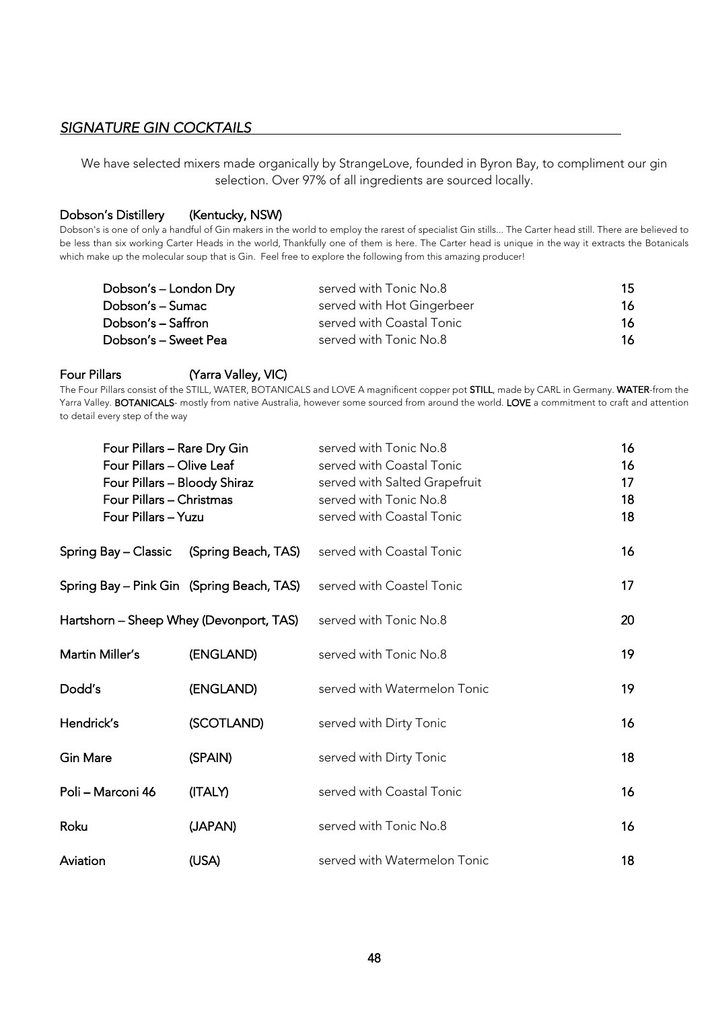#### <span id="page-47-0"></span>*SIGNATURE GIN COCKTAILS*

We have selected mixers made organically by StrangeLove, founded in Byron Bay, to compliment our gin selection. Over 97% of all ingredients are sourced locally.

#### Dobson's Distillery (Kentucky, NSW)

Dobson's is one of only a handful of Gin makers in the world to employ the rarest of specialist Gin stills... The Carter head still. There are believed to be less than six working Carter Heads in the world, Thankfully one of them is here. The Carter head is unique in the way it extracts the Botanicals which make up the molecular soup that is Gin. Feel free to explore the following from this amazing producer!

| Dobson's - London Dry | served with Tonic No.8     | 15 |
|-----------------------|----------------------------|----|
| Dobson's - Sumac      | served with Hot Gingerbeer | 16 |
| Dobson's – Saffron    | served with Coastal Tonic  | 16 |
| Dobson's - Sweet Pea  | served with Tonic No.8     | 16 |

#### Four Pillars (Yarra Valley, VIC)

The Four Pillars consist of the STILL, WATER, BOTANICALS and LOVE A magnificent copper pot STILL, made by CARL in Germany. WATER-from the Yarra Valley. BOTANICALS- mostly from native Australia, however some sourced from around the world. LOVE a commitment to craft and attention to detail every step of the way

| Four Pillars - Rare Dry Gin<br>Four Pillars - Olive Leaf<br>Four Pillars - Bloody Shiraz<br>Four Pillars - Christmas<br>Four Pillars - Yuzu |                                               | served with Tonic No.8<br>served with Coastal Tonic<br>served with Salted Grapefruit<br>served with Tonic No.8<br>served with Coastal Tonic | 16<br>16<br>17<br>18<br>18 |
|---------------------------------------------------------------------------------------------------------------------------------------------|-----------------------------------------------|---------------------------------------------------------------------------------------------------------------------------------------------|----------------------------|
|                                                                                                                                             | Spring Bay – Classic      (Spring Beach, TAS) | served with Coastal Tonic                                                                                                                   | 16                         |
|                                                                                                                                             | Spring Bay – Pink Gin   (Spring Beach, TAS)   | served with Coastel Tonic                                                                                                                   | 17                         |
| Hartshorn – Sheep Whey (Devonport, TAS)                                                                                                     |                                               | served with Tonic No.8                                                                                                                      | 20                         |
| Martin Miller's                                                                                                                             | (ENGLAND)                                     | served with Tonic No.8                                                                                                                      | 19                         |
| Dodd's                                                                                                                                      | (ENGLAND)                                     | served with Watermelon Tonic                                                                                                                | 19                         |
| Hendrick's                                                                                                                                  | (SCOTLAND)                                    | served with Dirty Tonic                                                                                                                     | 16                         |
| Gin Mare                                                                                                                                    | (SPAIN)                                       | served with Dirty Tonic                                                                                                                     | 18                         |
| Poli – Marconi 46                                                                                                                           | (ITALY)                                       | served with Coastal Tonic                                                                                                                   | 16                         |
| Roku                                                                                                                                        | (JAPAN)                                       | served with Tonic No.8                                                                                                                      | 16                         |
| Aviation                                                                                                                                    | (USA)                                         | served with Watermelon Tonic                                                                                                                | 18                         |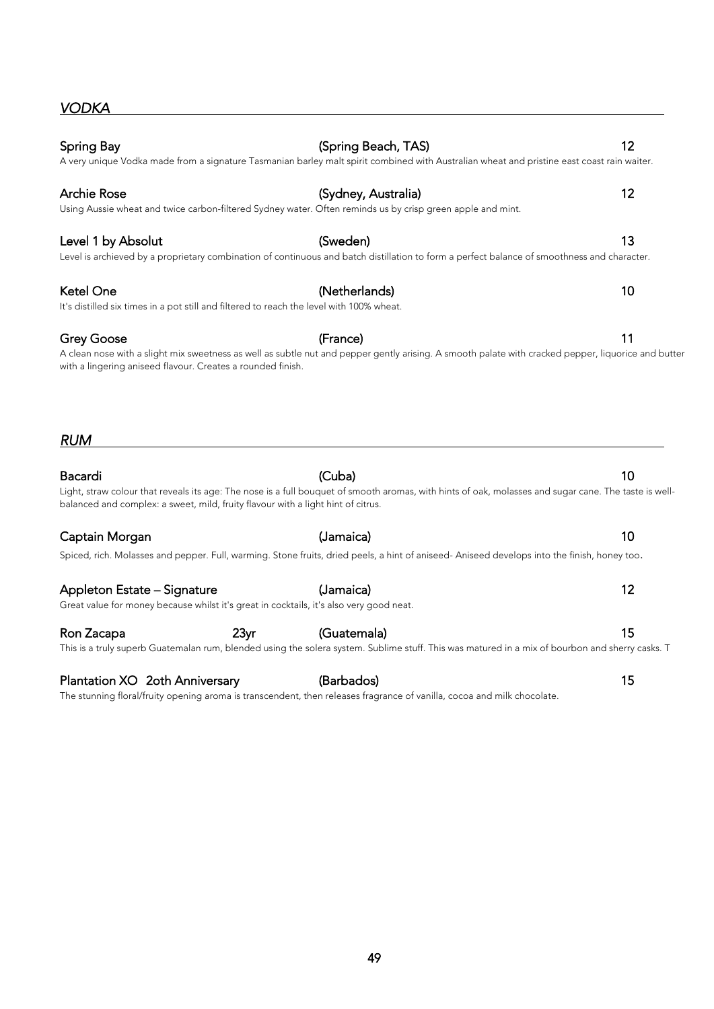| <b>Grey Goose</b>                                                                       |                  | (France)<br>A clean nose with a slight mix sweetness as well as subtle nut and pepper gently arising. A smooth palate with cracked pepper, liquorice and <mark>k</mark> | 11 |
|-----------------------------------------------------------------------------------------|------------------|-------------------------------------------------------------------------------------------------------------------------------------------------------------------------|----|
| with a lingering aniseed flavour. Creates a rounded finish.                             |                  |                                                                                                                                                                         |    |
|                                                                                         |                  |                                                                                                                                                                         |    |
|                                                                                         |                  |                                                                                                                                                                         |    |
| RUM                                                                                     |                  |                                                                                                                                                                         |    |
| Bacardi                                                                                 |                  | (Cuba)                                                                                                                                                                  | 10 |
| balanced and complex: a sweet, mild, fruity flavour with a light hint of citrus.        |                  | Light, straw colour that reveals its age: The nose is a full bouquet of smooth aromas, with hints of oak, molasses and sugar cane. The taste is w                       |    |
| Captain Morgan                                                                          |                  | (Jamaica)                                                                                                                                                               | 10 |
|                                                                                         |                  | Spiced, rich. Molasses and pepper. Full, warming. Stone fruits, dried peels, a hint of aniseed-Aniseed develops into the finish, honey too.                             |    |
| Appleton Estate – Signature                                                             |                  | (Jamaica)                                                                                                                                                               | 12 |
| Great value for money because whilst it's great in cocktails, it's also very good neat. |                  |                                                                                                                                                                         |    |
| Ron Zacapa                                                                              | 23 <sub>yr</sub> | (Guatemala)                                                                                                                                                             | 15 |

# <span id="page-48-0"></span>*VODKA*

Spring Bay **12** (Spring Beach, TAS) 32

A very unique Vodka made from a signature Tasmanian barley malt spirit combined with Australian wheat and pristine east coast rain waiter.

Archie Rose **12** (Sydney, Australia) **12** Using Aussie wheat and twice carbon-filtered Sydney water. Often reminds us by crisp green apple and mint.

Level 1 by Absolut 13 Level is archieved by a proprietary combination of continuous and batch distillation to form a perfect balance of smoothness and character.

Ketel One **10** (Netherlands) **10** It's distilled six times in a pot still and filtered to reach the level with 100% wheat.

*RUM* 

Ron Zacapa 23yr (Guatemala) 15 This is a truly superb Guatemalan rum, blended using the solera system. Sublime stuff. This was matured in a mix of bourbon and sherry casks. T

Plantation XO 2oth Anniversary (Barbados) 615 The stunning floral/fruity opening aroma is transcendent, then releases fragrance of vanilla, cocoa and milk chocolate.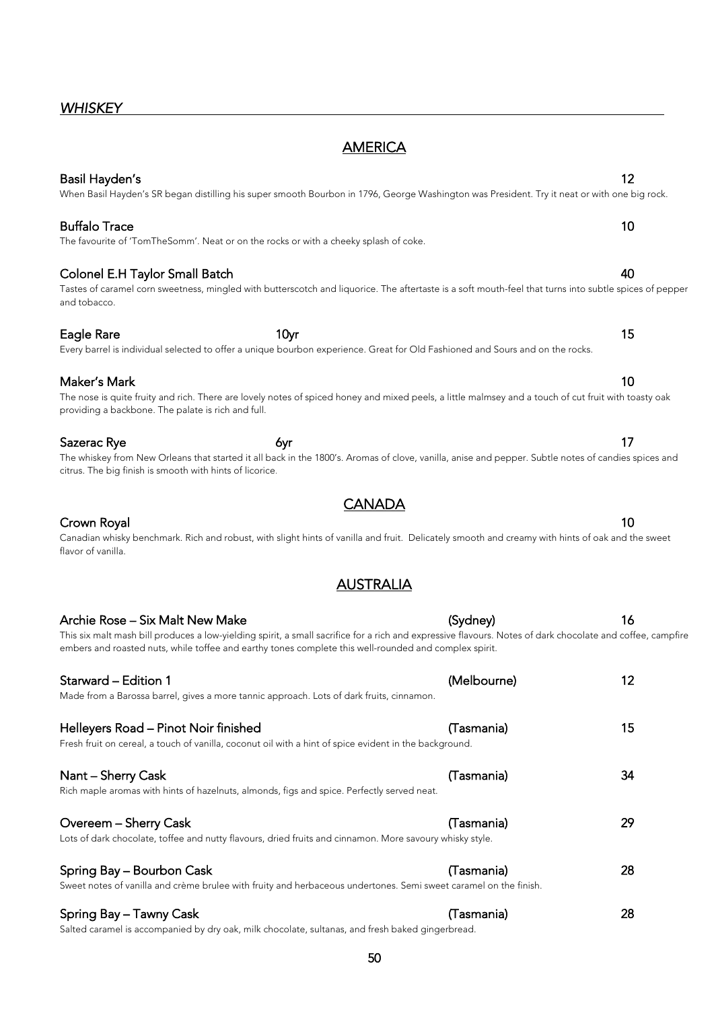### <span id="page-49-0"></span>*WHISKEY*

# **AMERICA**

#### Basil Hayden's 12 When Basil Hayden's SR began distilling his super smooth Bourbon in 1796, George Washington was President. Try it neat or with one big rock.

#### Buffalo Trace 10 The favourite of 'TomTheSomm'. Neat or on the rocks or with a cheeky splash of coke.

### Colonel E.H Taylor Small Batch 40

# and tobacco.

#### Maker's Mark 10

#### The nose is quite fruity and rich. There are lovely notes of spiced honey and mixed peels, a little malmsey and a touch of cut fruit with toasty oak providing a backbone. The palate is rich and full.

Eagle Rare 10yr 15

Every barrel is individual selected to offer a unique bourbon experience. Great for Old Fashioned and Sours and on the rocks.

#### Sazerac Rye 6yr 17

| The whiskey from New Orleans that started it all back in the 1800's. Aromas of clove, vanilla, anise and pepper. Subtle notes of candies spices and |  |  |  |  |
|-----------------------------------------------------------------------------------------------------------------------------------------------------|--|--|--|--|
| citrus. The big finish is smooth with hints of licorice.                                                                                            |  |  |  |  |
|                                                                                                                                                     |  |  |  |  |

**CANADA** 

#### **Crown Royal** 10

Canadian whisky benchmark. Rich and robust, with slight hints of vanilla and fruit. Delicately smooth and creamy with hints of oak and the sweet flavor of vanilla.

### AUSTRALIA

| Archie Rose – Six Malt New Make                                                                                                                                                                                                                                     | (Sydney)    | 16 |
|---------------------------------------------------------------------------------------------------------------------------------------------------------------------------------------------------------------------------------------------------------------------|-------------|----|
| This six malt mash bill produces a low-yielding spirit, a small sacrifice for a rich and expressive flavours. Notes of dark chocolate and coffee, campfire<br>embers and roasted nuts, while toffee and earthy tones complete this well-rounded and complex spirit. |             |    |
| Starward - Edition 1<br>Made from a Barossa barrel, gives a more tannic approach. Lots of dark fruits, cinnamon.                                                                                                                                                    | (Melbourne) | 12 |
| Helleyers Road - Pinot Noir finished<br>Fresh fruit on cereal, a touch of vanilla, coconut oil with a hint of spice evident in the background.                                                                                                                      | (Tasmania)  | 15 |
| Nant – Sherry Cask<br>Rich maple aromas with hints of hazelnuts, almonds, figs and spice. Perfectly served neat.                                                                                                                                                    | (Tasmania)  | 34 |
| Overeem - Sherry Cask<br>Lots of dark chocolate, toffee and nutty flavours, dried fruits and cinnamon. More savoury whisky style.                                                                                                                                   | (Tasmania)  | 29 |
| Spring Bay - Bourbon Cask<br>Sweet notes of vanilla and crème brulee with fruity and herbaceous undertones. Semi sweet caramel on the finish.                                                                                                                       | (Tasmania)  | 28 |
| Spring Bay - Tawny Cask<br>Salted caramel is accompanied by dry oak, milk chocolate, sultanas, and fresh baked gingerbread.                                                                                                                                         | (Tasmania)  | 28 |

#### Tastes of caramel corn sweetness, mingled with butterscotch and liquorice. The aftertaste is a soft mouth-feel that turns into subtle spices of pepper